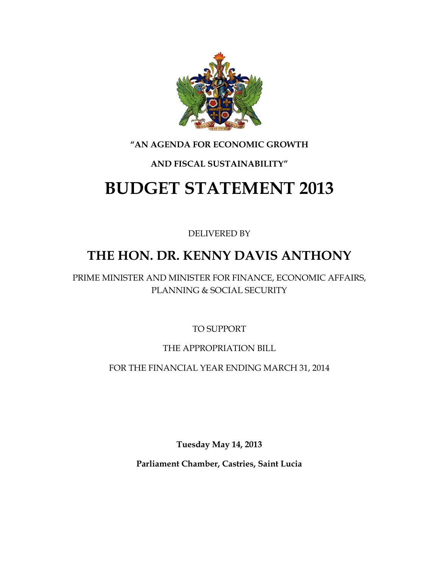

#### **"AN AGENDA FOR ECONOMIC GROWTH**

## **AND FISCAL SUSTAINABILITY"**

# **BUDGET STATEMENT 2013**

DELIVERED BY

## **THE HON. DR. KENNY DAVIS ANTHONY**

PRIME MINISTER AND MINISTER FOR FINANCE, ECONOMIC AFFAIRS, PLANNING & SOCIAL SECURITY

TO SUPPORT

## THE APPROPRIATION BILL

FOR THE FINANCIAL YEAR ENDING MARCH 31, 2014

**Tuesday May 14, 2013**

**Parliament Chamber, Castries, Saint Lucia**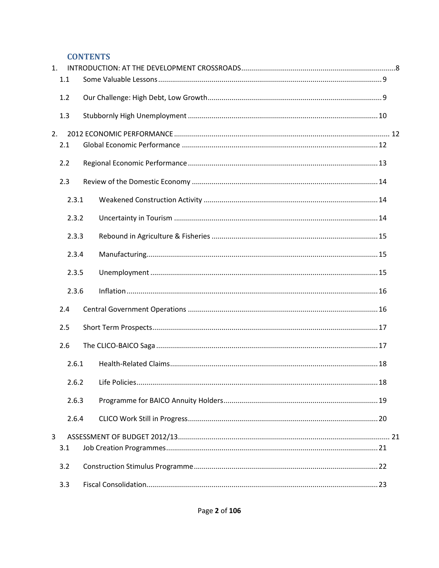#### **CONTENTS**

| $\mathbf{1}$ . |       |  |  |
|----------------|-------|--|--|
| 1.1            |       |  |  |
| 1.2            |       |  |  |
| 1.3            |       |  |  |
| 2.             |       |  |  |
| 2.1            |       |  |  |
| 2.2            |       |  |  |
| 2.3            |       |  |  |
|                | 2.3.1 |  |  |
|                | 2.3.2 |  |  |
|                | 2.3.3 |  |  |
|                | 2.3.4 |  |  |
|                | 2.3.5 |  |  |
|                | 2.3.6 |  |  |
| 2.4            |       |  |  |
| 2.5            |       |  |  |
| 2.6            |       |  |  |
|                | 2.6.1 |  |  |
|                | 2.6.2 |  |  |
|                | 2.6.3 |  |  |
|                | 2.6.4 |  |  |
| 3              |       |  |  |
| 3.1            |       |  |  |
| 3.2            |       |  |  |
| 3.3            |       |  |  |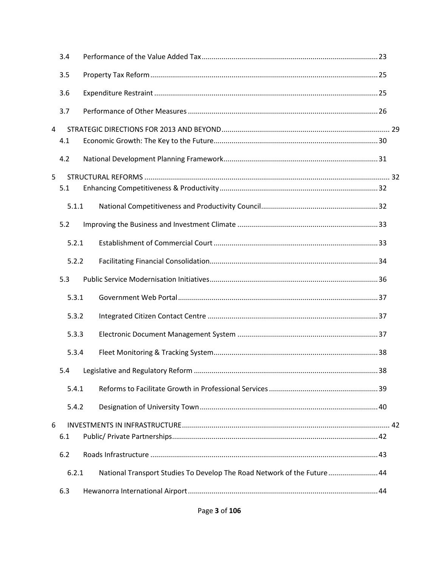|                | 3.4   |                                                                         |    |  |
|----------------|-------|-------------------------------------------------------------------------|----|--|
|                | 3.5   |                                                                         |    |  |
|                | 3.6   |                                                                         |    |  |
|                | 3.7   |                                                                         |    |  |
| $\overline{4}$ |       |                                                                         |    |  |
|                | 4.1   |                                                                         |    |  |
|                | 4.2   |                                                                         |    |  |
| 5              |       |                                                                         |    |  |
|                | 5.1   |                                                                         |    |  |
|                | 5.1.1 |                                                                         |    |  |
|                | 5.2   |                                                                         |    |  |
|                | 5.2.1 |                                                                         |    |  |
|                | 5.2.2 |                                                                         |    |  |
|                | 5.3   |                                                                         |    |  |
|                | 5.3.1 |                                                                         |    |  |
|                | 5.3.2 |                                                                         |    |  |
|                | 5.3.3 |                                                                         |    |  |
|                | 5.3.4 |                                                                         |    |  |
|                |       |                                                                         | 38 |  |
|                | 5.4.1 |                                                                         |    |  |
|                | 5.4.2 |                                                                         |    |  |
| 6              |       |                                                                         |    |  |
|                | 6.1   |                                                                         |    |  |
|                | 6.2   |                                                                         |    |  |
|                | 6.2.1 | National Transport Studies To Develop The Road Network of the Future 44 |    |  |
|                | 6.3   |                                                                         |    |  |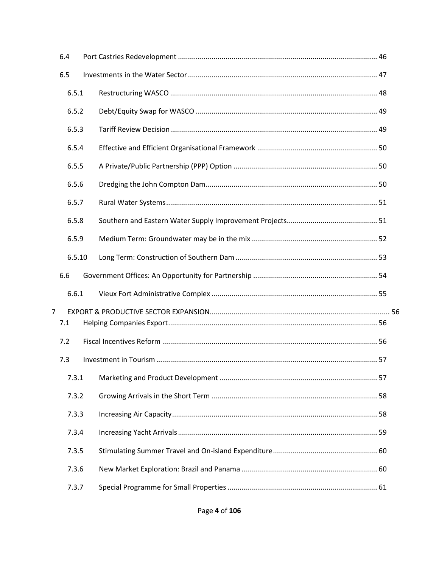| 6.4            |        |  |
|----------------|--------|--|
| 6.5            |        |  |
|                | 6.5.1  |  |
|                | 6.5.2  |  |
|                | 6.5.3  |  |
|                | 6.5.4  |  |
|                | 6.5.5  |  |
|                | 6.5.6  |  |
|                | 6.5.7  |  |
|                | 6.5.8  |  |
|                | 6.5.9  |  |
|                | 6.5.10 |  |
| 6.6            |        |  |
|                | 6.6.1  |  |
| $\overline{7}$ |        |  |
| 7.1            |        |  |
| 7.2            |        |  |
| 7.3            |        |  |
|                | 7.3.1  |  |
|                | 7.3.2  |  |
|                | 7.3.3  |  |
|                | 7.3.4  |  |
|                | 7.3.5  |  |
|                | 7.3.6  |  |
|                | 7.3.7  |  |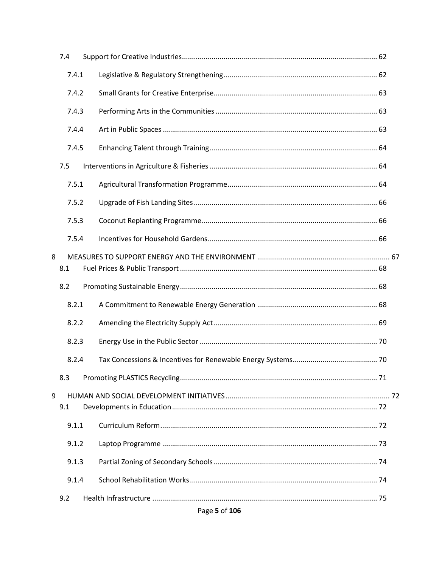| 7.4      |  |
|----------|--|
| 7.4.1    |  |
| 7.4.2    |  |
| 7.4.3    |  |
| 7.4.4    |  |
| 7.4.5    |  |
| 7.5      |  |
| 7.5.1    |  |
| 7.5.2    |  |
| 7.5.3    |  |
| 7.5.4    |  |
| 8<br>8.1 |  |
| 8.2      |  |
| 8.2.1    |  |
| 8.2.2    |  |
| 8.2.3    |  |
| 8.2.4    |  |
| 8.3      |  |
| 9<br>9.1 |  |
| 9.1.1    |  |
| 9.1.2    |  |
| 9.1.3    |  |
| 9.1.4    |  |
| 9.2      |  |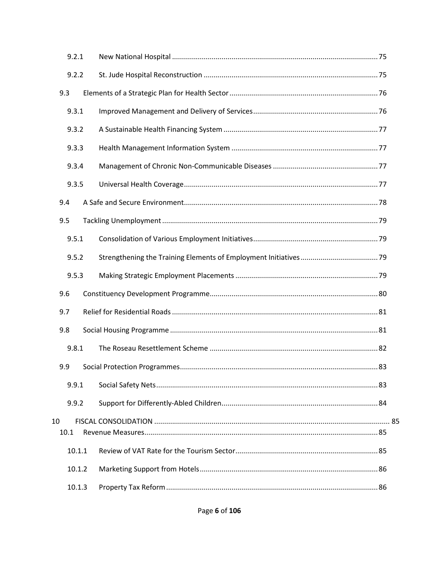|    | 9.2.1 |        |  |  |
|----|-------|--------|--|--|
|    | 9.2.2 |        |  |  |
|    | 9.3   |        |  |  |
|    | 9.3.1 |        |  |  |
|    | 9.3.2 |        |  |  |
|    | 9.3.3 |        |  |  |
|    | 9.3.4 |        |  |  |
|    | 9.3.5 |        |  |  |
|    | 9.4   |        |  |  |
|    | 9.5   |        |  |  |
|    | 9.5.1 |        |  |  |
|    | 9.5.2 |        |  |  |
|    | 9.5.3 |        |  |  |
|    | 9.6   |        |  |  |
|    | 9.7   |        |  |  |
|    | 9.8   |        |  |  |
|    | 9.8.1 |        |  |  |
|    | 9.9   |        |  |  |
|    | 9.9.1 |        |  |  |
|    | 9.9.2 |        |  |  |
| 10 | 10.1  |        |  |  |
|    |       | 10.1.1 |  |  |
|    |       | 10.1.2 |  |  |
|    |       | 10.1.3 |  |  |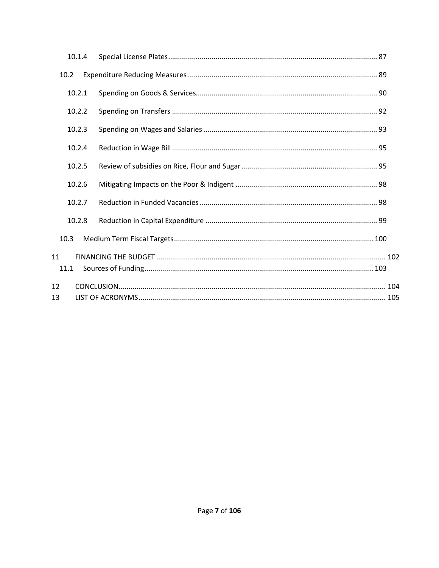| 10.1.4     |  |
|------------|--|
| 10.2       |  |
| 10.2.1     |  |
| 10.2.2     |  |
| 10.2.3     |  |
| 10.2.4     |  |
| 10.2.5     |  |
| 10.2.6     |  |
| 10.2.7     |  |
| 10.2.8     |  |
| 10.3       |  |
| 11<br>11.1 |  |
| 12         |  |
| 13         |  |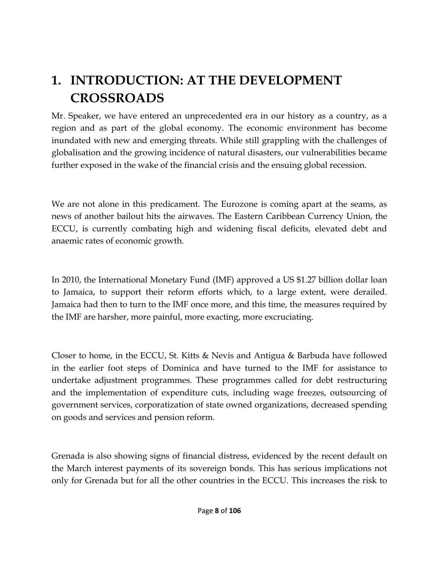# <span id="page-7-0"></span>**1. INTRODUCTION: AT THE DEVELOPMENT CROSSROADS**

Mr. Speaker, we have entered an unprecedented era in our history as a country, as a region and as part of the global economy. The economic environment has become inundated with new and emerging threats. While still grappling with the challenges of globalisation and the growing incidence of natural disasters, our vulnerabilities became further exposed in the wake of the financial crisis and the ensuing global recession.

We are not alone in this predicament. The Eurozone is coming apart at the seams, as news of another bailout hits the airwaves. The Eastern Caribbean Currency Union, the ECCU, is currently combating high and widening fiscal deficits, elevated debt and anaemic rates of economic growth.

In 2010, the International Monetary Fund (IMF) approved a US \$1.27 billion dollar loan to Jamaica, to support their reform efforts which, to a large extent, were derailed. Jamaica had then to turn to the IMF once more, and this time, the measures required by the IMF are harsher, more painful, more exacting, more excruciating.

Closer to home, in the ECCU, St. Kitts & Nevis and Antigua & Barbuda have followed in the earlier foot steps of Dominica and have turned to the IMF for assistance to undertake adjustment programmes. These programmes called for debt restructuring and the implementation of expenditure cuts, including wage freezes, outsourcing of government services, corporatization of state owned organizations, decreased spending on goods and services and pension reform.

Grenada is also showing signs of financial distress, evidenced by the recent default on the March interest payments of its sovereign bonds. This has serious implications not only for Grenada but for all the other countries in the ECCU. This increases the risk to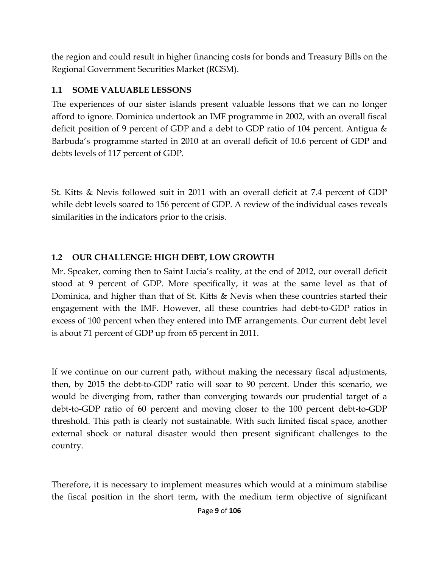the region and could result in higher financing costs for bonds and Treasury Bills on the Regional Government Securities Market (RGSM).

## <span id="page-8-0"></span>**1.1 SOME VALUABLE LESSONS**

The experiences of our sister islands present valuable lessons that we can no longer afford to ignore. Dominica undertook an IMF programme in 2002, with an overall fiscal deficit position of 9 percent of GDP and a debt to GDP ratio of 104 percent. Antigua & Barbuda's programme started in 2010 at an overall deficit of 10.6 percent of GDP and debts levels of 117 percent of GDP.

St. Kitts & Nevis followed suit in 2011 with an overall deficit at 7.4 percent of GDP while debt levels soared to 156 percent of GDP. A review of the individual cases reveals similarities in the indicators prior to the crisis.

## <span id="page-8-1"></span>**1.2 OUR CHALLENGE: HIGH DEBT, LOW GROWTH**

Mr. Speaker, coming then to Saint Lucia's reality, at the end of 2012, our overall deficit stood at 9 percent of GDP. More specifically, it was at the same level as that of Dominica, and higher than that of St. Kitts & Nevis when these countries started their engagement with the IMF. However, all these countries had debt-to-GDP ratios in excess of 100 percent when they entered into IMF arrangements. Our current debt level is about 71 percent of GDP up from 65 percent in 2011.

If we continue on our current path, without making the necessary fiscal adjustments, then, by 2015 the debt-to-GDP ratio will soar to 90 percent. Under this scenario, we would be diverging from, rather than converging towards our prudential target of a debt-to-GDP ratio of 60 percent and moving closer to the 100 percent debt-to-GDP threshold. This path is clearly not sustainable. With such limited fiscal space, another external shock or natural disaster would then present significant challenges to the country.

Therefore, it is necessary to implement measures which would at a minimum stabilise the fiscal position in the short term, with the medium term objective of significant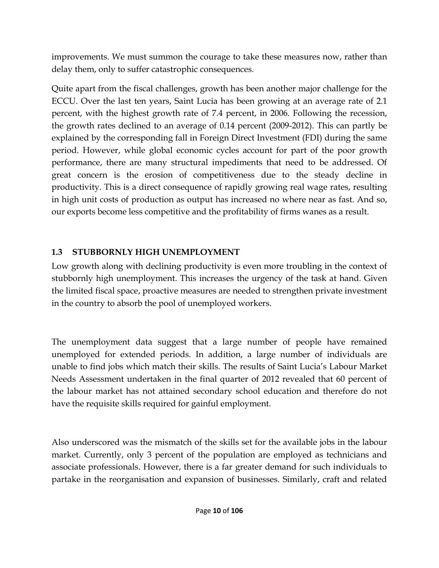improvements. We must summon the courage to take these measures now, rather than delay them, only to suffer catastrophic consequences.

Quite apart from the fiscal challenges, growth has been another major challenge for the ECCU. Over the last ten years, Saint Lucia has been growing at an average rate of 2.1 percent, with the highest growth rate of 7.4 percent, in 2006. Following the recession, the growth rates declined to an average of 0.14 percent (2009-2012). This can partly be explained by the corresponding fall in Foreign Direct Investment (FDI) during the same period. However, while global economic cycles account for part of the poor growth performance, there are many structural impediments that need to be addressed. Of great concern is the erosion of competitiveness due to the steady decline in productivity. This is a direct consequence of rapidly growing real wage rates, resulting in high unit costs of production as output has increased no where near as fast. And so, our exports become less competitive and the profitability of firms wanes as a result.

## <span id="page-9-0"></span>**1.3 STUBBORNLY HIGH UNEMPLOYMENT**

Low growth along with declining productivity is even more troubling in the context of stubbornly high unemployment. This increases the urgency of the task at hand. Given the limited fiscal space, proactive measures are needed to strengthen private investment in the country to absorb the pool of unemployed workers.

The unemployment data suggest that a large number of people have remained unemployed for extended periods. In addition, a large number of individuals are unable to find jobs which match their skills. The results of Saint Lucia's Labour Market Needs Assessment undertaken in the final quarter of 2012 revealed that 60 percent of the labour market has not attained secondary school education and therefore do not have the requisite skills required for gainful employment.

Also underscored was the mismatch of the skills set for the available jobs in the labour market. Currently, only 3 percent of the population are employed as technicians and associate professionals. However, there is a far greater demand for such individuals to partake in the reorganisation and expansion of businesses. Similarly, craft and related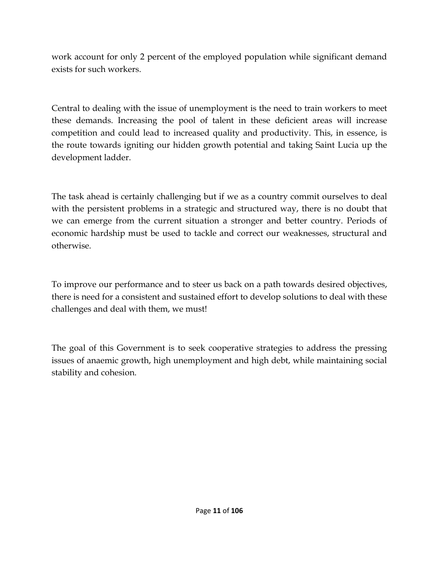work account for only 2 percent of the employed population while significant demand exists for such workers.

Central to dealing with the issue of unemployment is the need to train workers to meet these demands. Increasing the pool of talent in these deficient areas will increase competition and could lead to increased quality and productivity. This, in essence, is the route towards igniting our hidden growth potential and taking Saint Lucia up the development ladder.

The task ahead is certainly challenging but if we as a country commit ourselves to deal with the persistent problems in a strategic and structured way, there is no doubt that we can emerge from the current situation a stronger and better country. Periods of economic hardship must be used to tackle and correct our weaknesses, structural and otherwise.

To improve our performance and to steer us back on a path towards desired objectives, there is need for a consistent and sustained effort to develop solutions to deal with these challenges and deal with them, we must!

The goal of this Government is to seek cooperative strategies to address the pressing issues of anaemic growth, high unemployment and high debt, while maintaining social stability and cohesion.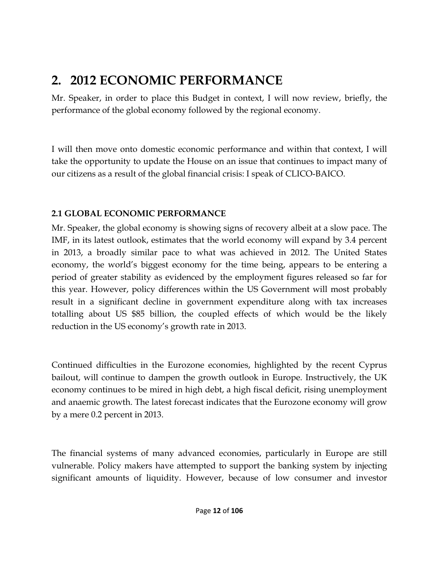## <span id="page-11-0"></span>**2. 2012 ECONOMIC PERFORMANCE**

Mr. Speaker, in order to place this Budget in context, I will now review, briefly, the performance of the global economy followed by the regional economy.

I will then move onto domestic economic performance and within that context, I will take the opportunity to update the House on an issue that continues to impact many of our citizens as a result of the global financial crisis: I speak of CLICO-BAICO.

## <span id="page-11-1"></span>**2.1 GLOBAL ECONOMIC PERFORMANCE**

Mr. Speaker, the global economy is showing signs of recovery albeit at a slow pace. The IMF, in its latest outlook, estimates that the world economy will expand by 3.4 percent in 2013, a broadly similar pace to what was achieved in 2012. The United States economy, the world's biggest economy for the time being, appears to be entering a period of greater stability as evidenced by the employment figures released so far for this year. However, policy differences within the US Government will most probably result in a significant decline in government expenditure along with tax increases totalling about US \$85 billion, the coupled effects of which would be the likely reduction in the US economy's growth rate in 2013.

Continued difficulties in the Eurozone economies, highlighted by the recent Cyprus bailout, will continue to dampen the growth outlook in Europe. Instructively, the UK economy continues to be mired in high debt, a high fiscal deficit, rising unemployment and anaemic growth. The latest forecast indicates that the Eurozone economy will grow by a mere 0.2 percent in 2013.

The financial systems of many advanced economies, particularly in Europe are still vulnerable. Policy makers have attempted to support the banking system by injecting significant amounts of liquidity. However, because of low consumer and investor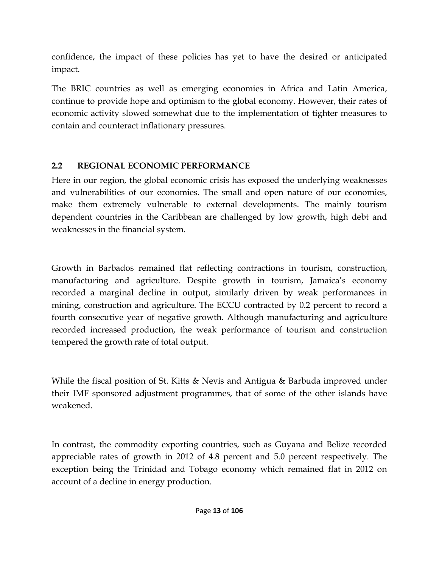confidence, the impact of these policies has yet to have the desired or anticipated impact.

The BRIC countries as well as emerging economies in Africa and Latin America, continue to provide hope and optimism to the global economy. However, their rates of economic activity slowed somewhat due to the implementation of tighter measures to contain and counteract inflationary pressures.

## <span id="page-12-0"></span>**2.2 REGIONAL ECONOMIC PERFORMANCE**

Here in our region, the global economic crisis has exposed the underlying weaknesses and vulnerabilities of our economies. The small and open nature of our economies, make them extremely vulnerable to external developments. The mainly tourism dependent countries in the Caribbean are challenged by low growth, high debt and weaknesses in the financial system.

Growth in Barbados remained flat reflecting contractions in tourism, construction, manufacturing and agriculture. Despite growth in tourism, Jamaica's economy recorded a marginal decline in output, similarly driven by weak performances in mining, construction and agriculture. The ECCU contracted by 0.2 percent to record a fourth consecutive year of negative growth. Although manufacturing and agriculture recorded increased production, the weak performance of tourism and construction tempered the growth rate of total output.

While the fiscal position of St. Kitts & Nevis and Antigua & Barbuda improved under their IMF sponsored adjustment programmes, that of some of the other islands have weakened.

In contrast, the commodity exporting countries, such as Guyana and Belize recorded appreciable rates of growth in 2012 of 4.8 percent and 5.0 percent respectively. The exception being the Trinidad and Tobago economy which remained flat in 2012 on account of a decline in energy production.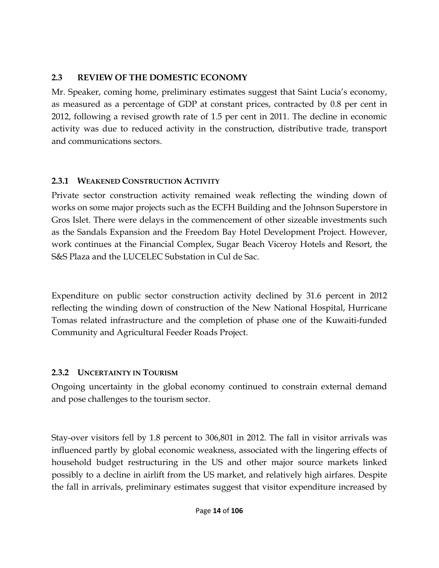## <span id="page-13-0"></span>**2.3 REVIEW OF THE DOMESTIC ECONOMY**

Mr. Speaker, coming home, preliminary estimates suggest that Saint Lucia's economy, as measured as a percentage of GDP at constant prices, contracted by 0.8 per cent in 2012, following a revised growth rate of 1.5 per cent in 2011. The decline in economic activity was due to reduced activity in the construction, distributive trade, transport and communications sectors.

## <span id="page-13-1"></span>**2.3.1 WEAKENED CONSTRUCTION ACTIVITY**

Private sector construction activity remained weak reflecting the winding down of works on some major projects such as the ECFH Building and the Johnson Superstore in Gros Islet. There were delays in the commencement of other sizeable investments such as the Sandals Expansion and the Freedom Bay Hotel Development Project. However, work continues at the Financial Complex, Sugar Beach Viceroy Hotels and Resort, the S&S Plaza and the LUCELEC Substation in Cul de Sac.

Expenditure on public sector construction activity declined by 31.6 percent in 2012 reflecting the winding down of construction of the New National Hospital, Hurricane Tomas related infrastructure and the completion of phase one of the Kuwaiti-funded Community and Agricultural Feeder Roads Project.

## <span id="page-13-2"></span>**2.3.2 UNCERTAINTY IN TOURISM**

Ongoing uncertainty in the global economy continued to constrain external demand and pose challenges to the tourism sector.

Stay-over visitors fell by 1.8 percent to 306,801 in 2012. The fall in visitor arrivals was influenced partly by global economic weakness, associated with the lingering effects of household budget restructuring in the US and other major source markets linked possibly to a decline in airlift from the US market, and relatively high airfares. Despite the fall in arrivals, preliminary estimates suggest that visitor expenditure increased by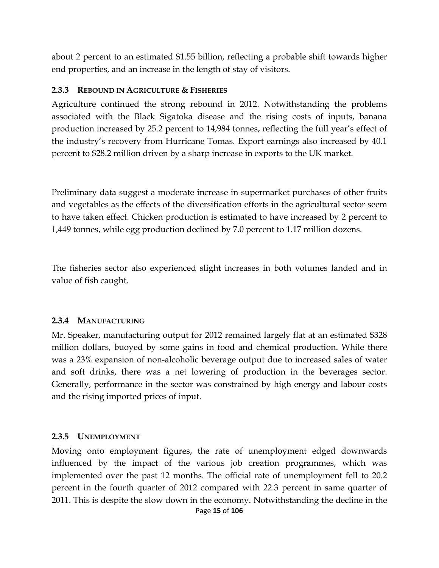about 2 percent to an estimated \$1.55 billion, reflecting a probable shift towards higher end properties, and an increase in the length of stay of visitors.

#### <span id="page-14-0"></span>**2.3.3 REBOUND IN AGRICULTURE & FISHERIES**

Agriculture continued the strong rebound in 2012. Notwithstanding the problems associated with the Black Sigatoka disease and the rising costs of inputs, banana production increased by 25.2 percent to 14,984 tonnes, reflecting the full year's effect of the industry's recovery from Hurricane Tomas. Export earnings also increased by 40.1 percent to \$28.2 million driven by a sharp increase in exports to the UK market.

Preliminary data suggest a moderate increase in supermarket purchases of other fruits and vegetables as the effects of the diversification efforts in the agricultural sector seem to have taken effect. Chicken production is estimated to have increased by 2 percent to 1,449 tonnes, while egg production declined by 7.0 percent to 1.17 million dozens.

The fisheries sector also experienced slight increases in both volumes landed and in value of fish caught.

#### <span id="page-14-1"></span>**2.3.4 MANUFACTURING**

Mr. Speaker, manufacturing output for 2012 remained largely flat at an estimated \$328 million dollars, buoyed by some gains in food and chemical production. While there was a 23% expansion of non-alcoholic beverage output due to increased sales of water and soft drinks, there was a net lowering of production in the beverages sector. Generally, performance in the sector was constrained by high energy and labour costs and the rising imported prices of input.

#### <span id="page-14-2"></span>**2.3.5 UNEMPLOYMENT**

Page **15** of **106** Moving onto employment figures, the rate of unemployment edged downwards influenced by the impact of the various job creation programmes, which was implemented over the past 12 months. The official rate of unemployment fell to 20.2 percent in the fourth quarter of 2012 compared with 22.3 percent in same quarter of 2011. This is despite the slow down in the economy. Notwithstanding the decline in the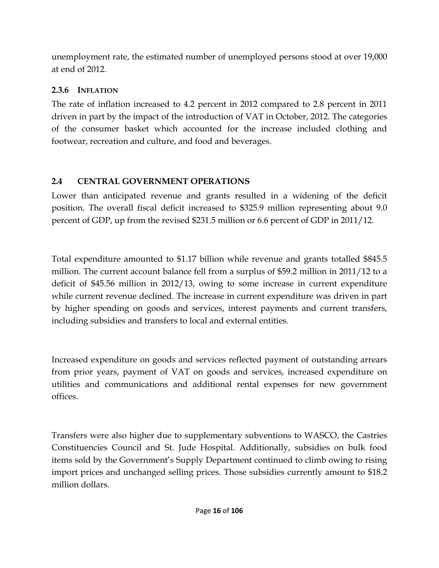unemployment rate, the estimated number of unemployed persons stood at over 19,000 at end of 2012.

## <span id="page-15-0"></span>**2.3.6 INFLATION**

The rate of inflation increased to 4.2 percent in 2012 compared to 2.8 percent in 2011 driven in part by the impact of the introduction of VAT in October, 2012. The categories of the consumer basket which accounted for the increase included clothing and footwear, recreation and culture, and food and beverages.

## <span id="page-15-1"></span>**2.4 CENTRAL GOVERNMENT OPERATIONS**

Lower than anticipated revenue and grants resulted in a widening of the deficit position. The overall fiscal deficit increased to \$325.9 million representing about 9.0 percent of GDP, up from the revised \$231.5 million or 6.6 percent of GDP in 2011/12.

Total expenditure amounted to \$1.17 billion while revenue and grants totalled \$845.5 million. The current account balance fell from a surplus of \$59.2 million in 2011/12 to a deficit of \$45.56 million in 2012/13, owing to some increase in current expenditure while current revenue declined. The increase in current expenditure was driven in part by higher spending on goods and services, interest payments and current transfers, including subsidies and transfers to local and external entities.

Increased expenditure on goods and services reflected payment of outstanding arrears from prior years, payment of VAT on goods and services, increased expenditure on utilities and communications and additional rental expenses for new government offices.

Transfers were also higher due to supplementary subventions to WASCO, the Castries Constituencies Council and St. Jude Hospital. Additionally, subsidies on bulk food items sold by the Government's Supply Department continued to climb owing to rising import prices and unchanged selling prices. Those subsidies currently amount to \$18.2 million dollars.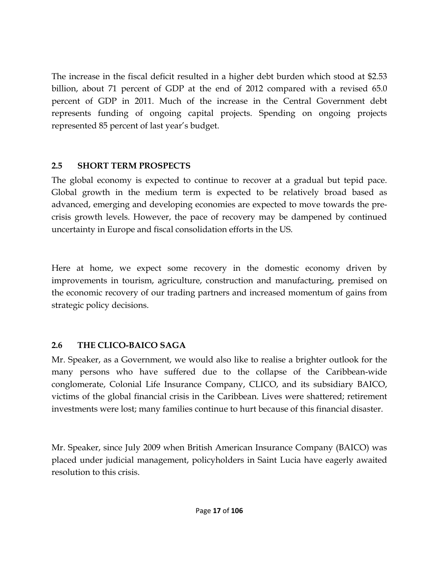The increase in the fiscal deficit resulted in a higher debt burden which stood at \$2.53 billion, about 71 percent of GDP at the end of 2012 compared with a revised 65.0 percent of GDP in 2011. Much of the increase in the Central Government debt represents funding of ongoing capital projects. Spending on ongoing projects represented 85 percent of last year's budget.

## <span id="page-16-0"></span>**2.5 SHORT TERM PROSPECTS**

The global economy is expected to continue to recover at a gradual but tepid pace. Global growth in the medium term is expected to be relatively broad based as advanced, emerging and developing economies are expected to move towards the precrisis growth levels. However, the pace of recovery may be dampened by continued uncertainty in Europe and fiscal consolidation efforts in the US.

Here at home, we expect some recovery in the domestic economy driven by improvements in tourism, agriculture, construction and manufacturing, premised on the economic recovery of our trading partners and increased momentum of gains from strategic policy decisions.

## <span id="page-16-1"></span>**2.6 THE CLICO-BAICO SAGA**

Mr. Speaker, as a Government, we would also like to realise a brighter outlook for the many persons who have suffered due to the collapse of the Caribbean-wide conglomerate, Colonial Life Insurance Company, CLICO, and its subsidiary BAICO, victims of the global financial crisis in the Caribbean. Lives were shattered; retirement investments were lost; many families continue to hurt because of this financial disaster.

Mr. Speaker, since July 2009 when British American Insurance Company (BAICO) was placed under judicial management, policyholders in Saint Lucia have eagerly awaited resolution to this crisis.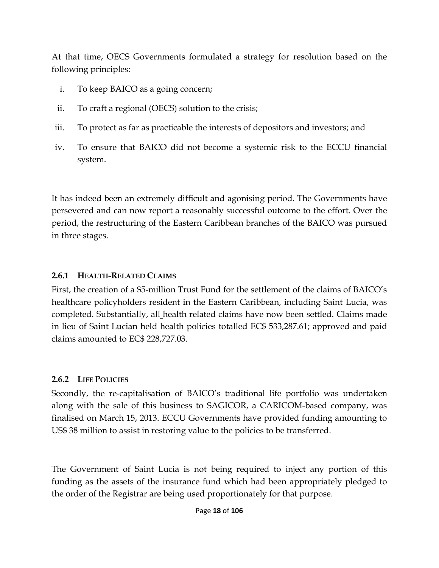At that time, OECS Governments formulated a strategy for resolution based on the following principles:

- i. To keep BAICO as a going concern;
- ii. To craft a regional (OECS) solution to the crisis;
- iii. To protect as far as practicable the interests of depositors and investors; and
- iv. To ensure that BAICO did not become a systemic risk to the ECCU financial system.

It has indeed been an extremely difficult and agonising period. The Governments have persevered and can now report a reasonably successful outcome to the effort. Over the period, the restructuring of the Eastern Caribbean branches of the BAICO was pursued in three stages.

#### <span id="page-17-0"></span>**2.6.1 HEALTH-RELATED CLAIMS**

First, the creation of a \$5-million Trust Fund for the settlement of the claims of BAICO's healthcare policyholders resident in the Eastern Caribbean, including Saint Lucia, was completed. Substantially, all health related claims have now been settled. Claims made in lieu of Saint Lucian held health policies totalled EC\$ 533,287.61; approved and paid claims amounted to EC\$ 228,727.03.

#### <span id="page-17-1"></span>**2.6.2 LIFE POLICIES**

Secondly, the re-capitalisation of BAICO's traditional life portfolio was undertaken along with the sale of this business to SAGICOR, a CARICOM-based company, was finalised on March 15, 2013. ECCU Governments have provided funding amounting to US\$ 38 million to assist in restoring value to the policies to be transferred.

The Government of Saint Lucia is not being required to inject any portion of this funding as the assets of the insurance fund which had been appropriately pledged to the order of the Registrar are being used proportionately for that purpose.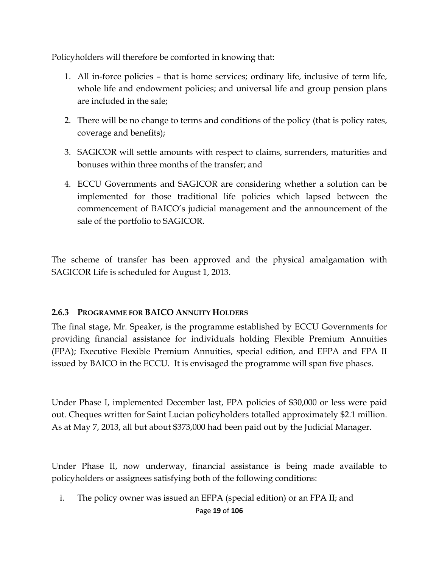Policyholders will therefore be comforted in knowing that:

- 1. All in-force policies that is home services; ordinary life, inclusive of term life, whole life and endowment policies; and universal life and group pension plans are included in the sale;
- 2. There will be no change to terms and conditions of the policy (that is policy rates, coverage and benefits);
- 3. SAGICOR will settle amounts with respect to claims, surrenders, maturities and bonuses within three months of the transfer; and
- 4. ECCU Governments and SAGICOR are considering whether a solution can be implemented for those traditional life policies which lapsed between the commencement of BAICO's judicial management and the announcement of the sale of the portfolio to SAGICOR.

The scheme of transfer has been approved and the physical amalgamation with SAGICOR Life is scheduled for August 1, 2013.

#### <span id="page-18-0"></span>**2.6.3 PROGRAMME FOR BAICO ANNUITY HOLDERS**

The final stage, Mr. Speaker, is the programme established by ECCU Governments for providing financial assistance for individuals holding Flexible Premium Annuities (FPA); Executive Flexible Premium Annuities, special edition, and EFPA and FPA II issued by BAICO in the ECCU. It is envisaged the programme will span five phases.

Under Phase I, implemented December last, FPA policies of \$30,000 or less were paid out. Cheques written for Saint Lucian policyholders totalled approximately \$2.1 million. As at May 7, 2013, all but about \$373,000 had been paid out by the Judicial Manager.

Under Phase II, now underway, financial assistance is being made available to policyholders or assignees satisfying both of the following conditions:

i. The policy owner was issued an EFPA (special edition) or an FPA II; and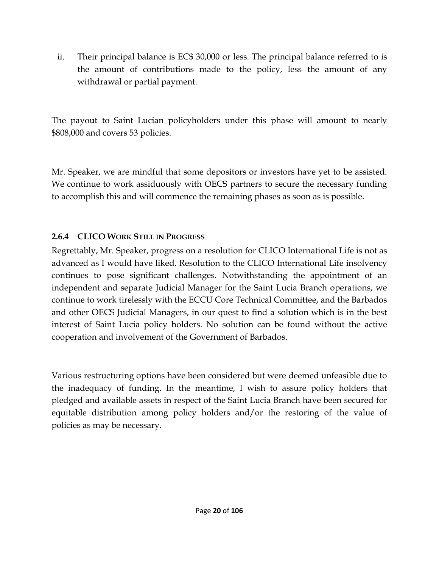ii. Their principal balance is EC\$ 30,000 or less. The principal balance referred to is the amount of contributions made to the policy, less the amount of any withdrawal or partial payment.

The payout to Saint Lucian policyholders under this phase will amount to nearly \$808,000 and covers 53 policies.

Mr. Speaker, we are mindful that some depositors or investors have yet to be assisted. We continue to work assiduously with OECS partners to secure the necessary funding to accomplish this and will commence the remaining phases as soon as is possible.

## <span id="page-19-0"></span>**2.6.4 CLICO WORK STILL IN PROGRESS**

Regrettably, Mr. Speaker, progress on a resolution for CLICO International Life is not as advanced as I would have liked. Resolution to the CLICO International Life insolvency continues to pose significant challenges. Notwithstanding the appointment of an independent and separate Judicial Manager for the Saint Lucia Branch operations, we continue to work tirelessly with the ECCU Core Technical Committee, and the Barbados and other OECS Judicial Managers, in our quest to find a solution which is in the best interest of Saint Lucia policy holders. No solution can be found without the active cooperation and involvement of the Government of Barbados.

Various restructuring options have been considered but were deemed unfeasible due to the inadequacy of funding. In the meantime, I wish to assure policy holders that pledged and available assets in respect of the Saint Lucia Branch have been secured for equitable distribution among policy holders and/or the restoring of the value of policies as may be necessary.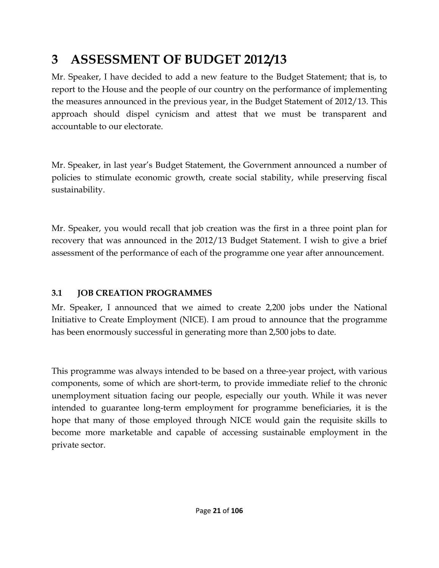## <span id="page-20-0"></span>**3 ASSESSMENT OF BUDGET 2012/13**

Mr. Speaker, I have decided to add a new feature to the Budget Statement; that is, to report to the House and the people of our country on the performance of implementing the measures announced in the previous year, in the Budget Statement of 2012/13. This approach should dispel cynicism and attest that we must be transparent and accountable to our electorate.

Mr. Speaker, in last year's Budget Statement, the Government announced a number of policies to stimulate economic growth, create social stability, while preserving fiscal sustainability.

Mr. Speaker, you would recall that job creation was the first in a three point plan for recovery that was announced in the 2012/13 Budget Statement. I wish to give a brief assessment of the performance of each of the programme one year after announcement.

## <span id="page-20-1"></span>**3.1 JOB CREATION PROGRAMMES**

Mr. Speaker, I announced that we aimed to create 2,200 jobs under the National Initiative to Create Employment (NICE). I am proud to announce that the programme has been enormously successful in generating more than 2,500 jobs to date.

This programme was always intended to be based on a three-year project, with various components, some of which are short-term, to provide immediate relief to the chronic unemployment situation facing our people, especially our youth. While it was never intended to guarantee long-term employment for programme beneficiaries, it is the hope that many of those employed through NICE would gain the requisite skills to become more marketable and capable of accessing sustainable employment in the private sector.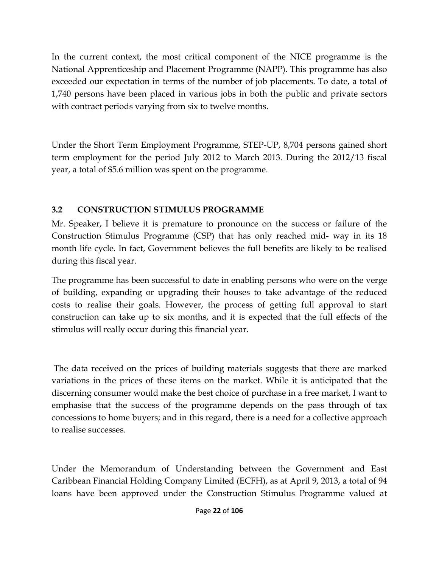In the current context, the most critical component of the NICE programme is the National Apprenticeship and Placement Programme (NAPP). This programme has also exceeded our expectation in terms of the number of job placements. To date, a total of 1,740 persons have been placed in various jobs in both the public and private sectors with contract periods varying from six to twelve months.

Under the Short Term Employment Programme, STEP-UP, 8,704 persons gained short term employment for the period July 2012 to March 2013. During the 2012/13 fiscal year, a total of \$5.6 million was spent on the programme.

## <span id="page-21-0"></span>**3.2 CONSTRUCTION STIMULUS PROGRAMME**

Mr. Speaker, I believe it is premature to pronounce on the success or failure of the Construction Stimulus Programme (CSP) that has only reached mid- way in its 18 month life cycle. In fact, Government believes the full benefits are likely to be realised during this fiscal year.

The programme has been successful to date in enabling persons who were on the verge of building, expanding or upgrading their houses to take advantage of the reduced costs to realise their goals. However, the process of getting full approval to start construction can take up to six months, and it is expected that the full effects of the stimulus will really occur during this financial year.

The data received on the prices of building materials suggests that there are marked variations in the prices of these items on the market. While it is anticipated that the discerning consumer would make the best choice of purchase in a free market, I want to emphasise that the success of the programme depends on the pass through of tax concessions to home buyers; and in this regard, there is a need for a collective approach to realise successes.

Under the Memorandum of Understanding between the Government and East Caribbean Financial Holding Company Limited (ECFH), as at April 9, 2013, a total of 94 loans have been approved under the Construction Stimulus Programme valued at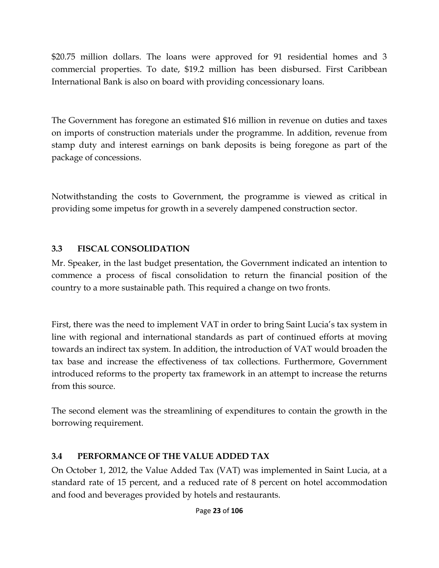\$20.75 million dollars. The loans were approved for 91 residential homes and 3 commercial properties. To date, \$19.2 million has been disbursed. First Caribbean International Bank is also on board with providing concessionary loans.

The Government has foregone an estimated \$16 million in revenue on duties and taxes on imports of construction materials under the programme. In addition, revenue from stamp duty and interest earnings on bank deposits is being foregone as part of the package of concessions.

Notwithstanding the costs to Government, the programme is viewed as critical in providing some impetus for growth in a severely dampened construction sector.

## <span id="page-22-0"></span>**3.3 FISCAL CONSOLIDATION**

Mr. Speaker, in the last budget presentation, the Government indicated an intention to commence a process of fiscal consolidation to return the financial position of the country to a more sustainable path. This required a change on two fronts.

First, there was the need to implement VAT in order to bring Saint Lucia's tax system in line with regional and international standards as part of continued efforts at moving towards an indirect tax system. In addition, the introduction of VAT would broaden the tax base and increase the effectiveness of tax collections. Furthermore, Government introduced reforms to the property tax framework in an attempt to increase the returns from this source.

The second element was the streamlining of expenditures to contain the growth in the borrowing requirement.

## <span id="page-22-1"></span>**3.4 PERFORMANCE OF THE VALUE ADDED TAX**

On October 1, 2012, the Value Added Tax (VAT) was implemented in Saint Lucia, at a standard rate of 15 percent, and a reduced rate of 8 percent on hotel accommodation and food and beverages provided by hotels and restaurants.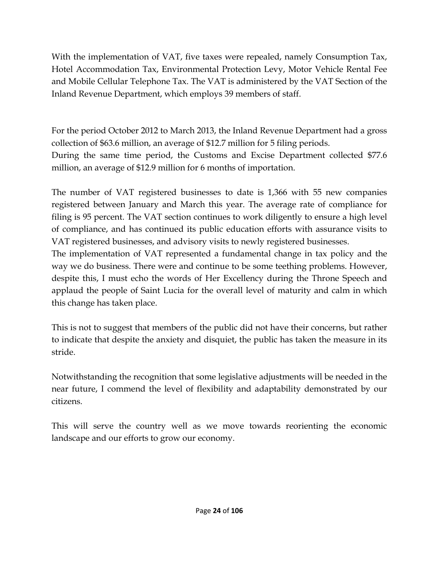With the implementation of VAT, five taxes were repealed, namely Consumption Tax, Hotel Accommodation Tax, Environmental Protection Levy, Motor Vehicle Rental Fee and Mobile Cellular Telephone Tax. The VAT is administered by the VAT Section of the Inland Revenue Department, which employs 39 members of staff.

For the period October 2012 to March 2013, the Inland Revenue Department had a gross collection of \$63.6 million, an average of \$12.7 million for 5 filing periods. During the same time period, the Customs and Excise Department collected \$77.6 million, an average of \$12.9 million for 6 months of importation.

The number of VAT registered businesses to date is 1,366 with 55 new companies registered between January and March this year. The average rate of compliance for filing is 95 percent. The VAT section continues to work diligently to ensure a high level of compliance, and has continued its public education efforts with assurance visits to VAT registered businesses, and advisory visits to newly registered businesses.

The implementation of VAT represented a fundamental change in tax policy and the way we do business. There were and continue to be some teething problems. However, despite this, I must echo the words of Her Excellency during the Throne Speech and applaud the people of Saint Lucia for the overall level of maturity and calm in which this change has taken place.

This is not to suggest that members of the public did not have their concerns, but rather to indicate that despite the anxiety and disquiet, the public has taken the measure in its stride.

Notwithstanding the recognition that some legislative adjustments will be needed in the near future, I commend the level of flexibility and adaptability demonstrated by our citizens.

This will serve the country well as we move towards reorienting the economic landscape and our efforts to grow our economy.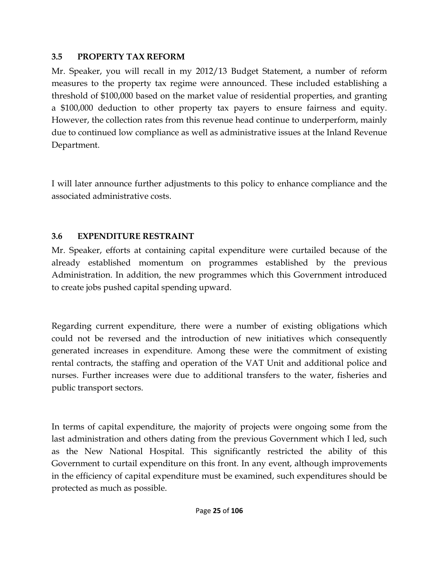#### <span id="page-24-0"></span>**3.5 PROPERTY TAX REFORM**

Mr. Speaker, you will recall in my 2012/13 Budget Statement, a number of reform measures to the property tax regime were announced. These included establishing a threshold of \$100,000 based on the market value of residential properties, and granting a \$100,000 deduction to other property tax payers to ensure fairness and equity. However, the collection rates from this revenue head continue to underperform, mainly due to continued low compliance as well as administrative issues at the Inland Revenue Department.

I will later announce further adjustments to this policy to enhance compliance and the associated administrative costs.

## <span id="page-24-1"></span>**3.6 EXPENDITURE RESTRAINT**

Mr. Speaker, efforts at containing capital expenditure were curtailed because of the already established momentum on programmes established by the previous Administration. In addition, the new programmes which this Government introduced to create jobs pushed capital spending upward.

Regarding current expenditure, there were a number of existing obligations which could not be reversed and the introduction of new initiatives which consequently generated increases in expenditure. Among these were the commitment of existing rental contracts, the staffing and operation of the VAT Unit and additional police and nurses. Further increases were due to additional transfers to the water, fisheries and public transport sectors.

In terms of capital expenditure, the majority of projects were ongoing some from the last administration and others dating from the previous Government which I led, such as the New National Hospital. This significantly restricted the ability of this Government to curtail expenditure on this front. In any event, although improvements in the efficiency of capital expenditure must be examined, such expenditures should be protected as much as possible.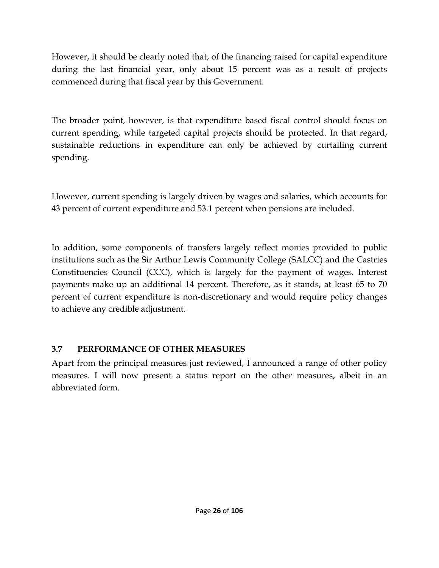However, it should be clearly noted that, of the financing raised for capital expenditure during the last financial year, only about 15 percent was as a result of projects commenced during that fiscal year by this Government.

The broader point, however, is that expenditure based fiscal control should focus on current spending, while targeted capital projects should be protected. In that regard, sustainable reductions in expenditure can only be achieved by curtailing current spending.

However, current spending is largely driven by wages and salaries, which accounts for 43 percent of current expenditure and 53.1 percent when pensions are included.

In addition, some components of transfers largely reflect monies provided to public institutions such as the Sir Arthur Lewis Community College (SALCC) and the Castries Constituencies Council (CCC), which is largely for the payment of wages. Interest payments make up an additional 14 percent. Therefore, as it stands, at least 65 to 70 percent of current expenditure is non-discretionary and would require policy changes to achieve any credible adjustment.

## <span id="page-25-0"></span>**3.7 PERFORMANCE OF OTHER MEASURES**

Apart from the principal measures just reviewed, I announced a range of other policy measures. I will now present a status report on the other measures, albeit in an abbreviated form.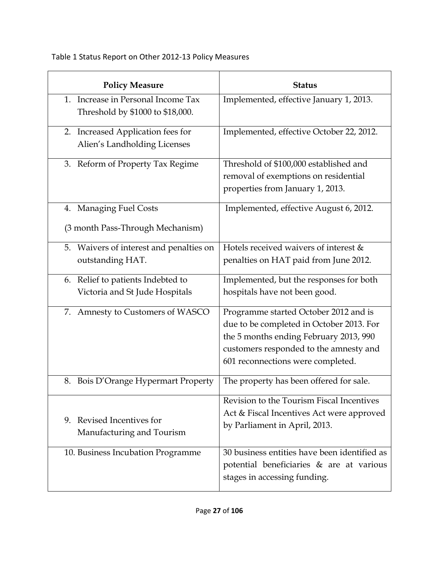Table 1 Status Report on Other 2012-13 Policy Measures

| <b>Policy Measure</b>                                                  | <b>Status</b>                                                                                                                                                                                              |
|------------------------------------------------------------------------|------------------------------------------------------------------------------------------------------------------------------------------------------------------------------------------------------------|
| 1. Increase in Personal Income Tax<br>Threshold by \$1000 to \$18,000. | Implemented, effective January 1, 2013.                                                                                                                                                                    |
| Increased Application fees for<br>2.<br>Alien's Landholding Licenses   | Implemented, effective October 22, 2012.                                                                                                                                                                   |
| Reform of Property Tax Regime<br>3.                                    | Threshold of \$100,000 established and<br>removal of exemptions on residential<br>properties from January 1, 2013.                                                                                         |
| 4. Managing Fuel Costs<br>(3 month Pass-Through Mechanism)             | Implemented, effective August 6, 2012.                                                                                                                                                                     |
| 5. Waivers of interest and penalties on<br>outstanding HAT.            | Hotels received waivers of interest &<br>penalties on HAT paid from June 2012.                                                                                                                             |
| 6. Relief to patients Indebted to<br>Victoria and St Jude Hospitals    | Implemented, but the responses for both<br>hospitals have not been good.                                                                                                                                   |
| 7. Amnesty to Customers of WASCO                                       | Programme started October 2012 and is<br>due to be completed in October 2013. For<br>the 5 months ending February 2013, 990<br>customers responded to the amnesty and<br>601 reconnections were completed. |
| 8. Bois D'Orange Hypermart Property                                    | The property has been offered for sale.                                                                                                                                                                    |
| 9. Revised Incentives for<br>Manufacturing and Tourism                 | Revision to the Tourism Fiscal Incentives<br>Act & Fiscal Incentives Act were approved<br>by Parliament in April, 2013.                                                                                    |
| 10. Business Incubation Programme                                      | 30 business entities have been identified as<br>potential beneficiaries & are at various<br>stages in accessing funding.                                                                                   |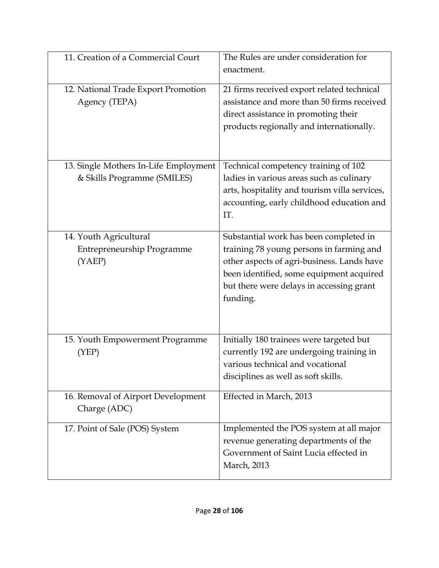| 11. Creation of a Commercial Court                                   | The Rules are under consideration for<br>enactment.                                                                                                                                                                                  |
|----------------------------------------------------------------------|--------------------------------------------------------------------------------------------------------------------------------------------------------------------------------------------------------------------------------------|
| 12. National Trade Export Promotion<br>Agency (TEPA)                 | 21 firms received export related technical<br>assistance and more than 50 firms received<br>direct assistance in promoting their<br>products regionally and internationally.                                                         |
| 13. Single Mothers In-Life Employment<br>& Skills Programme (SMILES) | Technical competency training of 102<br>ladies in various areas such as culinary<br>arts, hospitality and tourism villa services,<br>accounting, early childhood education and<br>IT.                                                |
| 14. Youth Agricultural<br>Entrepreneurship Programme<br>(YAEP)       | Substantial work has been completed in<br>training 78 young persons in farming and<br>other aspects of agri-business. Lands have<br>been identified, some equipment acquired<br>but there were delays in accessing grant<br>funding. |
| 15. Youth Empowerment Programme<br>(YEP)                             | Initially 180 trainees were targeted but<br>currently 192 are undergoing training in<br>various technical and vocational<br>disciplines as well as soft skills.                                                                      |
| 16. Removal of Airport Development<br>Charge (ADC)                   | Effected in March, 2013                                                                                                                                                                                                              |
| 17. Point of Sale (POS) System                                       | Implemented the POS system at all major<br>revenue generating departments of the<br>Government of Saint Lucia effected in<br>March, 2013                                                                                             |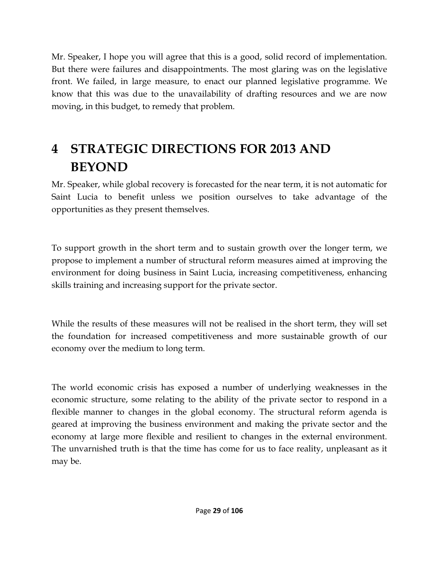Mr. Speaker, I hope you will agree that this is a good, solid record of implementation. But there were failures and disappointments. The most glaring was on the legislative front. We failed, in large measure, to enact our planned legislative programme. We know that this was due to the unavailability of drafting resources and we are now moving, in this budget, to remedy that problem.

## <span id="page-28-0"></span>**4 STRATEGIC DIRECTIONS FOR 2013 AND BEYOND**

Mr. Speaker, while global recovery is forecasted for the near term, it is not automatic for Saint Lucia to benefit unless we position ourselves to take advantage of the opportunities as they present themselves.

To support growth in the short term and to sustain growth over the longer term, we propose to implement a number of structural reform measures aimed at improving the environment for doing business in Saint Lucia, increasing competitiveness, enhancing skills training and increasing support for the private sector.

While the results of these measures will not be realised in the short term, they will set the foundation for increased competitiveness and more sustainable growth of our economy over the medium to long term.

The world economic crisis has exposed a number of underlying weaknesses in the economic structure, some relating to the ability of the private sector to respond in a flexible manner to changes in the global economy. The structural reform agenda is geared at improving the business environment and making the private sector and the economy at large more flexible and resilient to changes in the external environment. The unvarnished truth is that the time has come for us to face reality, unpleasant as it may be.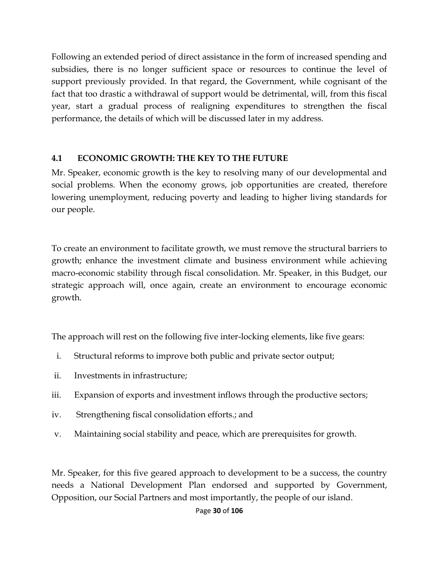Following an extended period of direct assistance in the form of increased spending and subsidies, there is no longer sufficient space or resources to continue the level of support previously provided. In that regard, the Government, while cognisant of the fact that too drastic a withdrawal of support would be detrimental, will, from this fiscal year, start a gradual process of realigning expenditures to strengthen the fiscal performance, the details of which will be discussed later in my address.

#### <span id="page-29-0"></span>**4.1 ECONOMIC GROWTH: THE KEY TO THE FUTURE**

Mr. Speaker, economic growth is the key to resolving many of our developmental and social problems. When the economy grows, job opportunities are created, therefore lowering unemployment, reducing poverty and leading to higher living standards for our people.

To create an environment to facilitate growth, we must remove the structural barriers to growth; enhance the investment climate and business environment while achieving macro-economic stability through fiscal consolidation. Mr. Speaker, in this Budget, our strategic approach will, once again, create an environment to encourage economic growth.

The approach will rest on the following five inter-locking elements, like five gears:

- i. Structural reforms to improve both public and private sector output;
- ii. Investments in infrastructure;
- iii. Expansion of exports and investment inflows through the productive sectors;
- iv. Strengthening fiscal consolidation efforts.; and
- v. Maintaining social stability and peace, which are prerequisites for growth.

Mr. Speaker, for this five geared approach to development to be a success, the country needs a National Development Plan endorsed and supported by Government, Opposition, our Social Partners and most importantly, the people of our island.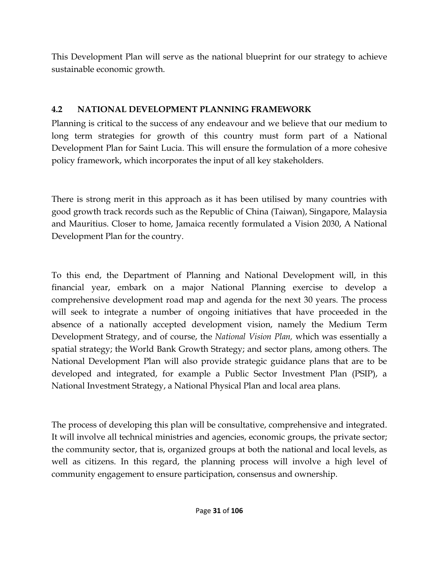This Development Plan will serve as the national blueprint for our strategy to achieve sustainable economic growth.

## <span id="page-30-0"></span>**4.2 NATIONAL DEVELOPMENT PLANNING FRAMEWORK**

Planning is critical to the success of any endeavour and we believe that our medium to long term strategies for growth of this country must form part of a National Development Plan for Saint Lucia. This will ensure the formulation of a more cohesive policy framework, which incorporates the input of all key stakeholders.

There is strong merit in this approach as it has been utilised by many countries with good growth track records such as the Republic of China (Taiwan), Singapore, Malaysia and Mauritius. Closer to home, Jamaica recently formulated a Vision 2030, A National Development Plan for the country.

To this end, the Department of Planning and National Development will, in this financial year, embark on a major National Planning exercise to develop a comprehensive development road map and agenda for the next 30 years. The process will seek to integrate a number of ongoing initiatives that have proceeded in the absence of a nationally accepted development vision, namely the Medium Term Development Strategy, and of course, the *National Vision Plan,* which was essentially a spatial strategy; the World Bank Growth Strategy; and sector plans, among others. The National Development Plan will also provide strategic guidance plans that are to be developed and integrated, for example a Public Sector Investment Plan (PSIP), a National Investment Strategy, a National Physical Plan and local area plans.

The process of developing this plan will be consultative, comprehensive and integrated. It will involve all technical ministries and agencies, economic groups, the private sector; the community sector, that is, organized groups at both the national and local levels, as well as citizens. In this regard, the planning process will involve a high level of community engagement to ensure participation, consensus and ownership.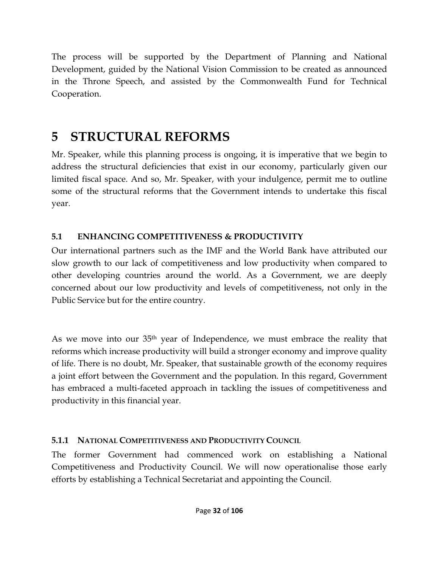The process will be supported by the Department of Planning and National Development, guided by the National Vision Commission to be created as announced in the Throne Speech, and assisted by the Commonwealth Fund for Technical Cooperation.

## <span id="page-31-0"></span>**5 STRUCTURAL REFORMS**

Mr. Speaker, while this planning process is ongoing, it is imperative that we begin to address the structural deficiencies that exist in our economy, particularly given our limited fiscal space. And so, Mr. Speaker, with your indulgence, permit me to outline some of the structural reforms that the Government intends to undertake this fiscal year.

## <span id="page-31-1"></span>**5.1 ENHANCING COMPETITIVENESS & PRODUCTIVITY**

Our international partners such as the IMF and the World Bank have attributed our slow growth to our lack of competitiveness and low productivity when compared to other developing countries around the world. As a Government, we are deeply concerned about our low productivity and levels of competitiveness, not only in the Public Service but for the entire country.

As we move into our 35th year of Independence, we must embrace the reality that reforms which increase productivity will build a stronger economy and improve quality of life. There is no doubt, Mr. Speaker, that sustainable growth of the economy requires a joint effort between the Government and the population. In this regard, Government has embraced a multi-faceted approach in tackling the issues of competitiveness and productivity in this financial year.

## <span id="page-31-2"></span>**5.1.1 NATIONAL COMPETITIVENESS AND PRODUCTIVITY COUNCIL**

The former Government had commenced work on establishing a National Competitiveness and Productivity Council. We will now operationalise those early efforts by establishing a Technical Secretariat and appointing the Council.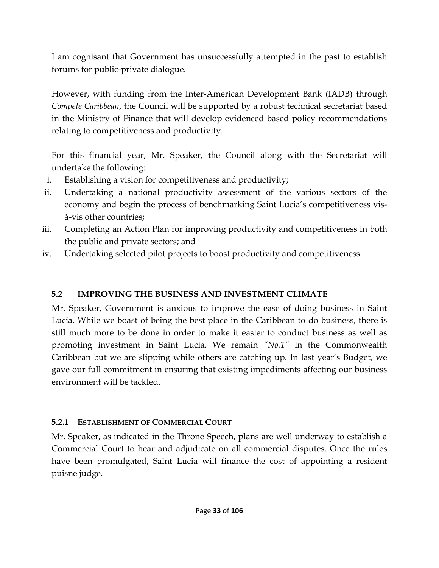I am cognisant that Government has unsuccessfully attempted in the past to establish forums for public-private dialogue.

However, with funding from the Inter-American Development Bank (IADB) through *Compete Caribbean*, the Council will be supported by a robust technical secretariat based in the Ministry of Finance that will develop evidenced based policy recommendations relating to competitiveness and productivity.

For this financial year, Mr. Speaker, the Council along with the Secretariat will undertake the following:

- i. Establishing a vision for competitiveness and productivity;
- ii. Undertaking a national productivity assessment of the various sectors of the economy and begin the process of benchmarking Saint Lucia's competitiveness visà-vis other countries;
- iii. Completing an Action Plan for improving productivity and competitiveness in both the public and private sectors; and
- iv. Undertaking selected pilot projects to boost productivity and competitiveness.

## <span id="page-32-0"></span>**5.2 IMPROVING THE BUSINESS AND INVESTMENT CLIMATE**

Mr. Speaker, Government is anxious to improve the ease of doing business in Saint Lucia. While we boast of being the best place in the Caribbean to do business, there is still much more to be done in order to make it easier to conduct business as well as promoting investment in Saint Lucia. We remain *"No.1"* in the Commonwealth Caribbean but we are slipping while others are catching up. In last year's Budget, we gave our full commitment in ensuring that existing impediments affecting our business environment will be tackled.

## <span id="page-32-1"></span>**5.2.1 ESTABLISHMENT OF COMMERCIAL COURT**

Mr. Speaker, as indicated in the Throne Speech, plans are well underway to establish a Commercial Court to hear and adjudicate on all commercial disputes. Once the rules have been promulgated, Saint Lucia will finance the cost of appointing a resident puisne judge.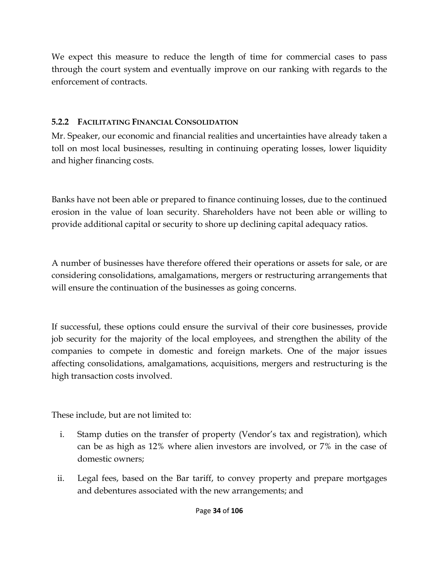We expect this measure to reduce the length of time for commercial cases to pass through the court system and eventually improve on our ranking with regards to the enforcement of contracts.

## <span id="page-33-0"></span>**5.2.2 FACILITATING FINANCIAL CONSOLIDATION**

Mr. Speaker, our economic and financial realities and uncertainties have already taken a toll on most local businesses, resulting in continuing operating losses, lower liquidity and higher financing costs.

Banks have not been able or prepared to finance continuing losses, due to the continued erosion in the value of loan security. Shareholders have not been able or willing to provide additional capital or security to shore up declining capital adequacy ratios.

A number of businesses have therefore offered their operations or assets for sale, or are considering consolidations, amalgamations, mergers or restructuring arrangements that will ensure the continuation of the businesses as going concerns.

If successful, these options could ensure the survival of their core businesses, provide job security for the majority of the local employees, and strengthen the ability of the companies to compete in domestic and foreign markets. One of the major issues affecting consolidations, amalgamations, acquisitions, mergers and restructuring is the high transaction costs involved.

These include, but are not limited to:

- i. Stamp duties on the transfer of property (Vendor's tax and registration), which can be as high as 12% where alien investors are involved, or 7% in the case of domestic owners;
- ii. Legal fees, based on the Bar tariff, to convey property and prepare mortgages and debentures associated with the new arrangements; and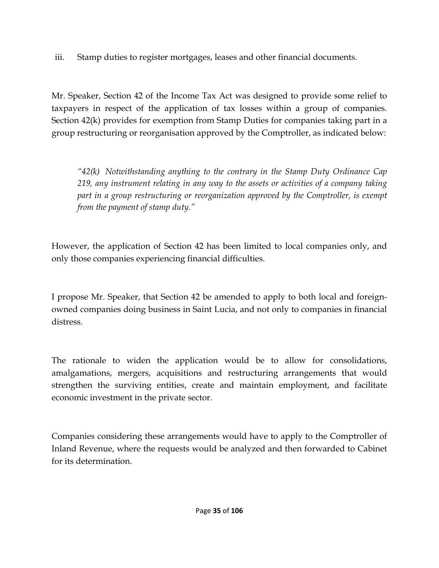iii. Stamp duties to register mortgages, leases and other financial documents.

Mr. Speaker, Section 42 of the Income Tax Act was designed to provide some relief to taxpayers in respect of the application of tax losses within a group of companies. Section 42(k) provides for exemption from Stamp Duties for companies taking part in a group restructuring or reorganisation approved by the Comptroller, as indicated below:

*"42(k) Notwithstanding anything to the contrary in the Stamp Duty Ordinance Cap 219, any instrument relating in any way to the assets or activities of a company taking part in a group restructuring or reorganization approved by the Comptroller, is exempt from the payment of stamp duty."*

However, the application of Section 42 has been limited to local companies only, and only those companies experiencing financial difficulties.

I propose Mr. Speaker, that Section 42 be amended to apply to both local and foreignowned companies doing business in Saint Lucia, and not only to companies in financial distress.

The rationale to widen the application would be to allow for consolidations, amalgamations, mergers, acquisitions and restructuring arrangements that would strengthen the surviving entities, create and maintain employment, and facilitate economic investment in the private sector.

Companies considering these arrangements would have to apply to the Comptroller of Inland Revenue, where the requests would be analyzed and then forwarded to Cabinet for its determination.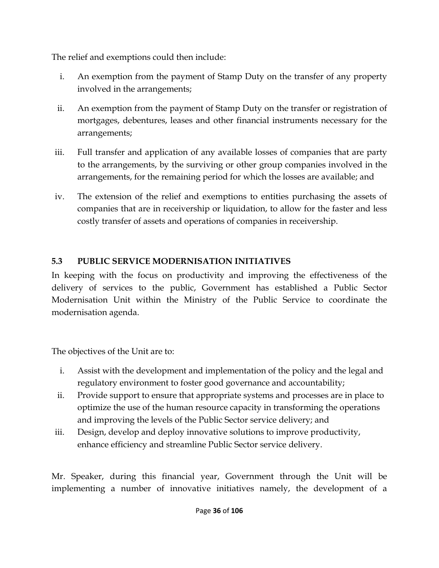The relief and exemptions could then include:

- i. An exemption from the payment of Stamp Duty on the transfer of any property involved in the arrangements;
- ii. An exemption from the payment of Stamp Duty on the transfer or registration of mortgages, debentures, leases and other financial instruments necessary for the arrangements;
- iii. Full transfer and application of any available losses of companies that are party to the arrangements, by the surviving or other group companies involved in the arrangements, for the remaining period for which the losses are available; and
- iv. The extension of the relief and exemptions to entities purchasing the assets of companies that are in receivership or liquidation, to allow for the faster and less costly transfer of assets and operations of companies in receivership.

## <span id="page-35-0"></span>**5.3 PUBLIC SERVICE MODERNISATION INITIATIVES**

In keeping with the focus on productivity and improving the effectiveness of the delivery of services to the public, Government has established a Public Sector Modernisation Unit within the Ministry of the Public Service to coordinate the modernisation agenda.

The objectives of the Unit are to:

- i. Assist with the development and implementation of the policy and the legal and regulatory environment to foster good governance and accountability;
- ii. Provide support to ensure that appropriate systems and processes are in place to optimize the use of the human resource capacity in transforming the operations and improving the levels of the Public Sector service delivery; and
- iii. Design, develop and deploy innovative solutions to improve productivity, enhance efficiency and streamline Public Sector service delivery.

Mr. Speaker, during this financial year, Government through the Unit will be implementing a number of innovative initiatives namely, the development of a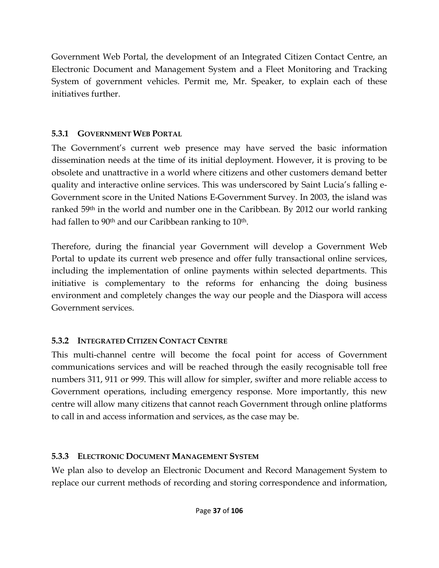Government Web Portal, the development of an Integrated Citizen Contact Centre, an Electronic Document and Management System and a Fleet Monitoring and Tracking System of government vehicles. Permit me, Mr. Speaker, to explain each of these initiatives further.

### **5.3.1 GOVERNMENT WEB PORTAL**

The Government's current web presence may have served the basic information dissemination needs at the time of its initial deployment. However, it is proving to be obsolete and unattractive in a world where citizens and other customers demand better quality and interactive online services. This was underscored by Saint Lucia's falling e-Government score in the United Nations E-Government Survey. In 2003, the island was ranked 59<sup>th</sup> in the world and number one in the Caribbean. By 2012 our world ranking had fallen to 90<sup>th</sup> and our Caribbean ranking to 10<sup>th</sup>.

Therefore, during the financial year Government will develop a Government Web Portal to update its current web presence and offer fully transactional online services, including the implementation of online payments within selected departments. This initiative is complementary to the reforms for enhancing the doing business environment and completely changes the way our people and the Diaspora will access Government services.

## **5.3.2 INTEGRATED CITIZEN CONTACT CENTRE**

This multi-channel centre will become the focal point for access of Government communications services and will be reached through the easily recognisable toll free numbers 311, 911 or 999. This will allow for simpler, swifter and more reliable access to Government operations, including emergency response. More importantly, this new centre will allow many citizens that cannot reach Government through online platforms to call in and access information and services, as the case may be.

## **5.3.3 ELECTRONIC DOCUMENT MANAGEMENT SYSTEM**

We plan also to develop an Electronic Document and Record Management System to replace our current methods of recording and storing correspondence and information,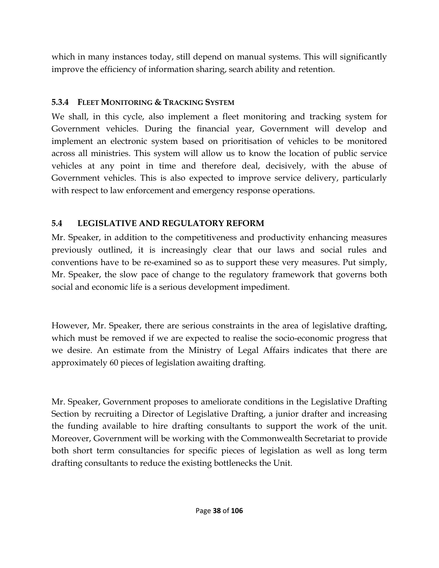which in many instances today, still depend on manual systems. This will significantly improve the efficiency of information sharing, search ability and retention.

#### **5.3.4 FLEET MONITORING & TRACKING SYSTEM**

We shall, in this cycle, also implement a fleet monitoring and tracking system for Government vehicles. During the financial year, Government will develop and implement an electronic system based on prioritisation of vehicles to be monitored across all ministries. This system will allow us to know the location of public service vehicles at any point in time and therefore deal, decisively, with the abuse of Government vehicles. This is also expected to improve service delivery, particularly with respect to law enforcement and emergency response operations.

## **5.4 LEGISLATIVE AND REGULATORY REFORM**

Mr. Speaker, in addition to the competitiveness and productivity enhancing measures previously outlined, it is increasingly clear that our laws and social rules and conventions have to be re-examined so as to support these very measures. Put simply, Mr. Speaker, the slow pace of change to the regulatory framework that governs both social and economic life is a serious development impediment.

However, Mr. Speaker, there are serious constraints in the area of legislative drafting, which must be removed if we are expected to realise the socio-economic progress that we desire. An estimate from the Ministry of Legal Affairs indicates that there are approximately 60 pieces of legislation awaiting drafting.

Mr. Speaker, Government proposes to ameliorate conditions in the Legislative Drafting Section by recruiting a Director of Legislative Drafting, a junior drafter and increasing the funding available to hire drafting consultants to support the work of the unit. Moreover, Government will be working with the Commonwealth Secretariat to provide both short term consultancies for specific pieces of legislation as well as long term drafting consultants to reduce the existing bottlenecks the Unit.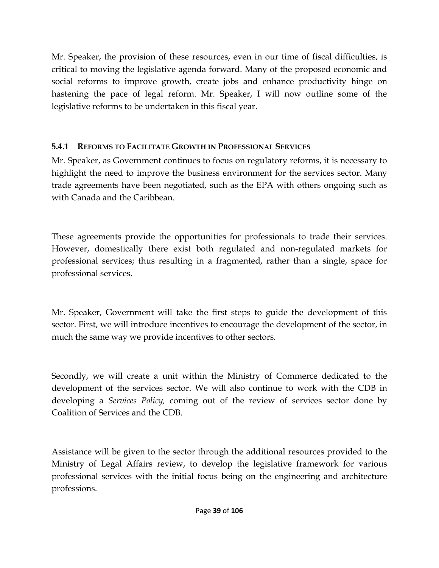Mr. Speaker, the provision of these resources, even in our time of fiscal difficulties, is critical to moving the legislative agenda forward. Many of the proposed economic and social reforms to improve growth, create jobs and enhance productivity hinge on hastening the pace of legal reform. Mr. Speaker, I will now outline some of the legislative reforms to be undertaken in this fiscal year.

## **5.4.1 REFORMS TO FACILITATE GROWTH IN PROFESSIONAL SERVICES**

Mr. Speaker, as Government continues to focus on regulatory reforms, it is necessary to highlight the need to improve the business environment for the services sector. Many trade agreements have been negotiated, such as the EPA with others ongoing such as with Canada and the Caribbean.

These agreements provide the opportunities for professionals to trade their services. However, domestically there exist both regulated and non-regulated markets for professional services; thus resulting in a fragmented, rather than a single, space for professional services.

Mr. Speaker, Government will take the first steps to guide the development of this sector. First, we will introduce incentives to encourage the development of the sector, in much the same way we provide incentives to other sectors.

Secondly, we will create a unit within the Ministry of Commerce dedicated to the development of the services sector. We will also continue to work with the CDB in developing a *Services Policy,* coming out of the review of services sector done by Coalition of Services and the CDB.

Assistance will be given to the sector through the additional resources provided to the Ministry of Legal Affairs review, to develop the legislative framework for various professional services with the initial focus being on the engineering and architecture professions.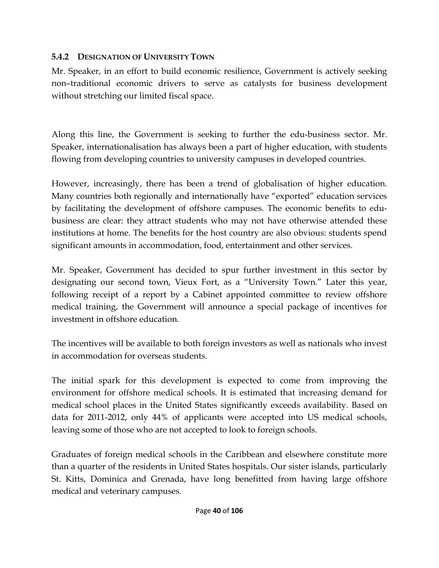#### **5.4.2 DESIGNATION OF UNIVERSITY TOWN**

Mr. Speaker, in an effort to build economic resilience, Government is actively seeking non–traditional economic drivers to serve as catalysts for business development without stretching our limited fiscal space.

Along this line, the Government is seeking to further the edu-business sector. Mr. Speaker, internationalisation has always been a part of higher education, with students flowing from developing countries to university campuses in developed countries.

However, increasingly, there has been a trend of globalisation of higher education. Many countries both regionally and internationally have "exported" education services by facilitating the development of offshore campuses. The economic benefits to edubusiness are clear: they attract students who may not have otherwise attended these institutions at home. The benefits for the host country are also obvious: students spend significant amounts in accommodation, food, entertainment and other services.

Mr. Speaker, Government has decided to spur further investment in this sector by designating our second town, Vieux Fort, as a "University Town." Later this year, following receipt of a report by a Cabinet appointed committee to review offshore medical training, the Government will announce a special package of incentives for investment in offshore education.

The incentives will be available to both foreign investors as well as nationals who invest in accommodation for overseas students.

The initial spark for this development is expected to come from improving the environment for offshore medical schools. It is estimated that increasing demand for medical school places in the United States significantly exceeds availability. Based on data for 2011-2012, only 44% of applicants were accepted into US medical schools, leaving some of those who are not accepted to look to foreign schools.

Graduates of foreign medical schools in the Caribbean and elsewhere constitute more than a quarter of the residents in United States hospitals. Our sister islands, particularly St. Kitts, Dominica and Grenada, have long benefitted from having large offshore medical and veterinary campuses.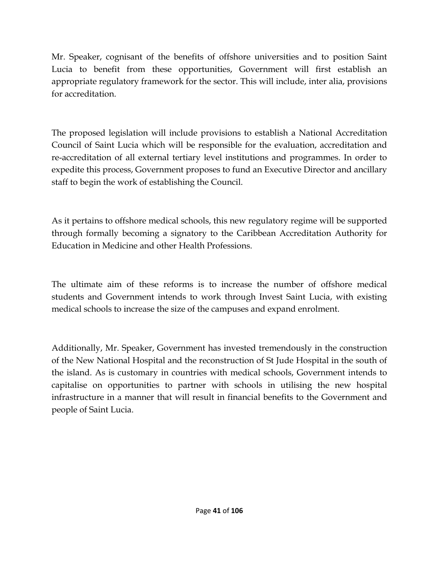Mr. Speaker, cognisant of the benefits of offshore universities and to position Saint Lucia to benefit from these opportunities, Government will first establish an appropriate regulatory framework for the sector. This will include, inter alia, provisions for accreditation.

The proposed legislation will include provisions to establish a National Accreditation Council of Saint Lucia which will be responsible for the evaluation, accreditation and re-accreditation of all external tertiary level institutions and programmes. In order to expedite this process, Government proposes to fund an Executive Director and ancillary staff to begin the work of establishing the Council.

As it pertains to offshore medical schools, this new regulatory regime will be supported through formally becoming a signatory to the Caribbean Accreditation Authority for Education in Medicine and other Health Professions.

The ultimate aim of these reforms is to increase the number of offshore medical students and Government intends to work through Invest Saint Lucia, with existing medical schools to increase the size of the campuses and expand enrolment.

Additionally, Mr. Speaker, Government has invested tremendously in the construction of the New National Hospital and the reconstruction of St Jude Hospital in the south of the island. As is customary in countries with medical schools, Government intends to capitalise on opportunities to partner with schools in utilising the new hospital infrastructure in a manner that will result in financial benefits to the Government and people of Saint Lucia.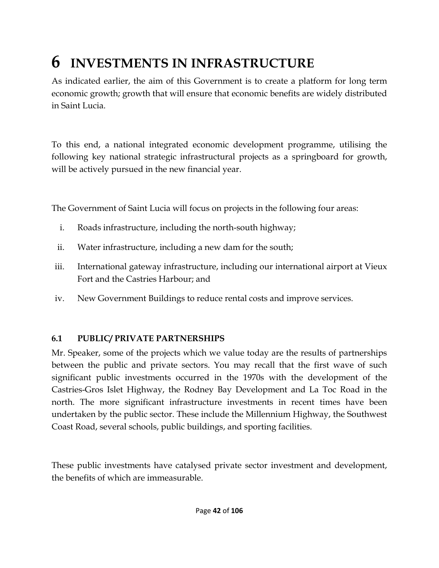# **6 INVESTMENTS IN INFRASTRUCTURE**

As indicated earlier, the aim of this Government is to create a platform for long term economic growth; growth that will ensure that economic benefits are widely distributed in Saint Lucia.

To this end, a national integrated economic development programme, utilising the following key national strategic infrastructural projects as a springboard for growth, will be actively pursued in the new financial year.

The Government of Saint Lucia will focus on projects in the following four areas:

- i. Roads infrastructure, including the north-south highway;
- ii. Water infrastructure, including a new dam for the south;
- iii. International gateway infrastructure, including our international airport at Vieux Fort and the Castries Harbour; and
- iv. New Government Buildings to reduce rental costs and improve services.

## **6.1 PUBLIC/ PRIVATE PARTNERSHIPS**

Mr. Speaker, some of the projects which we value today are the results of partnerships between the public and private sectors. You may recall that the first wave of such significant public investments occurred in the 1970s with the development of the Castries-Gros Islet Highway, the Rodney Bay Development and La Toc Road in the north. The more significant infrastructure investments in recent times have been undertaken by the public sector. These include the Millennium Highway, the Southwest Coast Road, several schools, public buildings, and sporting facilities.

These public investments have catalysed private sector investment and development, the benefits of which are immeasurable.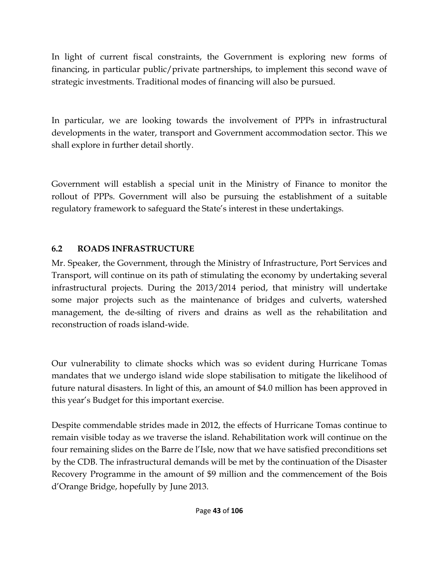In light of current fiscal constraints, the Government is exploring new forms of financing, in particular public/private partnerships, to implement this second wave of strategic investments. Traditional modes of financing will also be pursued.

In particular, we are looking towards the involvement of PPPs in infrastructural developments in the water, transport and Government accommodation sector. This we shall explore in further detail shortly.

Government will establish a special unit in the Ministry of Finance to monitor the rollout of PPPs. Government will also be pursuing the establishment of a suitable regulatory framework to safeguard the State's interest in these undertakings.

## **6.2 ROADS INFRASTRUCTURE**

Mr. Speaker, the Government, through the Ministry of Infrastructure, Port Services and Transport, will continue on its path of stimulating the economy by undertaking several infrastructural projects. During the 2013/2014 period, that ministry will undertake some major projects such as the maintenance of bridges and culverts, watershed management, the de-silting of rivers and drains as well as the rehabilitation and reconstruction of roads island-wide.

Our vulnerability to climate shocks which was so evident during Hurricane Tomas mandates that we undergo island wide slope stabilisation to mitigate the likelihood of future natural disasters. In light of this, an amount of \$4.0 million has been approved in this year's Budget for this important exercise.

Despite commendable strides made in 2012, the effects of Hurricane Tomas continue to remain visible today as we traverse the island. Rehabilitation work will continue on the four remaining slides on the Barre de l'Isle, now that we have satisfied preconditions set by the CDB. The infrastructural demands will be met by the continuation of the Disaster Recovery Programme in the amount of \$9 million and the commencement of the Bois d'Orange Bridge, hopefully by June 2013.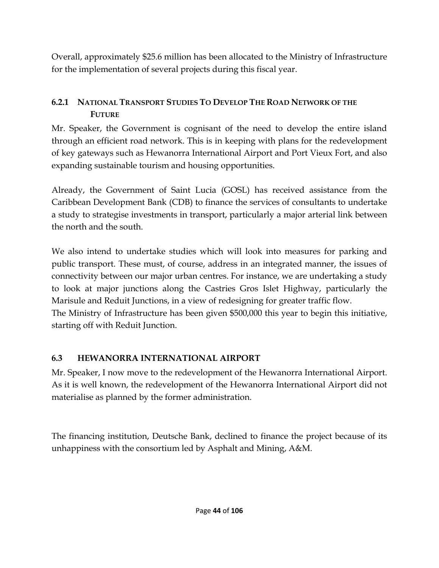Overall, approximately \$25.6 million has been allocated to the Ministry of Infrastructure for the implementation of several projects during this fiscal year.

#### **6.2.1 NATIONAL TRANSPORT STUDIES TO DEVELOP THE ROAD NETWORK OF THE FUTURE**

Mr. Speaker, the Government is cognisant of the need to develop the entire island through an efficient road network. This is in keeping with plans for the redevelopment of key gateways such as Hewanorra International Airport and Port Vieux Fort, and also expanding sustainable tourism and housing opportunities.

Already, the Government of Saint Lucia (GOSL) has received assistance from the Caribbean Development Bank (CDB) to finance the services of consultants to undertake a study to strategise investments in transport, particularly a major arterial link between the north and the south.

We also intend to undertake studies which will look into measures for parking and public transport. These must, of course, address in an integrated manner, the issues of connectivity between our major urban centres. For instance, we are undertaking a study to look at major junctions along the Castries Gros Islet Highway, particularly the Marisule and Reduit Junctions, in a view of redesigning for greater traffic flow. The Ministry of Infrastructure has been given \$500,000 this year to begin this initiative, starting off with Reduit Junction.

#### **6.3 HEWANORRA INTERNATIONAL AIRPORT**

Mr. Speaker, I now move to the redevelopment of the Hewanorra International Airport. As it is well known, the redevelopment of the Hewanorra International Airport did not materialise as planned by the former administration.

The financing institution, Deutsche Bank, declined to finance the project because of its unhappiness with the consortium led by Asphalt and Mining, A&M.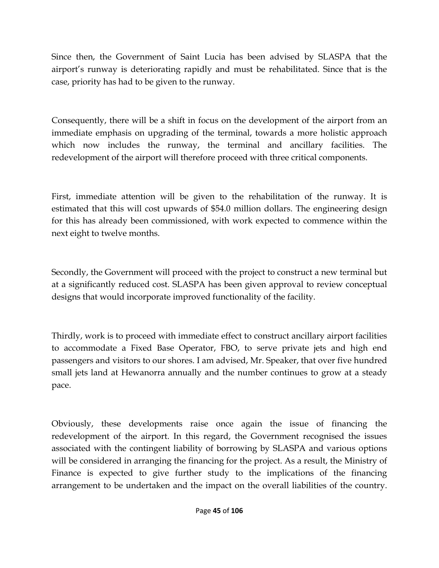Since then, the Government of Saint Lucia has been advised by SLASPA that the airport's runway is deteriorating rapidly and must be rehabilitated. Since that is the case, priority has had to be given to the runway.

Consequently, there will be a shift in focus on the development of the airport from an immediate emphasis on upgrading of the terminal, towards a more holistic approach which now includes the runway, the terminal and ancillary facilities. The redevelopment of the airport will therefore proceed with three critical components.

First, immediate attention will be given to the rehabilitation of the runway. It is estimated that this will cost upwards of \$54.0 million dollars. The engineering design for this has already been commissioned, with work expected to commence within the next eight to twelve months.

Secondly, the Government will proceed with the project to construct a new terminal but at a significantly reduced cost. SLASPA has been given approval to review conceptual designs that would incorporate improved functionality of the facility.

Thirdly, work is to proceed with immediate effect to construct ancillary airport facilities to accommodate a Fixed Base Operator, FBO, to serve private jets and high end passengers and visitors to our shores. I am advised, Mr. Speaker, that over five hundred small jets land at Hewanorra annually and the number continues to grow at a steady pace.

Obviously, these developments raise once again the issue of financing the redevelopment of the airport. In this regard, the Government recognised the issues associated with the contingent liability of borrowing by SLASPA and various options will be considered in arranging the financing for the project. As a result, the Ministry of Finance is expected to give further study to the implications of the financing arrangement to be undertaken and the impact on the overall liabilities of the country.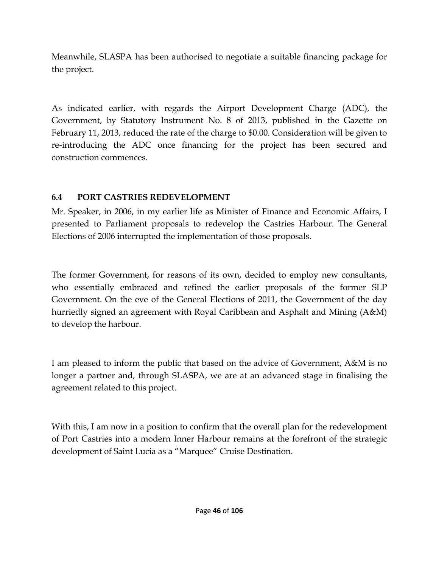Meanwhile, SLASPA has been authorised to negotiate a suitable financing package for the project.

As indicated earlier, with regards the Airport Development Charge (ADC), the Government, by Statutory Instrument No. 8 of 2013, published in the Gazette on February 11, 2013, reduced the rate of the charge to \$0.00. Consideration will be given to re-introducing the ADC once financing for the project has been secured and construction commences.

## **6.4 PORT CASTRIES REDEVELOPMENT**

Mr. Speaker, in 2006, in my earlier life as Minister of Finance and Economic Affairs, I presented to Parliament proposals to redevelop the Castries Harbour. The General Elections of 2006 interrupted the implementation of those proposals.

The former Government, for reasons of its own, decided to employ new consultants, who essentially embraced and refined the earlier proposals of the former SLP Government. On the eve of the General Elections of 2011, the Government of the day hurriedly signed an agreement with Royal Caribbean and Asphalt and Mining (A&M) to develop the harbour.

I am pleased to inform the public that based on the advice of Government, A&M is no longer a partner and, through SLASPA, we are at an advanced stage in finalising the agreement related to this project.

With this, I am now in a position to confirm that the overall plan for the redevelopment of Port Castries into a modern Inner Harbour remains at the forefront of the strategic development of Saint Lucia as a "Marquee" Cruise Destination.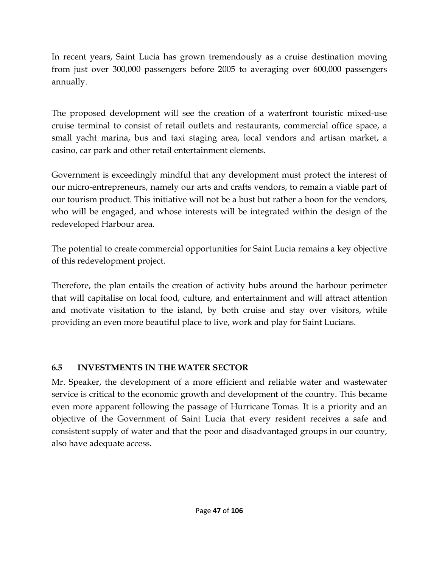In recent years, Saint Lucia has grown tremendously as a cruise destination moving from just over 300,000 passengers before 2005 to averaging over 600,000 passengers annually.

The proposed development will see the creation of a waterfront touristic mixed-use cruise terminal to consist of retail outlets and restaurants, commercial office space, a small yacht marina, bus and taxi staging area, local vendors and artisan market, a casino, car park and other retail entertainment elements.

Government is exceedingly mindful that any development must protect the interest of our micro-entrepreneurs, namely our arts and crafts vendors, to remain a viable part of our tourism product. This initiative will not be a bust but rather a boon for the vendors, who will be engaged, and whose interests will be integrated within the design of the redeveloped Harbour area.

The potential to create commercial opportunities for Saint Lucia remains a key objective of this redevelopment project.

Therefore, the plan entails the creation of activity hubs around the harbour perimeter that will capitalise on local food, culture, and entertainment and will attract attention and motivate visitation to the island, by both cruise and stay over visitors, while providing an even more beautiful place to live, work and play for Saint Lucians.

## **6.5 INVESTMENTS IN THE WATER SECTOR**

Mr. Speaker, the development of a more efficient and reliable water and wastewater service is critical to the economic growth and development of the country. This became even more apparent following the passage of Hurricane Tomas. It is a priority and an objective of the Government of Saint Lucia that every resident receives a safe and consistent supply of water and that the poor and disadvantaged groups in our country, also have adequate access.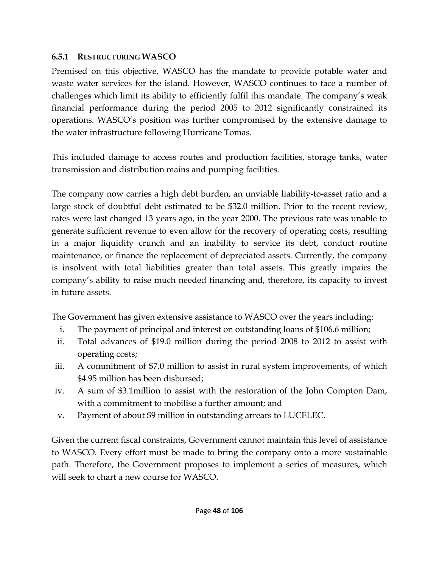#### **6.5.1 RESTRUCTURING WASCO**

Premised on this objective, WASCO has the mandate to provide potable water and waste water services for the island. However, WASCO continues to face a number of challenges which limit its ability to efficiently fulfil this mandate. The company's weak financial performance during the period 2005 to 2012 significantly constrained its operations. WASCO's position was further compromised by the extensive damage to the water infrastructure following Hurricane Tomas.

This included damage to access routes and production facilities, storage tanks, water transmission and distribution mains and pumping facilities.

The company now carries a high debt burden, an unviable liability-to-asset ratio and a large stock of doubtful debt estimated to be \$32.0 million. Prior to the recent review, rates were last changed 13 years ago, in the year 2000. The previous rate was unable to generate sufficient revenue to even allow for the recovery of operating costs, resulting in a major liquidity crunch and an inability to service its debt, conduct routine maintenance, or finance the replacement of depreciated assets. Currently, the company is insolvent with total liabilities greater than total assets. This greatly impairs the company's ability to raise much needed financing and, therefore, its capacity to invest in future assets.

The Government has given extensive assistance to WASCO over the years including:

- i. The payment of principal and interest on outstanding loans of \$106.6 million;
- ii. Total advances of \$19.0 million during the period 2008 to 2012 to assist with operating costs;
- iii. A commitment of \$7.0 million to assist in rural system improvements, of which \$4.95 million has been disbursed;
- iv. A sum of \$3.1million to assist with the restoration of the John Compton Dam, with a commitment to mobilise a further amount; and
- v. Payment of about \$9 million in outstanding arrears to LUCELEC.

Given the current fiscal constraints, Government cannot maintain this level of assistance to WASCO. Every effort must be made to bring the company onto a more sustainable path. Therefore, the Government proposes to implement a series of measures, which will seek to chart a new course for WASCO.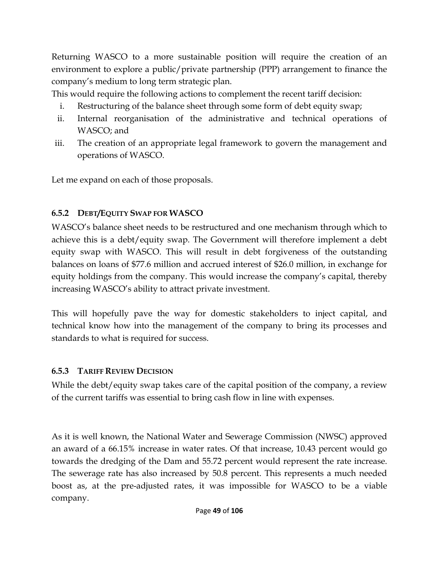Returning WASCO to a more sustainable position will require the creation of an environment to explore a public/private partnership (PPP) arrangement to finance the company's medium to long term strategic plan.

This would require the following actions to complement the recent tariff decision:

- i. Restructuring of the balance sheet through some form of debt equity swap;
- ii. Internal reorganisation of the administrative and technical operations of WASCO; and
- iii. The creation of an appropriate legal framework to govern the management and operations of WASCO.

Let me expand on each of those proposals.

### **6.5.2 DEBT/EQUITY SWAP FOR WASCO**

WASCO's balance sheet needs to be restructured and one mechanism through which to achieve this is a debt/equity swap. The Government will therefore implement a debt equity swap with WASCO. This will result in debt forgiveness of the outstanding balances on loans of \$77.6 million and accrued interest of \$26.0 million, in exchange for equity holdings from the company. This would increase the company's capital, thereby increasing WASCO's ability to attract private investment.

This will hopefully pave the way for domestic stakeholders to inject capital, and technical know how into the management of the company to bring its processes and standards to what is required for success.

## **6.5.3 TARIFF REVIEW DECISION**

While the debt/equity swap takes care of the capital position of the company, a review of the current tariffs was essential to bring cash flow in line with expenses.

As it is well known, the National Water and Sewerage Commission (NWSC) approved an award of a 66.15% increase in water rates. Of that increase, 10.43 percent would go towards the dredging of the Dam and 55.72 percent would represent the rate increase. The sewerage rate has also increased by 50.8 percent. This represents a much needed boost as, at the pre-adjusted rates, it was impossible for WASCO to be a viable company.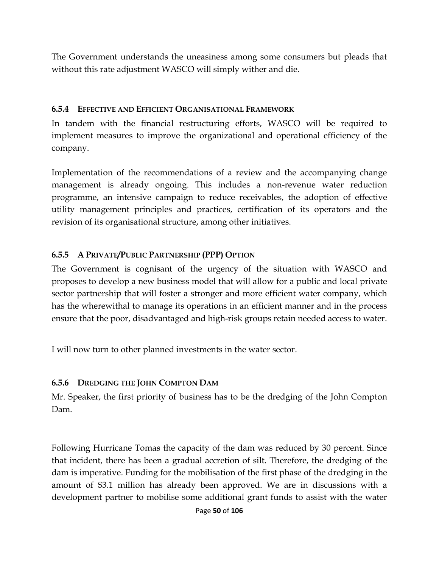The Government understands the uneasiness among some consumers but pleads that without this rate adjustment WASCO will simply wither and die.

#### **6.5.4 EFFECTIVE AND EFFICIENT ORGANISATIONAL FRAMEWORK**

In tandem with the financial restructuring efforts, WASCO will be required to implement measures to improve the organizational and operational efficiency of the company.

Implementation of the recommendations of a review and the accompanying change management is already ongoing. This includes a non-revenue water reduction programme, an intensive campaign to reduce receivables, the adoption of effective utility management principles and practices, certification of its operators and the revision of its organisational structure, among other initiatives.

#### **6.5.5 A PRIVATE/PUBLIC PARTNERSHIP (PPP) OPTION**

The Government is cognisant of the urgency of the situation with WASCO and proposes to develop a new business model that will allow for a public and local private sector partnership that will foster a stronger and more efficient water company, which has the wherewithal to manage its operations in an efficient manner and in the process ensure that the poor, disadvantaged and high-risk groups retain needed access to water.

I will now turn to other planned investments in the water sector.

#### **6.5.6 DREDGING THE JOHN COMPTON DAM**

Mr. Speaker, the first priority of business has to be the dredging of the John Compton Dam.

Following Hurricane Tomas the capacity of the dam was reduced by 30 percent. Since that incident, there has been a gradual accretion of silt. Therefore, the dredging of the dam is imperative. Funding for the mobilisation of the first phase of the dredging in the amount of \$3.1 million has already been approved. We are in discussions with a development partner to mobilise some additional grant funds to assist with the water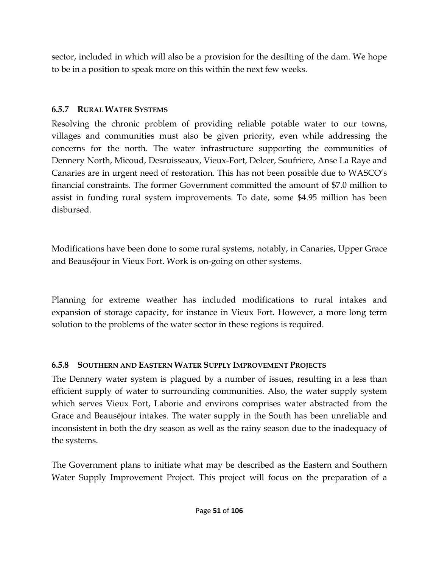sector, included in which will also be a provision for the desilting of the dam. We hope to be in a position to speak more on this within the next few weeks.

#### **6.5.7 RURAL WATER SYSTEMS**

Resolving the chronic problem of providing reliable potable water to our towns, villages and communities must also be given priority, even while addressing the concerns for the north. The water infrastructure supporting the communities of Dennery North, Micoud, Desruisseaux, Vieux-Fort, Delcer, Soufriere, Anse La Raye and Canaries are in urgent need of restoration. This has not been possible due to WASCO's financial constraints. The former Government committed the amount of \$7.0 million to assist in funding rural system improvements. To date, some \$4.95 million has been disbursed.

Modifications have been done to some rural systems, notably, in Canaries, Upper Grace and Beauséjour in Vieux Fort. Work is on-going on other systems.

Planning for extreme weather has included modifications to rural intakes and expansion of storage capacity, for instance in Vieux Fort. However, a more long term solution to the problems of the water sector in these regions is required.

## **6.5.8 SOUTHERN AND EASTERN WATER SUPPLY IMPROVEMENT PROJECTS**

The Dennery water system is plagued by a number of issues, resulting in a less than efficient supply of water to surrounding communities. Also, the water supply system which serves Vieux Fort, Laborie and environs comprises water abstracted from the Grace and Beauséjour intakes. The water supply in the South has been unreliable and inconsistent in both the dry season as well as the rainy season due to the inadequacy of the systems.

The Government plans to initiate what may be described as the Eastern and Southern Water Supply Improvement Project. This project will focus on the preparation of a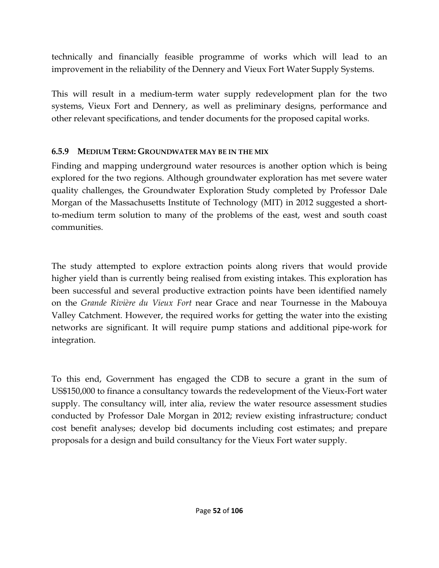technically and financially feasible programme of works which will lead to an improvement in the reliability of the Dennery and Vieux Fort Water Supply Systems.

This will result in a medium-term water supply redevelopment plan for the two systems, Vieux Fort and Dennery, as well as preliminary designs, performance and other relevant specifications, and tender documents for the proposed capital works.

#### **6.5.9 MEDIUM TERM: GROUNDWATER MAY BE IN THE MIX**

Finding and mapping underground water resources is another option which is being explored for the two regions. Although groundwater exploration has met severe water quality challenges, the Groundwater Exploration Study completed by Professor Dale Morgan of the Massachusetts Institute of Technology (MIT) in 2012 suggested a shortto-medium term solution to many of the problems of the east, west and south coast communities.

The study attempted to explore extraction points along rivers that would provide higher yield than is currently being realised from existing intakes. This exploration has been successful and several productive extraction points have been identified namely on the *Grande Rivière du Vieux Fort* near Grace and near Tournesse in the Mabouya Valley Catchment. However, the required works for getting the water into the existing networks are significant. It will require pump stations and additional pipe-work for integration.

To this end, Government has engaged the CDB to secure a grant in the sum of US\$150,000 to finance a consultancy towards the redevelopment of the Vieux-Fort water supply. The consultancy will, inter alia, review the water resource assessment studies conducted by Professor Dale Morgan in 2012; review existing infrastructure; conduct cost benefit analyses; develop bid documents including cost estimates; and prepare proposals for a design and build consultancy for the Vieux Fort water supply.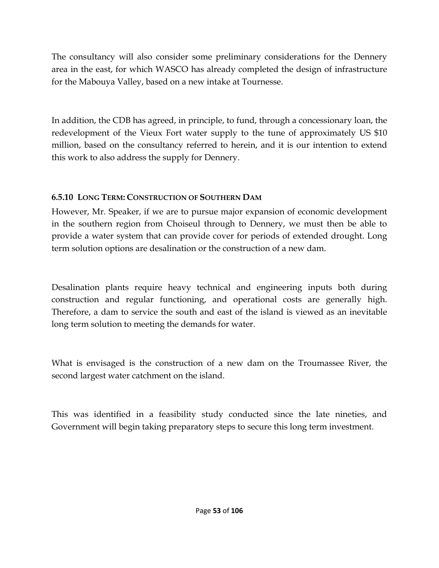The consultancy will also consider some preliminary considerations for the Dennery area in the east, for which WASCO has already completed the design of infrastructure for the Mabouya Valley, based on a new intake at Tournesse.

In addition, the CDB has agreed, in principle, to fund, through a concessionary loan, the redevelopment of the Vieux Fort water supply to the tune of approximately US \$10 million, based on the consultancy referred to herein, and it is our intention to extend this work to also address the supply for Dennery.

### **6.5.10 LONG TERM: CONSTRUCTION OF SOUTHERN DAM**

However, Mr. Speaker, if we are to pursue major expansion of economic development in the southern region from Choiseul through to Dennery, we must then be able to provide a water system that can provide cover for periods of extended drought. Long term solution options are desalination or the construction of a new dam.

Desalination plants require heavy technical and engineering inputs both during construction and regular functioning, and operational costs are generally high. Therefore, a dam to service the south and east of the island is viewed as an inevitable long term solution to meeting the demands for water.

What is envisaged is the construction of a new dam on the Troumassee River, the second largest water catchment on the island.

This was identified in a feasibility study conducted since the late nineties, and Government will begin taking preparatory steps to secure this long term investment.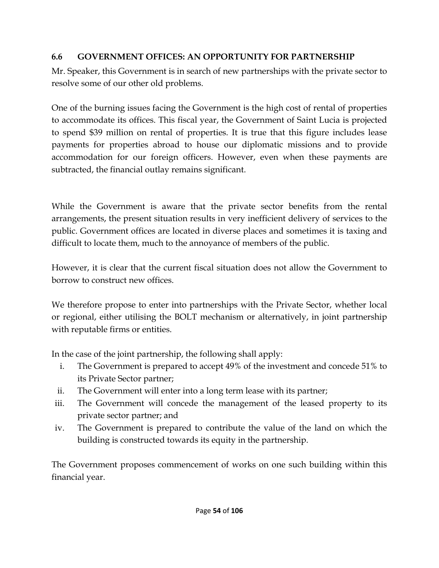### **6.6 GOVERNMENT OFFICES: AN OPPORTUNITY FOR PARTNERSHIP**

Mr. Speaker, this Government is in search of new partnerships with the private sector to resolve some of our other old problems.

One of the burning issues facing the Government is the high cost of rental of properties to accommodate its offices. This fiscal year, the Government of Saint Lucia is projected to spend \$39 million on rental of properties. It is true that this figure includes lease payments for properties abroad to house our diplomatic missions and to provide accommodation for our foreign officers. However, even when these payments are subtracted, the financial outlay remains significant.

While the Government is aware that the private sector benefits from the rental arrangements, the present situation results in very inefficient delivery of services to the public. Government offices are located in diverse places and sometimes it is taxing and difficult to locate them, much to the annoyance of members of the public.

However, it is clear that the current fiscal situation does not allow the Government to borrow to construct new offices.

We therefore propose to enter into partnerships with the Private Sector, whether local or regional, either utilising the BOLT mechanism or alternatively, in joint partnership with reputable firms or entities.

In the case of the joint partnership, the following shall apply:

- i. The Government is prepared to accept 49% of the investment and concede 51% to its Private Sector partner;
- ii. The Government will enter into a long term lease with its partner;
- iii. The Government will concede the management of the leased property to its private sector partner; and
- iv. The Government is prepared to contribute the value of the land on which the building is constructed towards its equity in the partnership.

The Government proposes commencement of works on one such building within this financial year.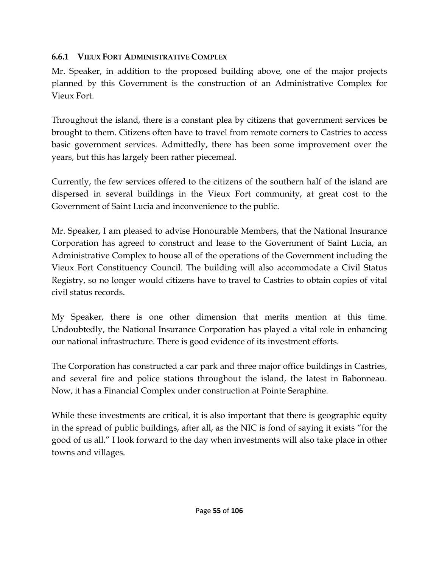#### **6.6.1 VIEUX FORT ADMINISTRATIVE COMPLEX**

Mr. Speaker, in addition to the proposed building above, one of the major projects planned by this Government is the construction of an Administrative Complex for Vieux Fort.

Throughout the island, there is a constant plea by citizens that government services be brought to them. Citizens often have to travel from remote corners to Castries to access basic government services. Admittedly, there has been some improvement over the years, but this has largely been rather piecemeal.

Currently, the few services offered to the citizens of the southern half of the island are dispersed in several buildings in the Vieux Fort community, at great cost to the Government of Saint Lucia and inconvenience to the public.

Mr. Speaker, I am pleased to advise Honourable Members, that the National Insurance Corporation has agreed to construct and lease to the Government of Saint Lucia, an Administrative Complex to house all of the operations of the Government including the Vieux Fort Constituency Council. The building will also accommodate a Civil Status Registry, so no longer would citizens have to travel to Castries to obtain copies of vital civil status records.

My Speaker, there is one other dimension that merits mention at this time. Undoubtedly, the National Insurance Corporation has played a vital role in enhancing our national infrastructure. There is good evidence of its investment efforts.

The Corporation has constructed a car park and three major office buildings in Castries, and several fire and police stations throughout the island, the latest in Babonneau. Now, it has a Financial Complex under construction at Pointe Seraphine.

While these investments are critical, it is also important that there is geographic equity in the spread of public buildings, after all, as the NIC is fond of saying it exists "for the good of us all." I look forward to the day when investments will also take place in other towns and villages.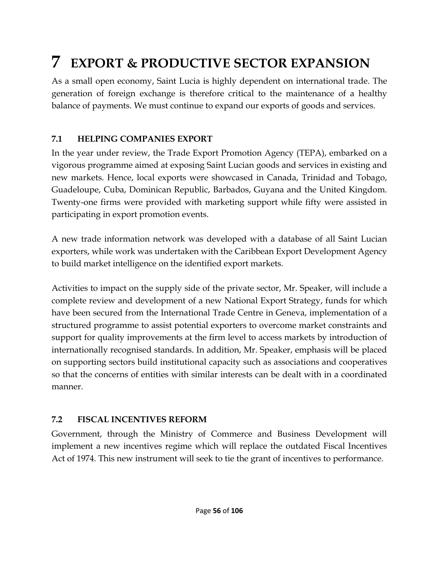# **7 EXPORT & PRODUCTIVE SECTOR EXPANSION**

As a small open economy, Saint Lucia is highly dependent on international trade. The generation of foreign exchange is therefore critical to the maintenance of a healthy balance of payments. We must continue to expand our exports of goods and services.

## **7.1 HELPING COMPANIES EXPORT**

In the year under review, the Trade Export Promotion Agency (TEPA), embarked on a vigorous programme aimed at exposing Saint Lucian goods and services in existing and new markets. Hence, local exports were showcased in Canada, Trinidad and Tobago, Guadeloupe, Cuba, Dominican Republic, Barbados, Guyana and the United Kingdom. Twenty-one firms were provided with marketing support while fifty were assisted in participating in export promotion events.

A new trade information network was developed with a database of all Saint Lucian exporters, while work was undertaken with the Caribbean Export Development Agency to build market intelligence on the identified export markets.

Activities to impact on the supply side of the private sector, Mr. Speaker, will include a complete review and development of a new National Export Strategy, funds for which have been secured from the International Trade Centre in Geneva, implementation of a structured programme to assist potential exporters to overcome market constraints and support for quality improvements at the firm level to access markets by introduction of internationally recognised standards. In addition, Mr. Speaker, emphasis will be placed on supporting sectors build institutional capacity such as associations and cooperatives so that the concerns of entities with similar interests can be dealt with in a coordinated manner.

## **7.2 FISCAL INCENTIVES REFORM**

Government, through the Ministry of Commerce and Business Development will implement a new incentives regime which will replace the outdated Fiscal Incentives Act of 1974. This new instrument will seek to tie the grant of incentives to performance.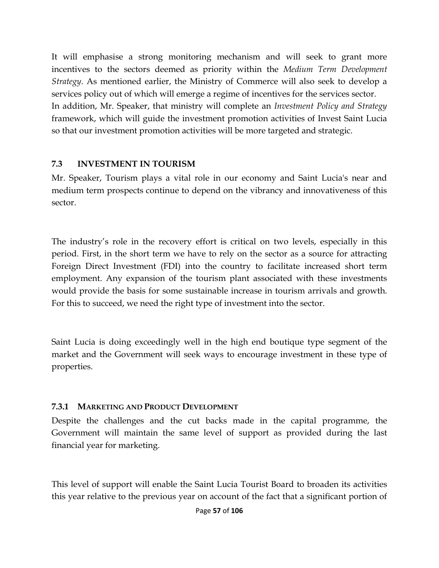It will emphasise a strong monitoring mechanism and will seek to grant more incentives to the sectors deemed as priority within the *Medium Term Development Strategy*. As mentioned earlier, the Ministry of Commerce will also seek to develop a services policy out of which will emerge a regime of incentives for the services sector. In addition, Mr. Speaker, that ministry will complete an *Investment Policy and Strategy* framework, which will guide the investment promotion activities of Invest Saint Lucia so that our investment promotion activities will be more targeted and strategic.

#### **7.3 INVESTMENT IN TOURISM**

Mr. Speaker, Tourism plays a vital role in our economy and Saint Lucia's near and medium term prospects continue to depend on the vibrancy and innovativeness of this sector.

The industry's role in the recovery effort is critical on two levels, especially in this period. First, in the short term we have to rely on the sector as a source for attracting Foreign Direct Investment (FDI) into the country to facilitate increased short term employment. Any expansion of the tourism plant associated with these investments would provide the basis for some sustainable increase in tourism arrivals and growth. For this to succeed, we need the right type of investment into the sector.

Saint Lucia is doing exceedingly well in the high end boutique type segment of the market and the Government will seek ways to encourage investment in these type of properties.

#### **7.3.1 MARKETING AND PRODUCT DEVELOPMENT**

Despite the challenges and the cut backs made in the capital programme, the Government will maintain the same level of support as provided during the last financial year for marketing.

This level of support will enable the Saint Lucia Tourist Board to broaden its activities this year relative to the previous year on account of the fact that a significant portion of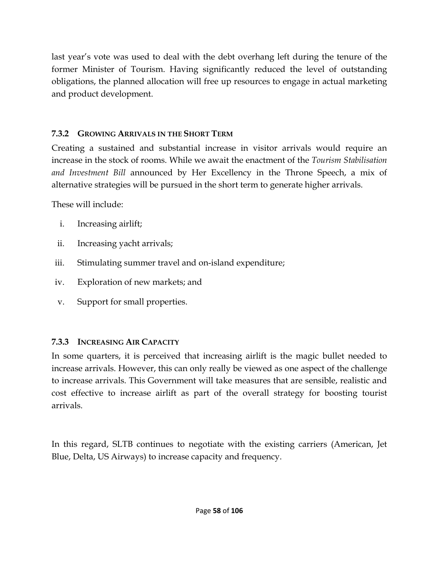last year's vote was used to deal with the debt overhang left during the tenure of the former Minister of Tourism. Having significantly reduced the level of outstanding obligations, the planned allocation will free up resources to engage in actual marketing and product development.

### **7.3.2 GROWING ARRIVALS IN THE SHORT TERM**

Creating a sustained and substantial increase in visitor arrivals would require an increase in the stock of rooms. While we await the enactment of the *Tourism Stabilisation and Investment Bill* announced by Her Excellency in the Throne Speech, a mix of alternative strategies will be pursued in the short term to generate higher arrivals.

These will include:

- i. Increasing airlift;
- ii. Increasing yacht arrivals;
- iii. Stimulating summer travel and on-island expenditure;
- iv. Exploration of new markets; and
- v. Support for small properties.

## **7.3.3 INCREASING AIR CAPACITY**

In some quarters, it is perceived that increasing airlift is the magic bullet needed to increase arrivals. However, this can only really be viewed as one aspect of the challenge to increase arrivals. This Government will take measures that are sensible, realistic and cost effective to increase airlift as part of the overall strategy for boosting tourist arrivals.

In this regard, SLTB continues to negotiate with the existing carriers (American, Jet Blue, Delta, US Airways) to increase capacity and frequency.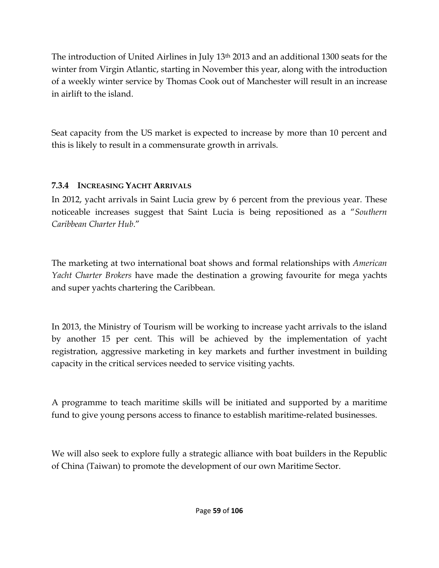The introduction of United Airlines in July 13<sup>th</sup> 2013 and an additional 1300 seats for the winter from Virgin Atlantic, starting in November this year, along with the introduction of a weekly winter service by Thomas Cook out of Manchester will result in an increase in airlift to the island.

Seat capacity from the US market is expected to increase by more than 10 percent and this is likely to result in a commensurate growth in arrivals.

## **7.3.4 INCREASING YACHT ARRIVALS**

In 2012, yacht arrivals in Saint Lucia grew by 6 percent from the previous year. These noticeable increases suggest that Saint Lucia is being repositioned as a "*Southern Caribbean Charter Hub*."

The marketing at two international boat shows and formal relationships with *American Yacht Charter Brokers* have made the destination a growing favourite for mega yachts and super yachts chartering the Caribbean.

In 2013, the Ministry of Tourism will be working to increase yacht arrivals to the island by another 15 per cent. This will be achieved by the implementation of yacht registration, aggressive marketing in key markets and further investment in building capacity in the critical services needed to service visiting yachts.

A programme to teach maritime skills will be initiated and supported by a maritime fund to give young persons access to finance to establish maritime-related businesses.

We will also seek to explore fully a strategic alliance with boat builders in the Republic of China (Taiwan) to promote the development of our own Maritime Sector.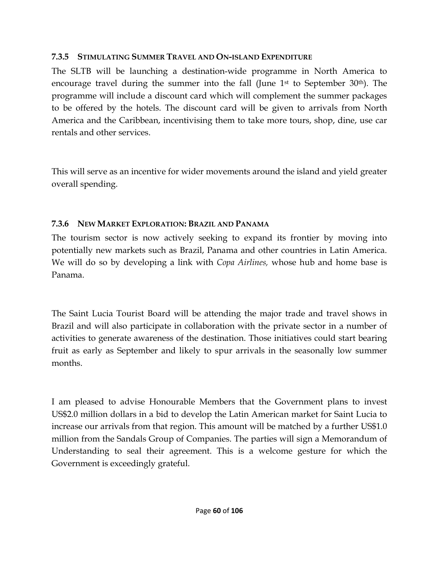#### **7.3.5 STIMULATING SUMMER TRAVEL AND ON-ISLAND EXPENDITURE**

The SLTB will be launching a destination-wide programme in North America to encourage travel during the summer into the fall (June 1<sup>st</sup> to September 30<sup>th</sup>). The programme will include a discount card which will complement the summer packages to be offered by the hotels. The discount card will be given to arrivals from North America and the Caribbean, incentivising them to take more tours, shop, dine, use car rentals and other services.

This will serve as an incentive for wider movements around the island and yield greater overall spending.

### **7.3.6 NEW MARKET EXPLORATION: BRAZIL AND PANAMA**

The tourism sector is now actively seeking to expand its frontier by moving into potentially new markets such as Brazil, Panama and other countries in Latin America. We will do so by developing a link with *Copa Airlines,* whose hub and home base is Panama.

The Saint Lucia Tourist Board will be attending the major trade and travel shows in Brazil and will also participate in collaboration with the private sector in a number of activities to generate awareness of the destination. Those initiatives could start bearing fruit as early as September and likely to spur arrivals in the seasonally low summer months.

I am pleased to advise Honourable Members that the Government plans to invest US\$2.0 million dollars in a bid to develop the Latin American market for Saint Lucia to increase our arrivals from that region. This amount will be matched by a further US\$1.0 million from the Sandals Group of Companies. The parties will sign a Memorandum of Understanding to seal their agreement. This is a welcome gesture for which the Government is exceedingly grateful.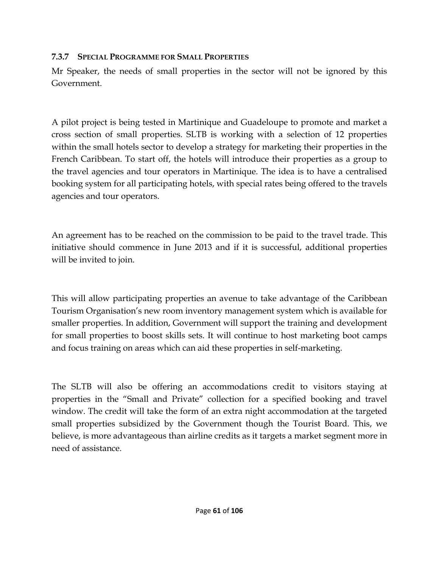#### **7.3.7 SPECIAL PROGRAMME FOR SMALL PROPERTIES**

Mr Speaker, the needs of small properties in the sector will not be ignored by this Government.

A pilot project is being tested in Martinique and Guadeloupe to promote and market a cross section of small properties. SLTB is working with a selection of 12 properties within the small hotels sector to develop a strategy for marketing their properties in the French Caribbean. To start off, the hotels will introduce their properties as a group to the travel agencies and tour operators in Martinique. The idea is to have a centralised booking system for all participating hotels, with special rates being offered to the travels agencies and tour operators.

An agreement has to be reached on the commission to be paid to the travel trade. This initiative should commence in June 2013 and if it is successful, additional properties will be invited to join.

This will allow participating properties an avenue to take advantage of the Caribbean Tourism Organisation's new room inventory management system which is available for smaller properties. In addition, Government will support the training and development for small properties to boost skills sets. It will continue to host marketing boot camps and focus training on areas which can aid these properties in self-marketing.

The SLTB will also be offering an accommodations credit to visitors staying at properties in the "Small and Private" collection for a specified booking and travel window. The credit will take the form of an extra night accommodation at the targeted small properties subsidized by the Government though the Tourist Board. This, we believe, is more advantageous than airline credits as it targets a market segment more in need of assistance.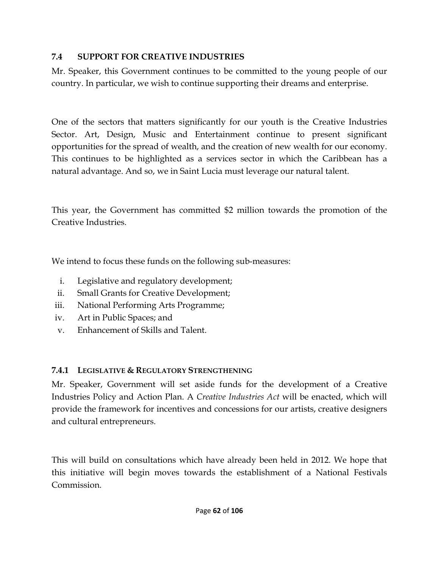#### **7.4 SUPPORT FOR CREATIVE INDUSTRIES**

Mr. Speaker, this Government continues to be committed to the young people of our country. In particular, we wish to continue supporting their dreams and enterprise.

One of the sectors that matters significantly for our youth is the Creative Industries Sector. Art, Design, Music and Entertainment continue to present significant opportunities for the spread of wealth, and the creation of new wealth for our economy. This continues to be highlighted as a services sector in which the Caribbean has a natural advantage. And so, we in Saint Lucia must leverage our natural talent.

This year, the Government has committed \$2 million towards the promotion of the Creative Industries.

We intend to focus these funds on the following sub-measures:

- i. Legislative and regulatory development;
- ii. Small Grants for Creative Development;
- iii. National Performing Arts Programme;
- iv. Art in Public Spaces; and
- v. Enhancement of Skills and Talent.

## **7.4.1 LEGISLATIVE & REGULATORY STRENGTHENING**

Mr. Speaker, Government will set aside funds for the development of a Creative Industries Policy and Action Plan. A *Creative Industries Act* will be enacted, which will provide the framework for incentives and concessions for our artists, creative designers and cultural entrepreneurs.

This will build on consultations which have already been held in 2012. We hope that this initiative will begin moves towards the establishment of a National Festivals Commission.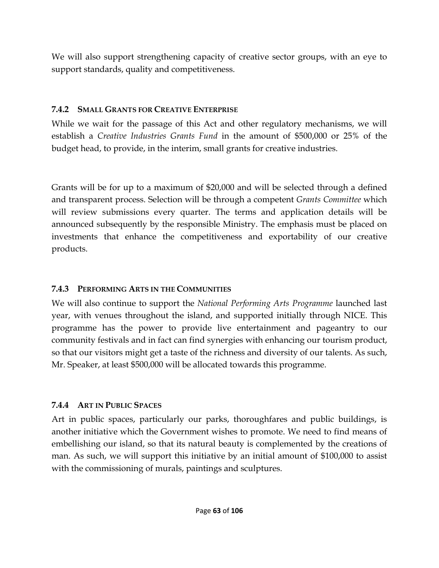We will also support strengthening capacity of creative sector groups, with an eye to support standards, quality and competitiveness.

#### **7.4.2 SMALL GRANTS FOR CREATIVE ENTERPRISE**

While we wait for the passage of this Act and other regulatory mechanisms, we will establish a *Creative Industries Grants Fund* in the amount of \$500,000 or 25% of the budget head, to provide, in the interim, small grants for creative industries.

Grants will be for up to a maximum of \$20,000 and will be selected through a defined and transparent process. Selection will be through a competent *Grants Committee* which will review submissions every quarter. The terms and application details will be announced subsequently by the responsible Ministry. The emphasis must be placed on investments that enhance the competitiveness and exportability of our creative products.

## **7.4.3 PERFORMING ARTS IN THE COMMUNITIES**

We will also continue to support the *National Performing Arts Programme* launched last year, with venues throughout the island, and supported initially through NICE. This programme has the power to provide live entertainment and pageantry to our community festivals and in fact can find synergies with enhancing our tourism product, so that our visitors might get a taste of the richness and diversity of our talents. As such, Mr. Speaker, at least \$500,000 will be allocated towards this programme.

## **7.4.4 ART IN PUBLIC SPACES**

Art in public spaces, particularly our parks, thoroughfares and public buildings, is another initiative which the Government wishes to promote. We need to find means of embellishing our island, so that its natural beauty is complemented by the creations of man. As such, we will support this initiative by an initial amount of \$100,000 to assist with the commissioning of murals, paintings and sculptures.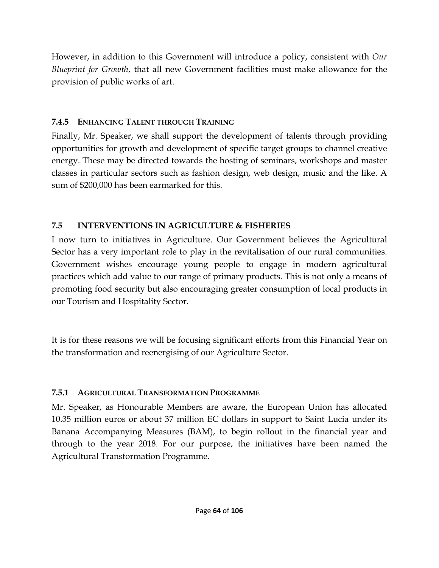However, in addition to this Government will introduce a policy, consistent with *Our Blueprint for Growth*, that all new Government facilities must make allowance for the provision of public works of art.

## **7.4.5 ENHANCING TALENT THROUGH TRAINING**

Finally, Mr. Speaker, we shall support the development of talents through providing opportunities for growth and development of specific target groups to channel creative energy. These may be directed towards the hosting of seminars, workshops and master classes in particular sectors such as fashion design, web design, music and the like. A sum of \$200,000 has been earmarked for this.

## **7.5 INTERVENTIONS IN AGRICULTURE & FISHERIES**

I now turn to initiatives in Agriculture. Our Government believes the Agricultural Sector has a very important role to play in the revitalisation of our rural communities. Government wishes encourage young people to engage in modern agricultural practices which add value to our range of primary products. This is not only a means of promoting food security but also encouraging greater consumption of local products in our Tourism and Hospitality Sector.

It is for these reasons we will be focusing significant efforts from this Financial Year on the transformation and reenergising of our Agriculture Sector.

## **7.5.1 AGRICULTURAL TRANSFORMATION PROGRAMME**

Mr. Speaker, as Honourable Members are aware, the European Union has allocated 10.35 million euros or about 37 million EC dollars in support to Saint Lucia under its Banana Accompanying Measures (BAM), to begin rollout in the financial year and through to the year 2018. For our purpose, the initiatives have been named the Agricultural Transformation Programme.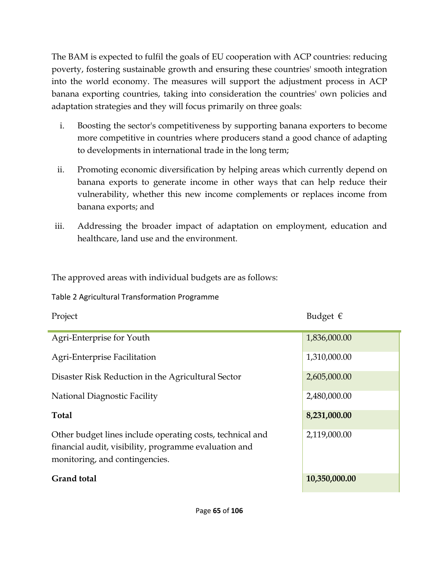The BAM is expected to fulfil the goals of EU cooperation with ACP countries: reducing poverty, fostering sustainable growth and ensuring these countries' smooth integration into the world economy. The measures will support the adjustment process in ACP banana exporting countries, taking into consideration the countries' own policies and adaptation strategies and they will focus primarily on three goals:

- i. Boosting the sector's competitiveness by supporting banana exporters to become more competitive in countries where producers stand a good chance of adapting to developments in international trade in the long term;
- ii. Promoting economic diversification by helping areas which currently depend on banana exports to generate income in other ways that can help reduce their vulnerability, whether this new income complements or replaces income from banana exports; and
- iii. Addressing the broader impact of adaptation on employment, education and healthcare, land use and the environment.

The approved areas with individual budgets are as follows:

Table 2 Agricultural Transformation Programme

| Project                                                                                                                                              | Budget $\epsilon$ |
|------------------------------------------------------------------------------------------------------------------------------------------------------|-------------------|
| Agri-Enterprise for Youth                                                                                                                            | 1,836,000.00      |
| Agri-Enterprise Facilitation                                                                                                                         | 1,310,000.00      |
| Disaster Risk Reduction in the Agricultural Sector                                                                                                   | 2,605,000.00      |
| National Diagnostic Facility                                                                                                                         | 2,480,000.00      |
| <b>Total</b>                                                                                                                                         | 8,231,000.00      |
| Other budget lines include operating costs, technical and<br>financial audit, visibility, programme evaluation and<br>monitoring, and contingencies. | 2,119,000.00      |
| <b>Grand</b> total                                                                                                                                   | 10,350,000.00     |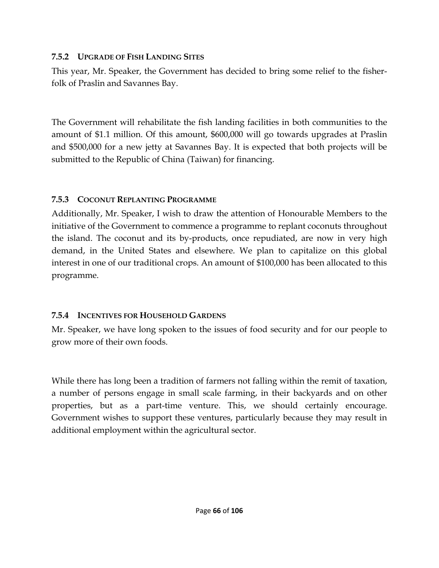#### **7.5.2 UPGRADE OF FISH LANDING SITES**

This year, Mr. Speaker, the Government has decided to bring some relief to the fisherfolk of Praslin and Savannes Bay.

The Government will rehabilitate the fish landing facilities in both communities to the amount of \$1.1 million. Of this amount, \$600,000 will go towards upgrades at Praslin and \$500,000 for a new jetty at Savannes Bay. It is expected that both projects will be submitted to the Republic of China (Taiwan) for financing.

### **7.5.3 COCONUT REPLANTING PROGRAMME**

Additionally, Mr. Speaker, I wish to draw the attention of Honourable Members to the initiative of the Government to commence a programme to replant coconuts throughout the island. The coconut and its by-products, once repudiated, are now in very high demand, in the United States and elsewhere. We plan to capitalize on this global interest in one of our traditional crops. An amount of \$100,000 has been allocated to this programme.

## **7.5.4 INCENTIVES FOR HOUSEHOLD GARDENS**

Mr. Speaker, we have long spoken to the issues of food security and for our people to grow more of their own foods.

While there has long been a tradition of farmers not falling within the remit of taxation, a number of persons engage in small scale farming, in their backyards and on other properties, but as a part-time venture. This, we should certainly encourage. Government wishes to support these ventures, particularly because they may result in additional employment within the agricultural sector.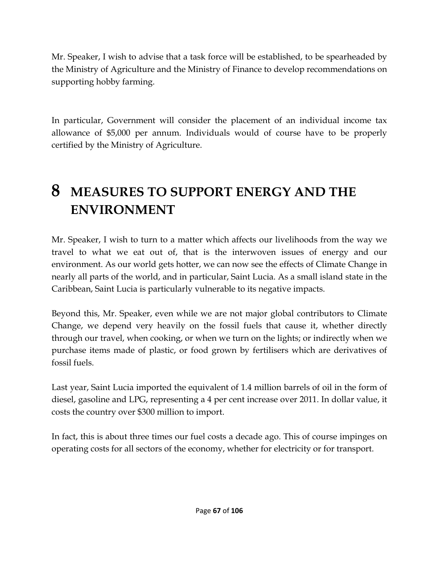Mr. Speaker, I wish to advise that a task force will be established, to be spearheaded by the Ministry of Agriculture and the Ministry of Finance to develop recommendations on supporting hobby farming.

In particular, Government will consider the placement of an individual income tax allowance of \$5,000 per annum. Individuals would of course have to be properly certified by the Ministry of Agriculture.

## **8 MEASURES TO SUPPORT ENERGY AND THE ENVIRONMENT**

Mr. Speaker, I wish to turn to a matter which affects our livelihoods from the way we travel to what we eat out of, that is the interwoven issues of energy and our environment. As our world gets hotter, we can now see the effects of Climate Change in nearly all parts of the world, and in particular, Saint Lucia. As a small island state in the Caribbean, Saint Lucia is particularly vulnerable to its negative impacts.

Beyond this, Mr. Speaker, even while we are not major global contributors to Climate Change, we depend very heavily on the fossil fuels that cause it, whether directly through our travel, when cooking, or when we turn on the lights; or indirectly when we purchase items made of plastic, or food grown by fertilisers which are derivatives of fossil fuels.

Last year, Saint Lucia imported the equivalent of 1.4 million barrels of oil in the form of diesel, gasoline and LPG, representing a 4 per cent increase over 2011. In dollar value, it costs the country over \$300 million to import.

In fact, this is about three times our fuel costs a decade ago. This of course impinges on operating costs for all sectors of the economy, whether for electricity or for transport.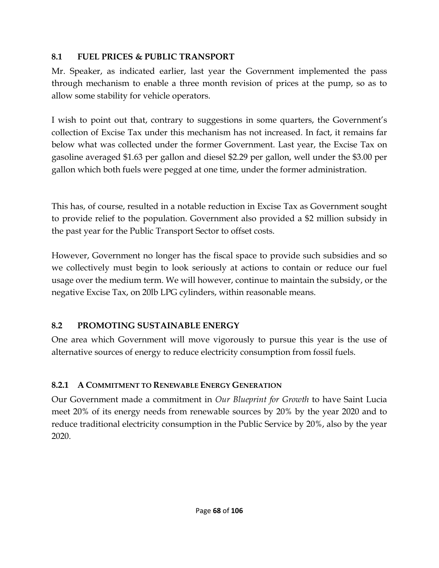## **8.1 FUEL PRICES & PUBLIC TRANSPORT**

Mr. Speaker, as indicated earlier, last year the Government implemented the pass through mechanism to enable a three month revision of prices at the pump, so as to allow some stability for vehicle operators.

I wish to point out that, contrary to suggestions in some quarters, the Government's collection of Excise Tax under this mechanism has not increased. In fact, it remains far below what was collected under the former Government. Last year, the Excise Tax on gasoline averaged \$1.63 per gallon and diesel \$2.29 per gallon, well under the \$3.00 per gallon which both fuels were pegged at one time, under the former administration.

This has, of course, resulted in a notable reduction in Excise Tax as Government sought to provide relief to the population. Government also provided a \$2 million subsidy in the past year for the Public Transport Sector to offset costs.

However, Government no longer has the fiscal space to provide such subsidies and so we collectively must begin to look seriously at actions to contain or reduce our fuel usage over the medium term. We will however, continue to maintain the subsidy, or the negative Excise Tax, on 20lb LPG cylinders, within reasonable means.

## **8.2 PROMOTING SUSTAINABLE ENERGY**

One area which Government will move vigorously to pursue this year is the use of alternative sources of energy to reduce electricity consumption from fossil fuels.

## **8.2.1 A COMMITMENT TO RENEWABLE ENERGY GENERATION**

Our Government made a commitment in *Our Blueprint for Growth* to have Saint Lucia meet 20% of its energy needs from renewable sources by 20% by the year 2020 and to reduce traditional electricity consumption in the Public Service by 20%, also by the year 2020.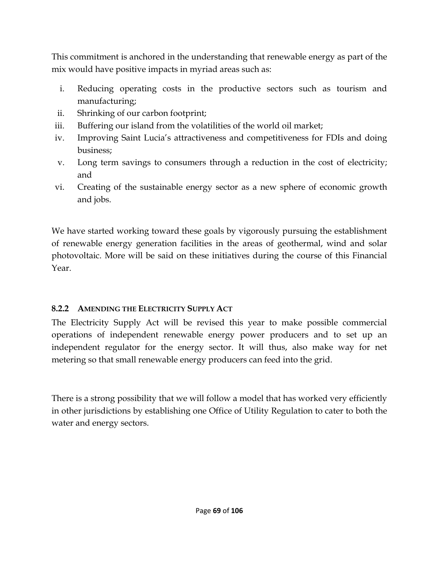This commitment is anchored in the understanding that renewable energy as part of the mix would have positive impacts in myriad areas such as:

- i. Reducing operating costs in the productive sectors such as tourism and manufacturing;
- ii. Shrinking of our carbon footprint;
- iii. Buffering our island from the volatilities of the world oil market;
- iv. Improving Saint Lucia's attractiveness and competitiveness for FDIs and doing business;
- v. Long term savings to consumers through a reduction in the cost of electricity; and
- vi. Creating of the sustainable energy sector as a new sphere of economic growth and jobs.

We have started working toward these goals by vigorously pursuing the establishment of renewable energy generation facilities in the areas of geothermal, wind and solar photovoltaic. More will be said on these initiatives during the course of this Financial Year.

## **8.2.2 AMENDING THE ELECTRICITY SUPPLY ACT**

The Electricity Supply Act will be revised this year to make possible commercial operations of independent renewable energy power producers and to set up an independent regulator for the energy sector. It will thus, also make way for net metering so that small renewable energy producers can feed into the grid.

There is a strong possibility that we will follow a model that has worked very efficiently in other jurisdictions by establishing one Office of Utility Regulation to cater to both the water and energy sectors.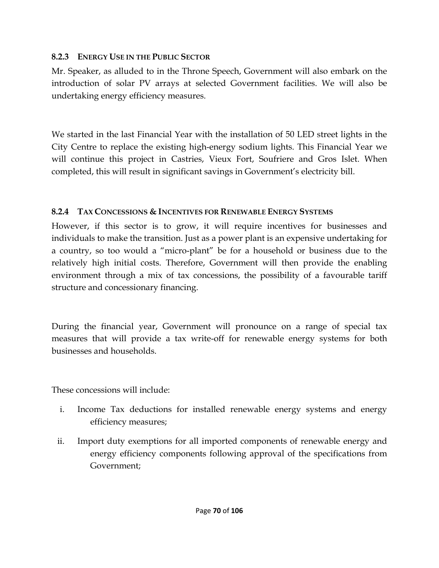#### **8.2.3 ENERGY USE IN THE PUBLIC SECTOR**

Mr. Speaker, as alluded to in the Throne Speech, Government will also embark on the introduction of solar PV arrays at selected Government facilities. We will also be undertaking energy efficiency measures.

We started in the last Financial Year with the installation of 50 LED street lights in the City Centre to replace the existing high-energy sodium lights. This Financial Year we will continue this project in Castries, Vieux Fort, Soufriere and Gros Islet. When completed, this will result in significant savings in Government's electricity bill.

## **8.2.4 TAX CONCESSIONS & INCENTIVES FOR RENEWABLE ENERGY SYSTEMS**

However, if this sector is to grow, it will require incentives for businesses and individuals to make the transition. Just as a power plant is an expensive undertaking for a country, so too would a "micro-plant" be for a household or business due to the relatively high initial costs. Therefore, Government will then provide the enabling environment through a mix of tax concessions, the possibility of a favourable tariff structure and concessionary financing.

During the financial year, Government will pronounce on a range of special tax measures that will provide a tax write-off for renewable energy systems for both businesses and households.

These concessions will include:

- i. Income Tax deductions for installed renewable energy systems and energy efficiency measures;
- ii. Import duty exemptions for all imported components of renewable energy and energy efficiency components following approval of the specifications from Government;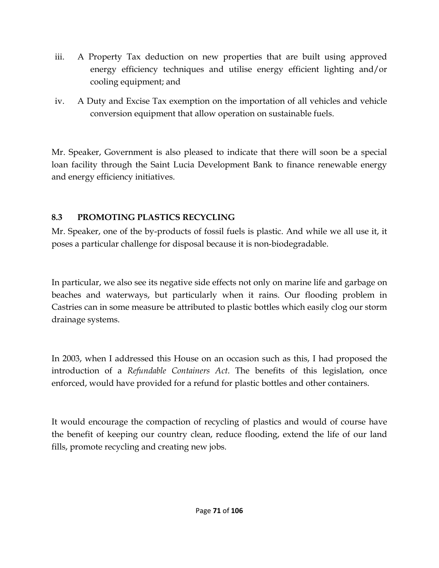- iii. A Property Tax deduction on new properties that are built using approved energy efficiency techniques and utilise energy efficient lighting and/or cooling equipment; and
- iv. A Duty and Excise Tax exemption on the importation of all vehicles and vehicle conversion equipment that allow operation on sustainable fuels.

Mr. Speaker, Government is also pleased to indicate that there will soon be a special loan facility through the Saint Lucia Development Bank to finance renewable energy and energy efficiency initiatives.

## **8.3 PROMOTING PLASTICS RECYCLING**

Mr. Speaker, one of the by-products of fossil fuels is plastic. And while we all use it, it poses a particular challenge for disposal because it is non-biodegradable.

In particular, we also see its negative side effects not only on marine life and garbage on beaches and waterways, but particularly when it rains. Our flooding problem in Castries can in some measure be attributed to plastic bottles which easily clog our storm drainage systems.

In 2003, when I addressed this House on an occasion such as this, I had proposed the introduction of a *Refundable Containers Act*. The benefits of this legislation, once enforced, would have provided for a refund for plastic bottles and other containers.

It would encourage the compaction of recycling of plastics and would of course have the benefit of keeping our country clean, reduce flooding, extend the life of our land fills, promote recycling and creating new jobs.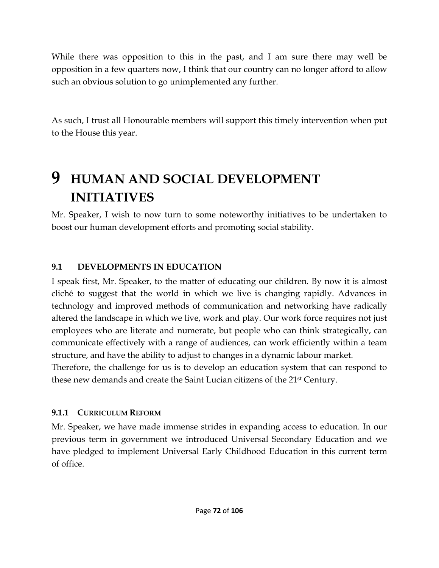While there was opposition to this in the past, and I am sure there may well be opposition in a few quarters now, I think that our country can no longer afford to allow such an obvious solution to go unimplemented any further.

As such, I trust all Honourable members will support this timely intervention when put to the House this year.

## **9 HUMAN AND SOCIAL DEVELOPMENT INITIATIVES**

Mr. Speaker, I wish to now turn to some noteworthy initiatives to be undertaken to boost our human development efforts and promoting social stability.

#### **9.1 DEVELOPMENTS IN EDUCATION**

I speak first, Mr. Speaker, to the matter of educating our children. By now it is almost cliché to suggest that the world in which we live is changing rapidly. Advances in technology and improved methods of communication and networking have radically altered the landscape in which we live, work and play. Our work force requires not just employees who are literate and numerate, but people who can think strategically, can communicate effectively with a range of audiences, can work efficiently within a team structure, and have the ability to adjust to changes in a dynamic labour market.

Therefore, the challenge for us is to develop an education system that can respond to these new demands and create the Saint Lucian citizens of the 21st Century.

#### **9.1.1 CURRICULUM REFORM**

Mr. Speaker, we have made immense strides in expanding access to education. In our previous term in government we introduced Universal Secondary Education and we have pledged to implement Universal Early Childhood Education in this current term of office.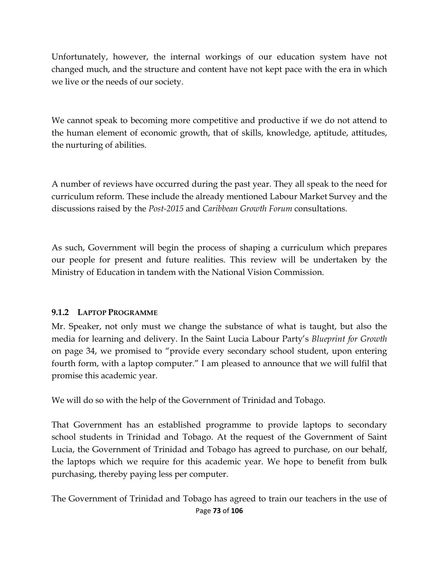Unfortunately, however, the internal workings of our education system have not changed much, and the structure and content have not kept pace with the era in which we live or the needs of our society.

We cannot speak to becoming more competitive and productive if we do not attend to the human element of economic growth, that of skills, knowledge, aptitude, attitudes, the nurturing of abilities.

A number of reviews have occurred during the past year. They all speak to the need for curriculum reform. These include the already mentioned Labour Market Survey and the discussions raised by the *Post-2015* and *Caribbean Growth Forum* consultations.

As such, Government will begin the process of shaping a curriculum which prepares our people for present and future realities. This review will be undertaken by the Ministry of Education in tandem with the National Vision Commission.

#### **9.1.2 LAPTOP PROGRAMME**

Mr. Speaker, not only must we change the substance of what is taught, but also the media for learning and delivery. In the Saint Lucia Labour Party's *Blueprint for Growth*  on page 34, we promised to "provide every secondary school student, upon entering fourth form, with a laptop computer." I am pleased to announce that we will fulfil that promise this academic year.

We will do so with the help of the Government of Trinidad and Tobago.

That Government has an established programme to provide laptops to secondary school students in Trinidad and Tobago. At the request of the Government of Saint Lucia, the Government of Trinidad and Tobago has agreed to purchase, on our behalf, the laptops which we require for this academic year. We hope to benefit from bulk purchasing, thereby paying less per computer.

Page **73** of **106** The Government of Trinidad and Tobago has agreed to train our teachers in the use of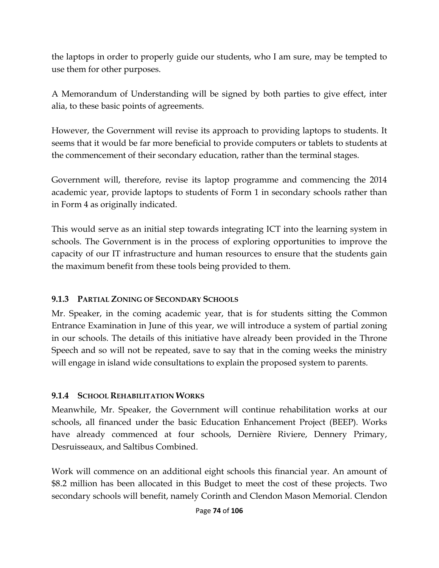the laptops in order to properly guide our students, who I am sure, may be tempted to use them for other purposes.

A Memorandum of Understanding will be signed by both parties to give effect, inter alia, to these basic points of agreements.

However, the Government will revise its approach to providing laptops to students. It seems that it would be far more beneficial to provide computers or tablets to students at the commencement of their secondary education, rather than the terminal stages.

Government will, therefore, revise its laptop programme and commencing the 2014 academic year, provide laptops to students of Form 1 in secondary schools rather than in Form 4 as originally indicated.

This would serve as an initial step towards integrating ICT into the learning system in schools. The Government is in the process of exploring opportunities to improve the capacity of our IT infrastructure and human resources to ensure that the students gain the maximum benefit from these tools being provided to them.

## **9.1.3 PARTIAL ZONING OF SECONDARY SCHOOLS**

Mr. Speaker, in the coming academic year, that is for students sitting the Common Entrance Examination in June of this year, we will introduce a system of partial zoning in our schools. The details of this initiative have already been provided in the Throne Speech and so will not be repeated, save to say that in the coming weeks the ministry will engage in island wide consultations to explain the proposed system to parents.

## **9.1.4 SCHOOL REHABILITATION WORKS**

Meanwhile, Mr. Speaker, the Government will continue rehabilitation works at our schools, all financed under the basic Education Enhancement Project (BEEP). Works have already commenced at four schools, Dernière Riviere, Dennery Primary, Desruisseaux, and Saltibus Combined.

Work will commence on an additional eight schools this financial year. An amount of \$8.2 million has been allocated in this Budget to meet the cost of these projects. Two secondary schools will benefit, namely Corinth and Clendon Mason Memorial. Clendon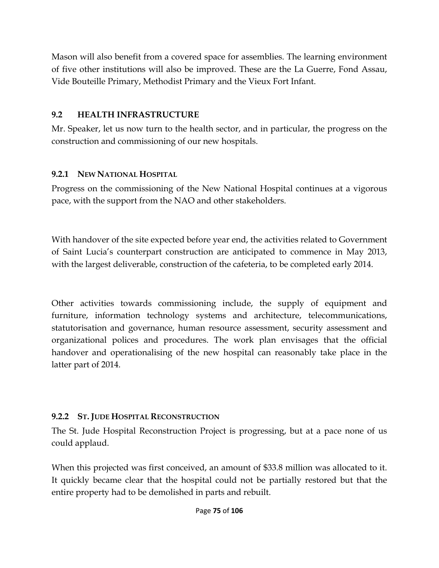Mason will also benefit from a covered space for assemblies. The learning environment of five other institutions will also be improved. These are the La Guerre, Fond Assau, Vide Bouteille Primary, Methodist Primary and the Vieux Fort Infant.

## **9.2 HEALTH INFRASTRUCTURE**

Mr. Speaker, let us now turn to the health sector, and in particular, the progress on the construction and commissioning of our new hospitals.

## **9.2.1 NEW NATIONAL HOSPITAL**

Progress on the commissioning of the New National Hospital continues at a vigorous pace, with the support from the NAO and other stakeholders.

With handover of the site expected before year end, the activities related to Government of Saint Lucia's counterpart construction are anticipated to commence in May 2013, with the largest deliverable, construction of the cafeteria, to be completed early 2014.

Other activities towards commissioning include, the supply of equipment and furniture, information technology systems and architecture, telecommunications, statutorisation and governance, human resource assessment, security assessment and organizational polices and procedures. The work plan envisages that the official handover and operationalising of the new hospital can reasonably take place in the latter part of 2014.

## **9.2.2 ST. JUDE HOSPITAL RECONSTRUCTION**

The St. Jude Hospital Reconstruction Project is progressing, but at a pace none of us could applaud.

When this projected was first conceived, an amount of \$33.8 million was allocated to it. It quickly became clear that the hospital could not be partially restored but that the entire property had to be demolished in parts and rebuilt.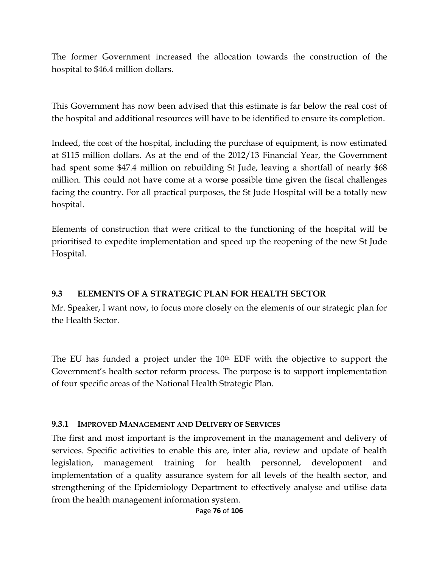The former Government increased the allocation towards the construction of the hospital to \$46.4 million dollars.

This Government has now been advised that this estimate is far below the real cost of the hospital and additional resources will have to be identified to ensure its completion.

Indeed, the cost of the hospital, including the purchase of equipment, is now estimated at \$115 million dollars. As at the end of the 2012/13 Financial Year, the Government had spent some \$47.4 million on rebuilding St Jude, leaving a shortfall of nearly \$68 million. This could not have come at a worse possible time given the fiscal challenges facing the country. For all practical purposes, the St Jude Hospital will be a totally new hospital.

Elements of construction that were critical to the functioning of the hospital will be prioritised to expedite implementation and speed up the reopening of the new St Jude Hospital.

#### **9.3 ELEMENTS OF A STRATEGIC PLAN FOR HEALTH SECTOR**

Mr. Speaker, I want now, to focus more closely on the elements of our strategic plan for the Health Sector.

The EU has funded a project under the 10<sup>th</sup> EDF with the objective to support the Government's health sector reform process. The purpose is to support implementation of four specific areas of the National Health Strategic Plan.

#### **9.3.1 IMPROVED MANAGEMENT AND DELIVERY OF SERVICES**

The first and most important is the improvement in the management and delivery of services. Specific activities to enable this are, inter alia, review and update of health legislation, management training for health personnel, development and implementation of a quality assurance system for all levels of the health sector, and strengthening of the Epidemiology Department to effectively analyse and utilise data from the health management information system.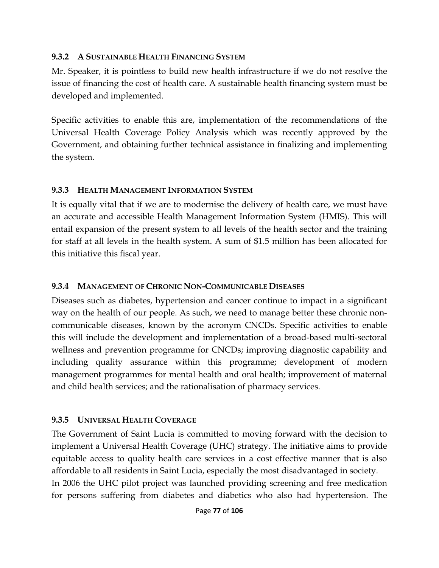#### **9.3.2 A SUSTAINABLE HEALTH FINANCING SYSTEM**

Mr. Speaker, it is pointless to build new health infrastructure if we do not resolve the issue of financing the cost of health care. A sustainable health financing system must be developed and implemented.

Specific activities to enable this are, implementation of the recommendations of the Universal Health Coverage Policy Analysis which was recently approved by the Government, and obtaining further technical assistance in finalizing and implementing the system.

## **9.3.3 HEALTH MANAGEMENT INFORMATION SYSTEM**

It is equally vital that if we are to modernise the delivery of health care, we must have an accurate and accessible Health Management Information System (HMIS). This will entail expansion of the present system to all levels of the health sector and the training for staff at all levels in the health system. A sum of \$1.5 million has been allocated for this initiative this fiscal year.

## **9.3.4 MANAGEMENT OF CHRONIC NON-COMMUNICABLE DISEASES**

Diseases such as diabetes, hypertension and cancer continue to impact in a significant way on the health of our people. As such, we need to manage better these chronic noncommunicable diseases, known by the acronym CNCDs. Specific activities to enable this will include the development and implementation of a broad-based multi-sectoral wellness and prevention programme for CNCDs; improving diagnostic capability and including quality assurance within this programme; development of modern management programmes for mental health and oral health; improvement of maternal and child health services; and the rationalisation of pharmacy services.

## **9.3.5 UNIVERSAL HEALTH COVERAGE**

The Government of Saint Lucia is committed to moving forward with the decision to implement a Universal Health Coverage (UHC) strategy. The initiative aims to provide equitable access to quality health care services in a cost effective manner that is also affordable to all residents in Saint Lucia, especially the most disadvantaged in society. In 2006 the UHC pilot project was launched providing screening and free medication for persons suffering from diabetes and diabetics who also had hypertension. The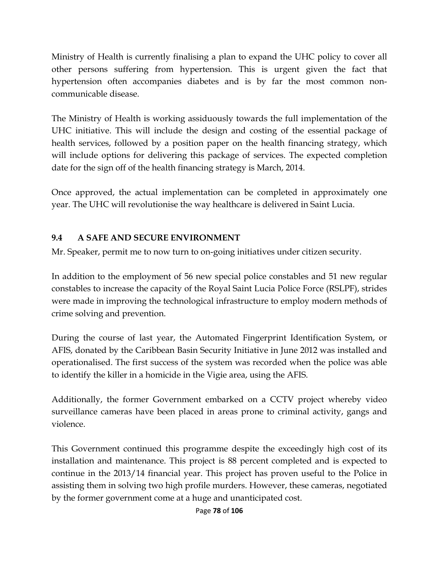Ministry of Health is currently finalising a plan to expand the UHC policy to cover all other persons suffering from hypertension. This is urgent given the fact that hypertension often accompanies diabetes and is by far the most common noncommunicable disease.

The Ministry of Health is working assiduously towards the full implementation of the UHC initiative. This will include the design and costing of the essential package of health services, followed by a position paper on the health financing strategy, which will include options for delivering this package of services. The expected completion date for the sign off of the health financing strategy is March, 2014.

Once approved, the actual implementation can be completed in approximately one year. The UHC will revolutionise the way healthcare is delivered in Saint Lucia.

## **9.4 A SAFE AND SECURE ENVIRONMENT**

Mr. Speaker, permit me to now turn to on-going initiatives under citizen security.

In addition to the employment of 56 new special police constables and 51 new regular constables to increase the capacity of the Royal Saint Lucia Police Force (RSLPF), strides were made in improving the technological infrastructure to employ modern methods of crime solving and prevention.

During the course of last year, the Automated Fingerprint Identification System, or AFIS, donated by the Caribbean Basin Security Initiative in June 2012 was installed and operationalised. The first success of the system was recorded when the police was able to identify the killer in a homicide in the Vigie area, using the AFIS.

Additionally, the former Government embarked on a CCTV project whereby video surveillance cameras have been placed in areas prone to criminal activity, gangs and violence.

This Government continued this programme despite the exceedingly high cost of its installation and maintenance. This project is 88 percent completed and is expected to continue in the 2013/14 financial year. This project has proven useful to the Police in assisting them in solving two high profile murders. However, these cameras, negotiated by the former government come at a huge and unanticipated cost.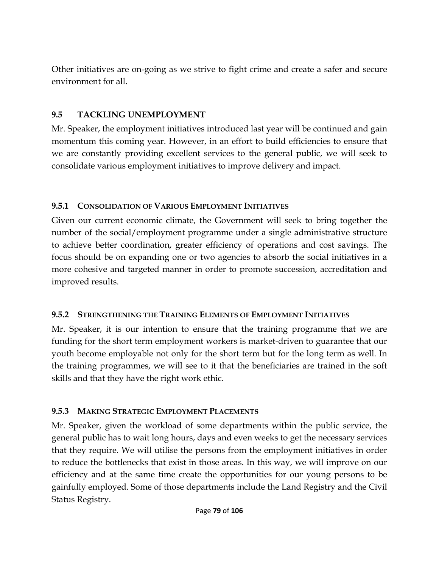Other initiatives are on-going as we strive to fight crime and create a safer and secure environment for all.

#### **9.5 TACKLING UNEMPLOYMENT**

Mr. Speaker, the employment initiatives introduced last year will be continued and gain momentum this coming year. However, in an effort to build efficiencies to ensure that we are constantly providing excellent services to the general public, we will seek to consolidate various employment initiatives to improve delivery and impact.

#### **9.5.1 CONSOLIDATION OF VARIOUS EMPLOYMENT INITIATIVES**

Given our current economic climate, the Government will seek to bring together the number of the social/employment programme under a single administrative structure to achieve better coordination, greater efficiency of operations and cost savings. The focus should be on expanding one or two agencies to absorb the social initiatives in a more cohesive and targeted manner in order to promote succession, accreditation and improved results.

## **9.5.2 STRENGTHENING THE TRAINING ELEMENTS OF EMPLOYMENT INITIATIVES**

Mr. Speaker, it is our intention to ensure that the training programme that we are funding for the short term employment workers is market-driven to guarantee that our youth become employable not only for the short term but for the long term as well. In the training programmes, we will see to it that the beneficiaries are trained in the soft skills and that they have the right work ethic.

## **9.5.3 MAKING STRATEGIC EMPLOYMENT PLACEMENTS**

Mr. Speaker, given the workload of some departments within the public service, the general public has to wait long hours, days and even weeks to get the necessary services that they require. We will utilise the persons from the employment initiatives in order to reduce the bottlenecks that exist in those areas. In this way, we will improve on our efficiency and at the same time create the opportunities for our young persons to be gainfully employed. Some of those departments include the Land Registry and the Civil Status Registry.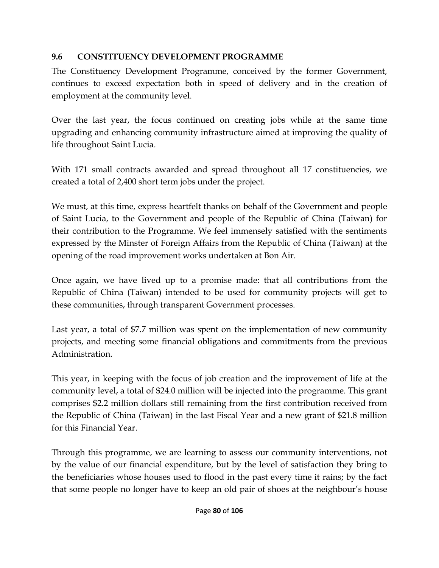## **9.6 CONSTITUENCY DEVELOPMENT PROGRAMME**

The Constituency Development Programme, conceived by the former Government, continues to exceed expectation both in speed of delivery and in the creation of employment at the community level.

Over the last year, the focus continued on creating jobs while at the same time upgrading and enhancing community infrastructure aimed at improving the quality of life throughout Saint Lucia.

With 171 small contracts awarded and spread throughout all 17 constituencies, we created a total of 2,400 short term jobs under the project.

We must, at this time, express heartfelt thanks on behalf of the Government and people of Saint Lucia, to the Government and people of the Republic of China (Taiwan) for their contribution to the Programme. We feel immensely satisfied with the sentiments expressed by the Minster of Foreign Affairs from the Republic of China (Taiwan) at the opening of the road improvement works undertaken at Bon Air.

Once again, we have lived up to a promise made: that all contributions from the Republic of China (Taiwan) intended to be used for community projects will get to these communities, through transparent Government processes.

Last year, a total of \$7.7 million was spent on the implementation of new community projects, and meeting some financial obligations and commitments from the previous Administration.

This year, in keeping with the focus of job creation and the improvement of life at the community level, a total of \$24.0 million will be injected into the programme. This grant comprises \$2.2 million dollars still remaining from the first contribution received from the Republic of China (Taiwan) in the last Fiscal Year and a new grant of \$21.8 million for this Financial Year.

Through this programme, we are learning to assess our community interventions, not by the value of our financial expenditure, but by the level of satisfaction they bring to the beneficiaries whose houses used to flood in the past every time it rains; by the fact that some people no longer have to keep an old pair of shoes at the neighbour's house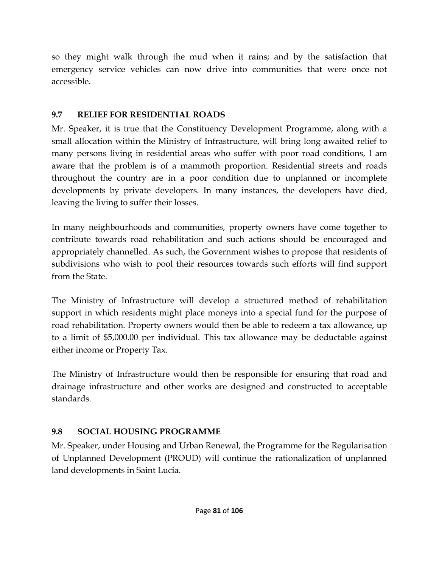so they might walk through the mud when it rains; and by the satisfaction that emergency service vehicles can now drive into communities that were once not accessible.

## **9.7 RELIEF FOR RESIDENTIAL ROADS**

Mr. Speaker, it is true that the Constituency Development Programme, along with a small allocation within the Ministry of Infrastructure, will bring long awaited relief to many persons living in residential areas who suffer with poor road conditions, I am aware that the problem is of a mammoth proportion. Residential streets and roads throughout the country are in a poor condition due to unplanned or incomplete developments by private developers. In many instances, the developers have died, leaving the living to suffer their losses.

In many neighbourhoods and communities, property owners have come together to contribute towards road rehabilitation and such actions should be encouraged and appropriately channelled. As such, the Government wishes to propose that residents of subdivisions who wish to pool their resources towards such efforts will find support from the State.

The Ministry of Infrastructure will develop a structured method of rehabilitation support in which residents might place moneys into a special fund for the purpose of road rehabilitation. Property owners would then be able to redeem a tax allowance, up to a limit of \$5,000.00 per individual. This tax allowance may be deductable against either income or Property Tax.

The Ministry of Infrastructure would then be responsible for ensuring that road and drainage infrastructure and other works are designed and constructed to acceptable standards.

## **9.8 SOCIAL HOUSING PROGRAMME**

Mr. Speaker, under Housing and Urban Renewal, the Programme for the Regularisation of Unplanned Development (PROUD) will continue the rationalization of unplanned land developments in Saint Lucia.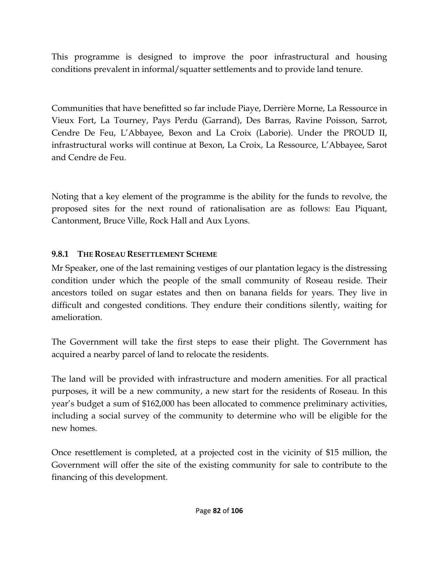This programme is designed to improve the poor infrastructural and housing conditions prevalent in informal/squatter settlements and to provide land tenure.

Communities that have benefitted so far include Piaye, Derrière Morne, La Ressource in Vieux Fort, La Tourney, Pays Perdu (Garrand), Des Barras, Ravine Poisson, Sarrot, Cendre De Feu, L'Abbayee, Bexon and La Croix (Laborie). Under the PROUD II, infrastructural works will continue at Bexon, La Croix, La Ressource, L'Abbayee, Sarot and Cendre de Feu.

Noting that a key element of the programme is the ability for the funds to revolve, the proposed sites for the next round of rationalisation are as follows: Eau Piquant, Cantonment, Bruce Ville, Rock Hall and Aux Lyons.

#### **9.8.1 THE ROSEAU RESETTLEMENT SCHEME**

Mr Speaker, one of the last remaining vestiges of our plantation legacy is the distressing condition under which the people of the small community of Roseau reside. Their ancestors toiled on sugar estates and then on banana fields for years. They live in difficult and congested conditions. They endure their conditions silently, waiting for amelioration.

The Government will take the first steps to ease their plight. The Government has acquired a nearby parcel of land to relocate the residents.

The land will be provided with infrastructure and modern amenities. For all practical purposes, it will be a new community, a new start for the residents of Roseau. In this year's budget a sum of \$162,000 has been allocated to commence preliminary activities, including a social survey of the community to determine who will be eligible for the new homes.

Once resettlement is completed, at a projected cost in the vicinity of \$15 million, the Government will offer the site of the existing community for sale to contribute to the financing of this development.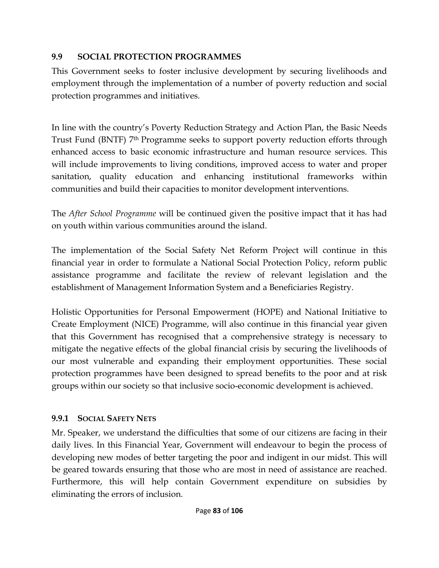## **9.9 SOCIAL PROTECTION PROGRAMMES**

This Government seeks to foster inclusive development by securing livelihoods and employment through the implementation of a number of poverty reduction and social protection programmes and initiatives.

In line with the country's Poverty Reduction Strategy and Action Plan, the Basic Needs Trust Fund (BNTF) 7th Programme seeks to support poverty reduction efforts through enhanced access to basic economic infrastructure and human resource services. This will include improvements to living conditions, improved access to water and proper sanitation, quality education and enhancing institutional frameworks within communities and build their capacities to monitor development interventions.

The *After School Programme* will be continued given the positive impact that it has had on youth within various communities around the island.

The implementation of the Social Safety Net Reform Project will continue in this financial year in order to formulate a National Social Protection Policy, reform public assistance programme and facilitate the review of relevant legislation and the establishment of Management Information System and a Beneficiaries Registry.

Holistic Opportunities for Personal Empowerment (HOPE) and National Initiative to Create Employment (NICE) Programme, will also continue in this financial year given that this Government has recognised that a comprehensive strategy is necessary to mitigate the negative effects of the global financial crisis by securing the livelihoods of our most vulnerable and expanding their employment opportunities. These social protection programmes have been designed to spread benefits to the poor and at risk groups within our society so that inclusive socio-economic development is achieved.

## **9.9.1 SOCIAL SAFETY NETS**

Mr. Speaker, we understand the difficulties that some of our citizens are facing in their daily lives. In this Financial Year, Government will endeavour to begin the process of developing new modes of better targeting the poor and indigent in our midst. This will be geared towards ensuring that those who are most in need of assistance are reached. Furthermore, this will help contain Government expenditure on subsidies by eliminating the errors of inclusion.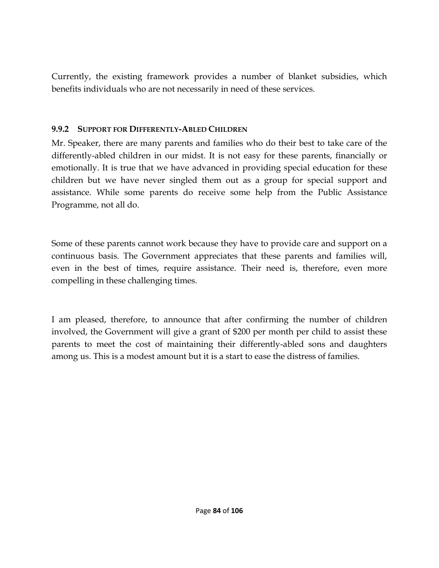Currently, the existing framework provides a number of blanket subsidies, which benefits individuals who are not necessarily in need of these services.

#### **9.9.2 SUPPORT FOR DIFFERENTLY-ABLED CHILDREN**

Mr. Speaker, there are many parents and families who do their best to take care of the differently-abled children in our midst. It is not easy for these parents, financially or emotionally. It is true that we have advanced in providing special education for these children but we have never singled them out as a group for special support and assistance. While some parents do receive some help from the Public Assistance Programme, not all do.

Some of these parents cannot work because they have to provide care and support on a continuous basis. The Government appreciates that these parents and families will, even in the best of times, require assistance. Their need is, therefore, even more compelling in these challenging times.

I am pleased, therefore, to announce that after confirming the number of children involved, the Government will give a grant of \$200 per month per child to assist these parents to meet the cost of maintaining their differently-abled sons and daughters among us. This is a modest amount but it is a start to ease the distress of families.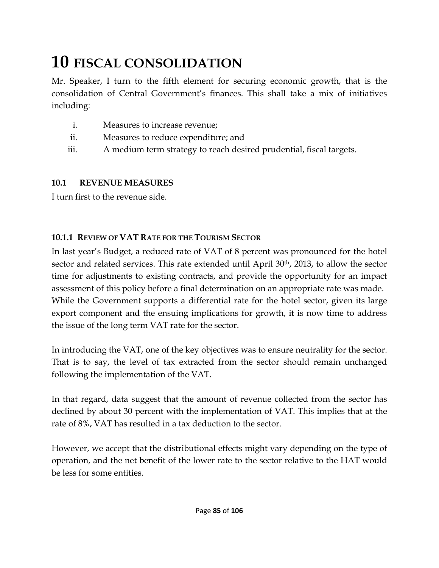## **10 FISCAL CONSOLIDATION**

Mr. Speaker, I turn to the fifth element for securing economic growth, that is the consolidation of Central Government's finances. This shall take a mix of initiatives including:

- i. Measures to increase revenue;
- ii. Measures to reduce expenditure; and
- iii. A medium term strategy to reach desired prudential, fiscal targets.

#### **10.1 REVENUE MEASURES**

I turn first to the revenue side.

#### **10.1.1 REVIEW OF VAT RATE FOR THE TOURISM SECTOR**

In last year's Budget, a reduced rate of VAT of 8 percent was pronounced for the hotel sector and related services. This rate extended until April 30<sup>th</sup>, 2013, to allow the sector time for adjustments to existing contracts, and provide the opportunity for an impact assessment of this policy before a final determination on an appropriate rate was made. While the Government supports a differential rate for the hotel sector, given its large export component and the ensuing implications for growth, it is now time to address the issue of the long term VAT rate for the sector.

In introducing the VAT, one of the key objectives was to ensure neutrality for the sector. That is to say, the level of tax extracted from the sector should remain unchanged following the implementation of the VAT.

In that regard, data suggest that the amount of revenue collected from the sector has declined by about 30 percent with the implementation of VAT. This implies that at the rate of 8%, VAT has resulted in a tax deduction to the sector.

However, we accept that the distributional effects might vary depending on the type of operation, and the net benefit of the lower rate to the sector relative to the HAT would be less for some entities.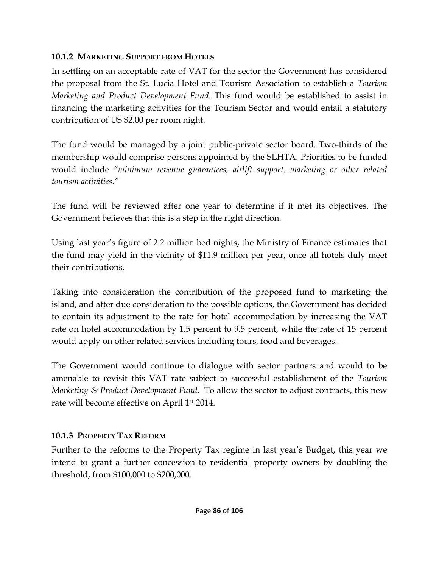#### **10.1.2 MARKETING SUPPORT FROM HOTELS**

In settling on an acceptable rate of VAT for the sector the Government has considered the proposal from the St. Lucia Hotel and Tourism Association to establish a *Tourism Marketing and Product Development Fund*. This fund would be established to assist in financing the marketing activities for the Tourism Sector and would entail a statutory contribution of US \$2.00 per room night.

The fund would be managed by a joint public-private sector board. Two-thirds of the membership would comprise persons appointed by the SLHTA. Priorities to be funded would include *"minimum revenue guarantees, airlift support, marketing or other related tourism activities."*

The fund will be reviewed after one year to determine if it met its objectives. The Government believes that this is a step in the right direction.

Using last year's figure of 2.2 million bed nights, the Ministry of Finance estimates that the fund may yield in the vicinity of \$11.9 million per year, once all hotels duly meet their contributions.

Taking into consideration the contribution of the proposed fund to marketing the island, and after due consideration to the possible options, the Government has decided to contain its adjustment to the rate for hotel accommodation by increasing the VAT rate on hotel accommodation by 1.5 percent to 9.5 percent, while the rate of 15 percent would apply on other related services including tours, food and beverages.

The Government would continue to dialogue with sector partners and would to be amenable to revisit this VAT rate subject to successful establishment of the *Tourism Marketing & Product Development Fund*. To allow the sector to adjust contracts, this new rate will become effective on April 1st 2014.

## **10.1.3 PROPERTY TAX REFORM**

Further to the reforms to the Property Tax regime in last year's Budget, this year we intend to grant a further concession to residential property owners by doubling the threshold, from \$100,000 to \$200,000.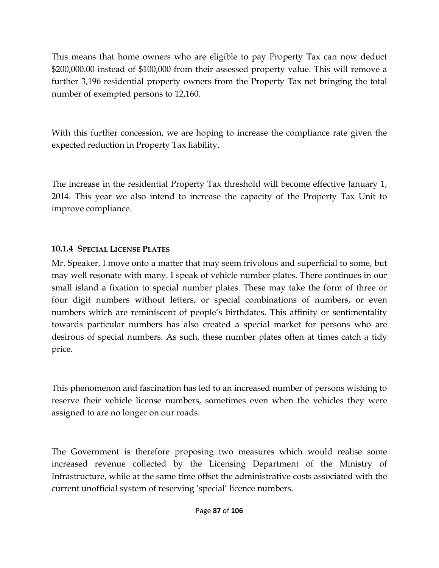This means that home owners who are eligible to pay Property Tax can now deduct \$200,000.00 instead of \$100,000 from their assessed property value. This will remove a further 3,196 residential property owners from the Property Tax net bringing the total number of exempted persons to 12,160.

With this further concession, we are hoping to increase the compliance rate given the expected reduction in Property Tax liability.

The increase in the residential Property Tax threshold will become effective January 1, 2014. This year we also intend to increase the capacity of the Property Tax Unit to improve compliance.

#### **10.1.4 SPECIAL LICENSE PLATES**

Mr. Speaker, I move onto a matter that may seem frivolous and superficial to some, but may well resonate with many. I speak of vehicle number plates. There continues in our small island a fixation to special number plates. These may take the form of three or four digit numbers without letters, or special combinations of numbers, or even numbers which are reminiscent of people's birthdates. This affinity or sentimentality towards particular numbers has also created a special market for persons who are desirous of special numbers. As such, these number plates often at times catch a tidy price.

This phenomenon and fascination has led to an increased number of persons wishing to reserve their vehicle license numbers, sometimes even when the vehicles they were assigned to are no longer on our roads.

The Government is therefore proposing two measures which would realise some increased revenue collected by the Licensing Department of the Ministry of Infrastructure, while at the same time offset the administrative costs associated with the current unofficial system of reserving 'special' licence numbers.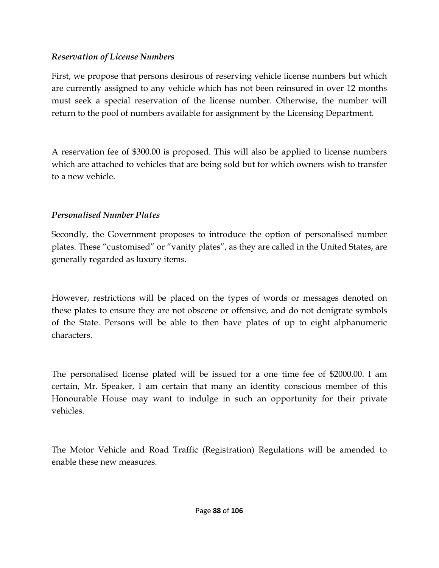#### *Reservation of License Numbers*

First, we propose that persons desirous of reserving vehicle license numbers but which are currently assigned to any vehicle which has not been reinsured in over 12 months must seek a special reservation of the license number. Otherwise, the number will return to the pool of numbers available for assignment by the Licensing Department.

A reservation fee of \$300.00 is proposed. This will also be applied to license numbers which are attached to vehicles that are being sold but for which owners wish to transfer to a new vehicle.

## *Personalised Number Plates*

Secondly, the Government proposes to introduce the option of personalised number plates. These "customised" or "vanity plates", as they are called in the United States, are generally regarded as luxury items.

However, restrictions will be placed on the types of words or messages denoted on these plates to ensure they are not obscene or offensive, and do not denigrate symbols of the State. Persons will be able to then have plates of up to eight alphanumeric characters.

The personalised license plated will be issued for a one time fee of \$2000.00. I am certain, Mr. Speaker, I am certain that many an identity conscious member of this Honourable House may want to indulge in such an opportunity for their private vehicles.

The Motor Vehicle and Road Traffic (Registration) Regulations will be amended to enable these new measures.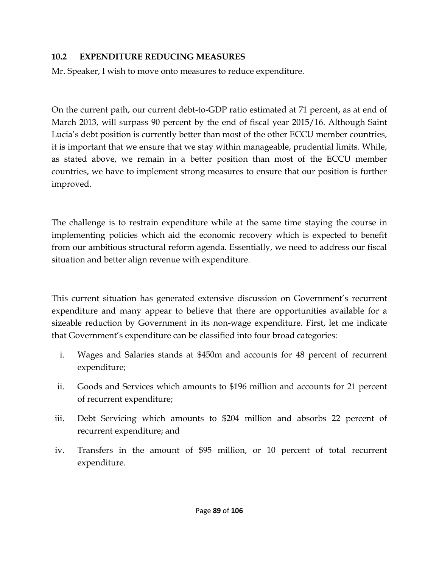#### **10.2 EXPENDITURE REDUCING MEASURES**

Mr. Speaker, I wish to move onto measures to reduce expenditure.

On the current path, our current debt-to-GDP ratio estimated at 71 percent, as at end of March 2013, will surpass 90 percent by the end of fiscal year 2015/16. Although Saint Lucia's debt position is currently better than most of the other ECCU member countries, it is important that we ensure that we stay within manageable, prudential limits. While, as stated above, we remain in a better position than most of the ECCU member countries, we have to implement strong measures to ensure that our position is further improved.

The challenge is to restrain expenditure while at the same time staying the course in implementing policies which aid the economic recovery which is expected to benefit from our ambitious structural reform agenda. Essentially, we need to address our fiscal situation and better align revenue with expenditure.

This current situation has generated extensive discussion on Government's recurrent expenditure and many appear to believe that there are opportunities available for a sizeable reduction by Government in its non-wage expenditure. First, let me indicate that Government's expenditure can be classified into four broad categories:

- i. Wages and Salaries stands at \$450m and accounts for 48 percent of recurrent expenditure;
- ii. Goods and Services which amounts to \$196 million and accounts for 21 percent of recurrent expenditure;
- iii. Debt Servicing which amounts to \$204 million and absorbs 22 percent of recurrent expenditure; and
- iv. Transfers in the amount of \$95 million, or 10 percent of total recurrent expenditure.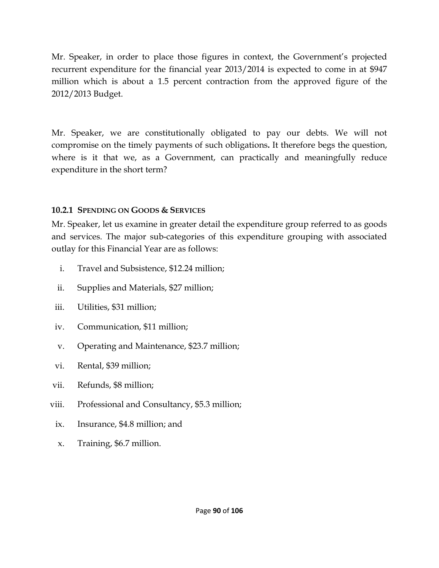Mr. Speaker, in order to place those figures in context, the Government's projected recurrent expenditure for the financial year 2013/2014 is expected to come in at \$947 million which is about a 1.5 percent contraction from the approved figure of the 2012/2013 Budget.

Mr. Speaker, we are constitutionally obligated to pay our debts. We will not compromise on the timely payments of such obligations**.** It therefore begs the question, where is it that we, as a Government, can practically and meaningfully reduce expenditure in the short term?

#### **10.2.1 SPENDING ON GOODS & SERVICES**

Mr. Speaker, let us examine in greater detail the expenditure group referred to as goods and services. The major sub-categories of this expenditure grouping with associated outlay for this Financial Year are as follows:

- i. Travel and Subsistence, \$12.24 million;
- ii. Supplies and Materials, \$27 million;
- iii. Utilities, \$31 million;
- iv. Communication, \$11 million;
- v. Operating and Maintenance, \$23.7 million;
- vi. Rental, \$39 million;
- vii. Refunds, \$8 million;
- viii. Professional and Consultancy, \$5.3 million;
	- ix. Insurance, \$4.8 million; and
	- x. Training, \$6.7 million.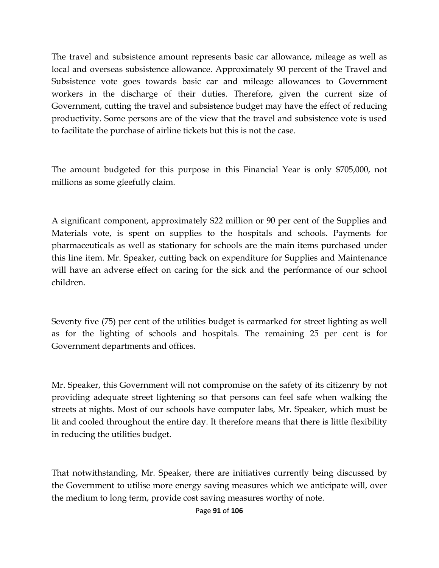The travel and subsistence amount represents basic car allowance, mileage as well as local and overseas subsistence allowance. Approximately 90 percent of the Travel and Subsistence vote goes towards basic car and mileage allowances to Government workers in the discharge of their duties. Therefore, given the current size of Government, cutting the travel and subsistence budget may have the effect of reducing productivity. Some persons are of the view that the travel and subsistence vote is used to facilitate the purchase of airline tickets but this is not the case.

The amount budgeted for this purpose in this Financial Year is only \$705,000, not millions as some gleefully claim.

A significant component, approximately \$22 million or 90 per cent of the Supplies and Materials vote, is spent on supplies to the hospitals and schools. Payments for pharmaceuticals as well as stationary for schools are the main items purchased under this line item. Mr. Speaker, cutting back on expenditure for Supplies and Maintenance will have an adverse effect on caring for the sick and the performance of our school children.

Seventy five (75) per cent of the utilities budget is earmarked for street lighting as well as for the lighting of schools and hospitals. The remaining 25 per cent is for Government departments and offices.

Mr. Speaker, this Government will not compromise on the safety of its citizenry by not providing adequate street lightening so that persons can feel safe when walking the streets at nights. Most of our schools have computer labs, Mr. Speaker, which must be lit and cooled throughout the entire day. It therefore means that there is little flexibility in reducing the utilities budget.

That notwithstanding, Mr. Speaker, there are initiatives currently being discussed by the Government to utilise more energy saving measures which we anticipate will, over the medium to long term, provide cost saving measures worthy of note.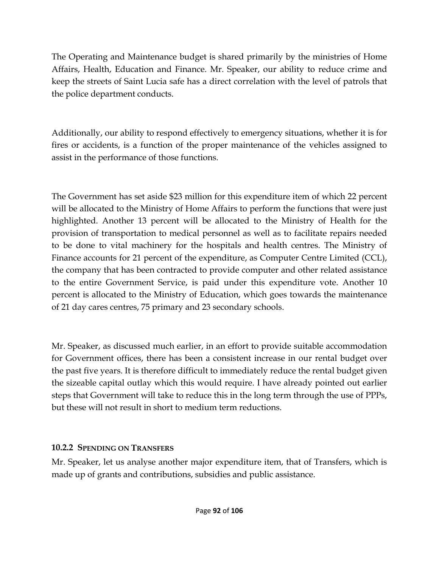The Operating and Maintenance budget is shared primarily by the ministries of Home Affairs, Health, Education and Finance. Mr. Speaker, our ability to reduce crime and keep the streets of Saint Lucia safe has a direct correlation with the level of patrols that the police department conducts.

Additionally, our ability to respond effectively to emergency situations, whether it is for fires or accidents, is a function of the proper maintenance of the vehicles assigned to assist in the performance of those functions.

The Government has set aside \$23 million for this expenditure item of which 22 percent will be allocated to the Ministry of Home Affairs to perform the functions that were just highlighted. Another 13 percent will be allocated to the Ministry of Health for the provision of transportation to medical personnel as well as to facilitate repairs needed to be done to vital machinery for the hospitals and health centres. The Ministry of Finance accounts for 21 percent of the expenditure, as Computer Centre Limited (CCL), the company that has been contracted to provide computer and other related assistance to the entire Government Service, is paid under this expenditure vote. Another 10 percent is allocated to the Ministry of Education, which goes towards the maintenance of 21 day cares centres, 75 primary and 23 secondary schools.

Mr. Speaker, as discussed much earlier, in an effort to provide suitable accommodation for Government offices, there has been a consistent increase in our rental budget over the past five years. It is therefore difficult to immediately reduce the rental budget given the sizeable capital outlay which this would require. I have already pointed out earlier steps that Government will take to reduce this in the long term through the use of PPPs, but these will not result in short to medium term reductions.

## **10.2.2 SPENDING ON TRANSFERS**

Mr. Speaker, let us analyse another major expenditure item, that of Transfers, which is made up of grants and contributions, subsidies and public assistance.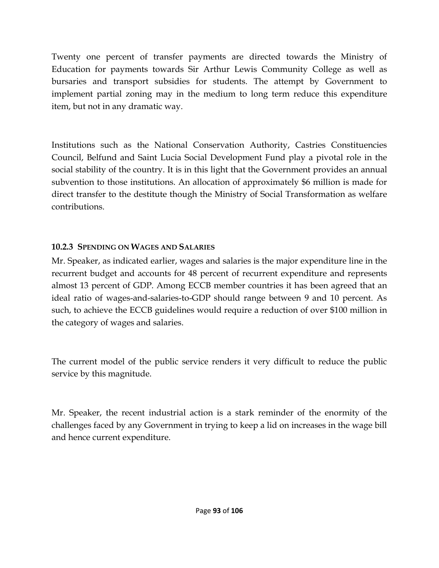Twenty one percent of transfer payments are directed towards the Ministry of Education for payments towards Sir Arthur Lewis Community College as well as bursaries and transport subsidies for students. The attempt by Government to implement partial zoning may in the medium to long term reduce this expenditure item, but not in any dramatic way.

Institutions such as the National Conservation Authority, Castries Constituencies Council, Belfund and Saint Lucia Social Development Fund play a pivotal role in the social stability of the country. It is in this light that the Government provides an annual subvention to those institutions. An allocation of approximately \$6 million is made for direct transfer to the destitute though the Ministry of Social Transformation as welfare contributions.

## **10.2.3 SPENDING ON WAGES AND SALARIES**

Mr. Speaker, as indicated earlier, wages and salaries is the major expenditure line in the recurrent budget and accounts for 48 percent of recurrent expenditure and represents almost 13 percent of GDP. Among ECCB member countries it has been agreed that an ideal ratio of wages-and-salaries-to-GDP should range between 9 and 10 percent. As such, to achieve the ECCB guidelines would require a reduction of over \$100 million in the category of wages and salaries.

The current model of the public service renders it very difficult to reduce the public service by this magnitude.

Mr. Speaker, the recent industrial action is a stark reminder of the enormity of the challenges faced by any Government in trying to keep a lid on increases in the wage bill and hence current expenditure.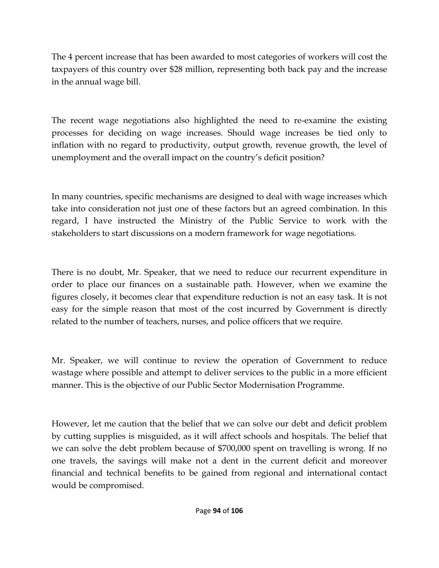The 4 percent increase that has been awarded to most categories of workers will cost the taxpayers of this country over \$28 million, representing both back pay and the increase in the annual wage bill.

The recent wage negotiations also highlighted the need to re-examine the existing processes for deciding on wage increases. Should wage increases be tied only to inflation with no regard to productivity, output growth, revenue growth, the level of unemployment and the overall impact on the country's deficit position?

In many countries, specific mechanisms are designed to deal with wage increases which take into consideration not just one of these factors but an agreed combination. In this regard, I have instructed the Ministry of the Public Service to work with the stakeholders to start discussions on a modern framework for wage negotiations.

There is no doubt, Mr. Speaker, that we need to reduce our recurrent expenditure in order to place our finances on a sustainable path. However, when we examine the figures closely, it becomes clear that expenditure reduction is not an easy task. It is not easy for the simple reason that most of the cost incurred by Government is directly related to the number of teachers, nurses, and police officers that we require.

Mr. Speaker, we will continue to review the operation of Government to reduce wastage where possible and attempt to deliver services to the public in a more efficient manner. This is the objective of our Public Sector Modernisation Programme.

However, let me caution that the belief that we can solve our debt and deficit problem by cutting supplies is misguided, as it will affect schools and hospitals. The belief that we can solve the debt problem because of \$700,000 spent on travelling is wrong. If no one travels, the savings will make not a dent in the current deficit and moreover financial and technical benefits to be gained from regional and international contact would be compromised.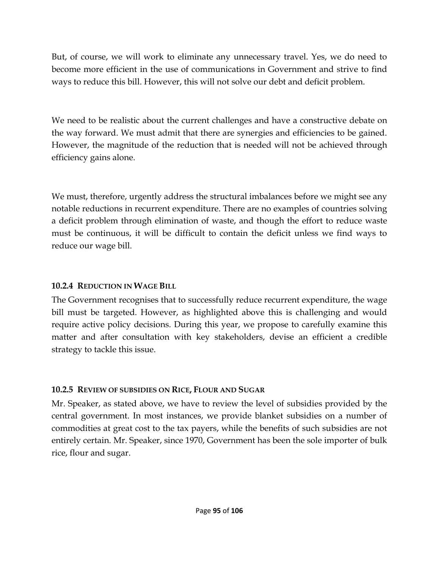But, of course, we will work to eliminate any unnecessary travel. Yes, we do need to become more efficient in the use of communications in Government and strive to find ways to reduce this bill. However, this will not solve our debt and deficit problem.

We need to be realistic about the current challenges and have a constructive debate on the way forward. We must admit that there are synergies and efficiencies to be gained. However, the magnitude of the reduction that is needed will not be achieved through efficiency gains alone.

We must, therefore, urgently address the structural imbalances before we might see any notable reductions in recurrent expenditure. There are no examples of countries solving a deficit problem through elimination of waste, and though the effort to reduce waste must be continuous, it will be difficult to contain the deficit unless we find ways to reduce our wage bill.

## **10.2.4 REDUCTION IN WAGE BILL**

The Government recognises that to successfully reduce recurrent expenditure, the wage bill must be targeted. However, as highlighted above this is challenging and would require active policy decisions. During this year, we propose to carefully examine this matter and after consultation with key stakeholders, devise an efficient a credible strategy to tackle this issue.

## **10.2.5 REVIEW OF SUBSIDIES ON RICE, FLOUR AND SUGAR**

Mr. Speaker, as stated above, we have to review the level of subsidies provided by the central government. In most instances, we provide blanket subsidies on a number of commodities at great cost to the tax payers, while the benefits of such subsidies are not entirely certain. Mr. Speaker, since 1970, Government has been the sole importer of bulk rice, flour and sugar.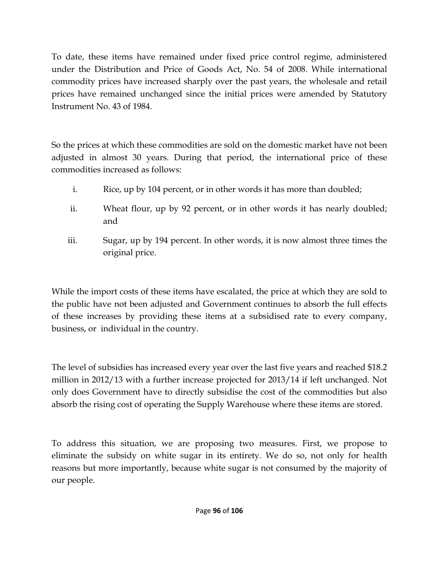To date, these items have remained under fixed price control regime, administered under the Distribution and Price of Goods Act, No. 54 of 2008. While international commodity prices have increased sharply over the past years, the wholesale and retail prices have remained unchanged since the initial prices were amended by Statutory Instrument No. 43 of 1984.

So the prices at which these commodities are sold on the domestic market have not been adjusted in almost 30 years. During that period, the international price of these commodities increased as follows:

- i. Rice, up by 104 percent, or in other words it has more than doubled;
- ii. Wheat flour, up by 92 percent, or in other words it has nearly doubled; and
- iii. Sugar, up by 194 percent. In other words, it is now almost three times the original price.

While the import costs of these items have escalated, the price at which they are sold to the public have not been adjusted and Government continues to absorb the full effects of these increases by providing these items at a subsidised rate to every company, business, or individual in the country.

The level of subsidies has increased every year over the last five years and reached \$18.2 million in 2012/13 with a further increase projected for 2013/14 if left unchanged. Not only does Government have to directly subsidise the cost of the commodities but also absorb the rising cost of operating the Supply Warehouse where these items are stored.

To address this situation, we are proposing two measures. First, we propose to eliminate the subsidy on white sugar in its entirety. We do so, not only for health reasons but more importantly, because white sugar is not consumed by the majority of our people.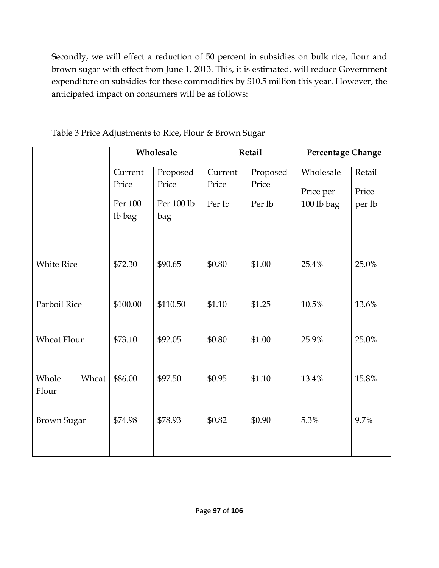Secondly, we will effect a reduction of 50 percent in subsidies on bulk rice, flour and brown sugar with effect from June 1, 2013. This, it is estimated, will reduce Government expenditure on subsidies for these commodities by \$10.5 million this year. However, the anticipated impact on consumers will be as follows:

|                         | Wholesale |            | Retail  |          | <b>Percentage Change</b> |        |
|-------------------------|-----------|------------|---------|----------|--------------------------|--------|
|                         | Current   | Proposed   | Current | Proposed | Wholesale                | Retail |
|                         | Price     | Price      | Price   | Price    | Price per                | Price  |
|                         | Per 100   | Per 100 lb | Per lb  | Per lb   | 100 lb bag               | per lb |
|                         | lb bag    | bag        |         |          |                          |        |
| <b>White Rice</b>       | \$72.30   | \$90.65    | \$0.80  | \$1.00   | 25.4%                    | 25.0%  |
| Parboil Rice            | \$100.00  | \$110.50   | \$1.10  | \$1.25   | 10.5%                    | 13.6%  |
| <b>Wheat Flour</b>      | \$73.10   | \$92.05    | \$0.80  | \$1.00   | 25.9%                    | 25.0%  |
| Whole<br>Wheat<br>Flour | \$86.00   | \$97.50    | \$0.95  | \$1.10   | 13.4%                    | 15.8%  |
| <b>Brown Sugar</b>      | \$74.98   | \$78.93    | \$0.82  | \$0.90   | 5.3%                     | 9.7%   |

Table 3 Price Adjustments to Rice, Flour & Brown Sugar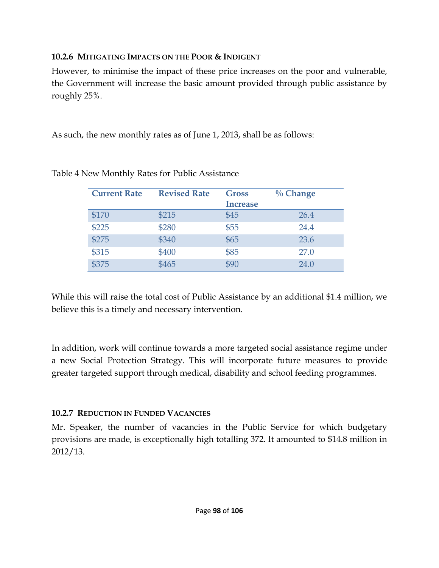## **10.2.6 MITIGATING IMPACTS ON THE POOR & INDIGENT**

However, to minimise the impact of these price increases on the poor and vulnerable, the Government will increase the basic amount provided through public assistance by roughly 25%.

As such, the new monthly rates as of June 1, 2013, shall be as follows:

| <b>Current Rate</b> | <b>Revised Rate</b> | <b>Gross</b><br><b>Increase</b> | $\%$ Change |
|---------------------|---------------------|---------------------------------|-------------|
| \$170               | \$215               | \$45                            | 26.4        |
| \$225               | \$280               | \$55                            | 24.4        |
| \$275               | \$340               | \$65                            | 23.6        |
| \$315               | \$400               | \$85                            | 27.0        |
| \$375               | \$465               | \$90                            | 24.0        |

## Table 4 New Monthly Rates for Public Assistance

While this will raise the total cost of Public Assistance by an additional \$1.4 million, we believe this is a timely and necessary intervention.

In addition, work will continue towards a more targeted social assistance regime under a new Social Protection Strategy. This will incorporate future measures to provide greater targeted support through medical, disability and school feeding programmes.

## **10.2.7 REDUCTION IN FUNDED VACANCIES**

Mr. Speaker, the number of vacancies in the Public Service for which budgetary provisions are made, is exceptionally high totalling 372. It amounted to \$14.8 million in 2012/13.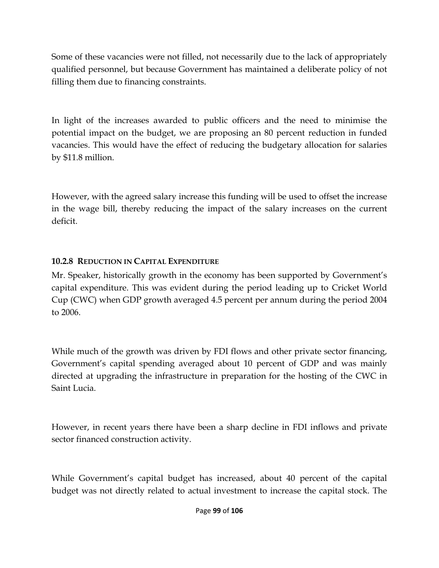Some of these vacancies were not filled, not necessarily due to the lack of appropriately qualified personnel, but because Government has maintained a deliberate policy of not filling them due to financing constraints.

In light of the increases awarded to public officers and the need to minimise the potential impact on the budget, we are proposing an 80 percent reduction in funded vacancies. This would have the effect of reducing the budgetary allocation for salaries by \$11.8 million.

However, with the agreed salary increase this funding will be used to offset the increase in the wage bill, thereby reducing the impact of the salary increases on the current deficit.

## **10.2.8 REDUCTION IN CAPITAL EXPENDITURE**

Mr. Speaker, historically growth in the economy has been supported by Government's capital expenditure. This was evident during the period leading up to Cricket World Cup (CWC) when GDP growth averaged 4.5 percent per annum during the period 2004 to 2006.

While much of the growth was driven by FDI flows and other private sector financing, Government's capital spending averaged about 10 percent of GDP and was mainly directed at upgrading the infrastructure in preparation for the hosting of the CWC in Saint Lucia.

However, in recent years there have been a sharp decline in FDI inflows and private sector financed construction activity.

While Government's capital budget has increased, about 40 percent of the capital budget was not directly related to actual investment to increase the capital stock. The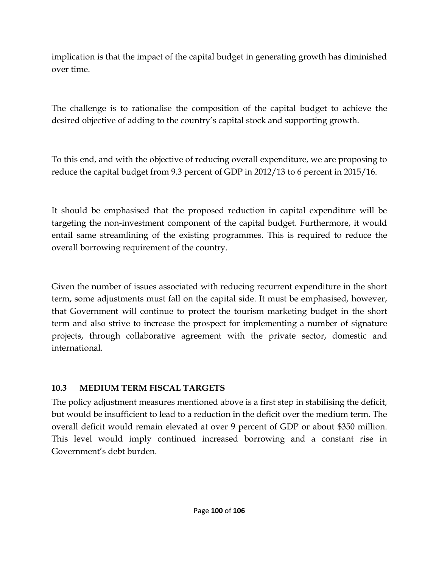implication is that the impact of the capital budget in generating growth has diminished over time.

The challenge is to rationalise the composition of the capital budget to achieve the desired objective of adding to the country's capital stock and supporting growth.

To this end, and with the objective of reducing overall expenditure, we are proposing to reduce the capital budget from 9.3 percent of GDP in 2012/13 to 6 percent in 2015/16.

It should be emphasised that the proposed reduction in capital expenditure will be targeting the non-investment component of the capital budget. Furthermore, it would entail same streamlining of the existing programmes. This is required to reduce the overall borrowing requirement of the country.

Given the number of issues associated with reducing recurrent expenditure in the short term, some adjustments must fall on the capital side. It must be emphasised, however, that Government will continue to protect the tourism marketing budget in the short term and also strive to increase the prospect for implementing a number of signature projects, through collaborative agreement with the private sector, domestic and international.

## **10.3 MEDIUM TERM FISCAL TARGETS**

The policy adjustment measures mentioned above is a first step in stabilising the deficit, but would be insufficient to lead to a reduction in the deficit over the medium term. The overall deficit would remain elevated at over 9 percent of GDP or about \$350 million. This level would imply continued increased borrowing and a constant rise in Government's debt burden.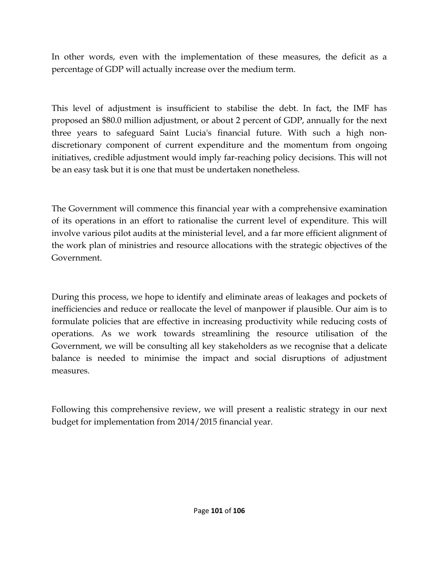In other words, even with the implementation of these measures, the deficit as a percentage of GDP will actually increase over the medium term.

This level of adjustment is insufficient to stabilise the debt. In fact, the IMF has proposed an \$80.0 million adjustment, or about 2 percent of GDP, annually for the next three years to safeguard Saint Lucia's financial future. With such a high nondiscretionary component of current expenditure and the momentum from ongoing initiatives, credible adjustment would imply far-reaching policy decisions. This will not be an easy task but it is one that must be undertaken nonetheless.

The Government will commence this financial year with a comprehensive examination of its operations in an effort to rationalise the current level of expenditure. This will involve various pilot audits at the ministerial level, and a far more efficient alignment of the work plan of ministries and resource allocations with the strategic objectives of the Government.

During this process, we hope to identify and eliminate areas of leakages and pockets of inefficiencies and reduce or reallocate the level of manpower if plausible. Our aim is to formulate policies that are effective in increasing productivity while reducing costs of operations. As we work towards streamlining the resource utilisation of the Government, we will be consulting all key stakeholders as we recognise that a delicate balance is needed to minimise the impact and social disruptions of adjustment measures.

Following this comprehensive review, we will present a realistic strategy in our next budget for implementation from 2014/2015 financial year.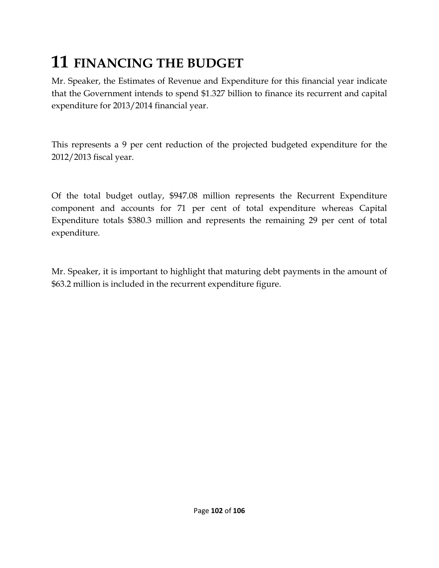## **11 FINANCING THE BUDGET**

Mr. Speaker, the Estimates of Revenue and Expenditure for this financial year indicate that the Government intends to spend \$1.327 billion to finance its recurrent and capital expenditure for 2013/2014 financial year.

This represents a 9 per cent reduction of the projected budgeted expenditure for the 2012/2013 fiscal year.

Of the total budget outlay, \$947.08 million represents the Recurrent Expenditure component and accounts for 71 per cent of total expenditure whereas Capital Expenditure totals \$380.3 million and represents the remaining 29 per cent of total expenditure.

Mr. Speaker, it is important to highlight that maturing debt payments in the amount of \$63.2 million is included in the recurrent expenditure figure.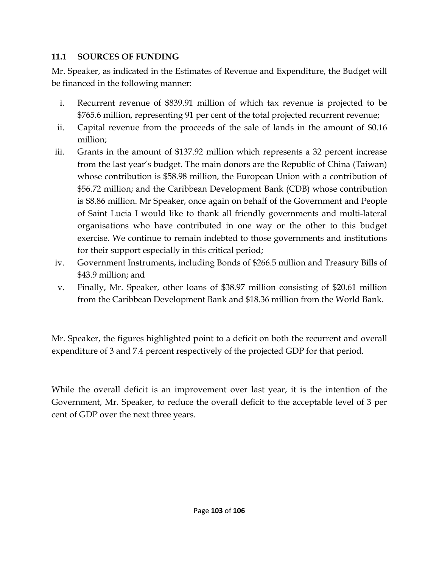## **11.1 SOURCES OF FUNDING**

Mr. Speaker, as indicated in the Estimates of Revenue and Expenditure, the Budget will be financed in the following manner:

- i. Recurrent revenue of \$839.91 million of which tax revenue is projected to be \$765.6 million, representing 91 per cent of the total projected recurrent revenue;
- ii. Capital revenue from the proceeds of the sale of lands in the amount of \$0.16 million;
- iii. Grants in the amount of \$137.92 million which represents a 32 percent increase from the last year's budget. The main donors are the Republic of China (Taiwan) whose contribution is \$58.98 million, the European Union with a contribution of \$56.72 million; and the Caribbean Development Bank (CDB) whose contribution is \$8.86 million. Mr Speaker, once again on behalf of the Government and People of Saint Lucia I would like to thank all friendly governments and multi-lateral organisations who have contributed in one way or the other to this budget exercise. We continue to remain indebted to those governments and institutions for their support especially in this critical period;
- iv. Government Instruments, including Bonds of \$266.5 million and Treasury Bills of \$43.9 million; and
- v. Finally, Mr. Speaker, other loans of \$38.97 million consisting of \$20.61 million from the Caribbean Development Bank and \$18.36 million from the World Bank.

Mr. Speaker, the figures highlighted point to a deficit on both the recurrent and overall expenditure of 3 and 7.4 percent respectively of the projected GDP for that period.

While the overall deficit is an improvement over last year, it is the intention of the Government, Mr. Speaker, to reduce the overall deficit to the acceptable level of 3 per cent of GDP over the next three years.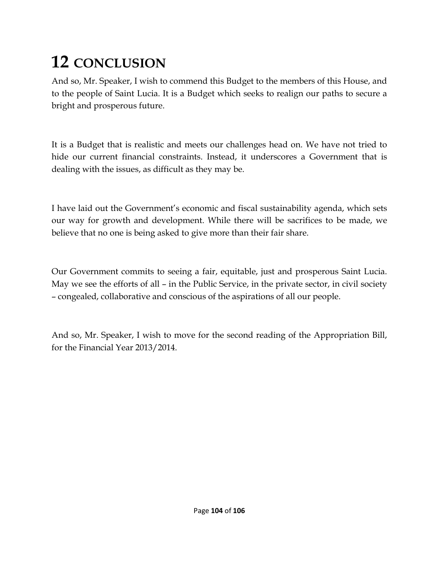# **12 CONCLUSION**

And so, Mr. Speaker, I wish to commend this Budget to the members of this House, and to the people of Saint Lucia. It is a Budget which seeks to realign our paths to secure a bright and prosperous future.

It is a Budget that is realistic and meets our challenges head on. We have not tried to hide our current financial constraints. Instead, it underscores a Government that is dealing with the issues, as difficult as they may be.

I have laid out the Government's economic and fiscal sustainability agenda, which sets our way for growth and development. While there will be sacrifices to be made, we believe that no one is being asked to give more than their fair share.

Our Government commits to seeing a fair, equitable, just and prosperous Saint Lucia. May we see the efforts of all – in the Public Service, in the private sector, in civil society – congealed, collaborative and conscious of the aspirations of all our people.

And so, Mr. Speaker, I wish to move for the second reading of the Appropriation Bill, for the Financial Year 2013/2014.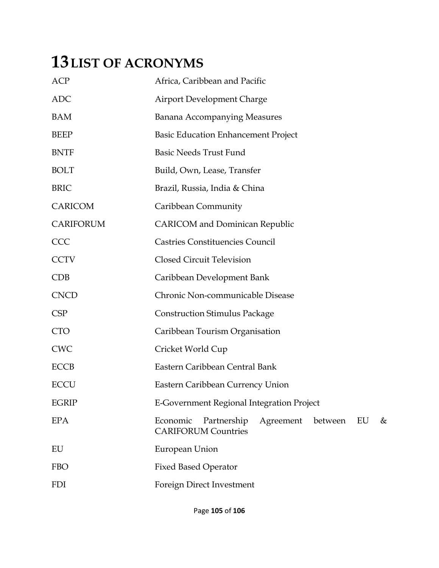## **13LIST OF ACRONYMS**

| <b>ACP</b>   | Africa, Caribbean and Pacific                                                            |  |  |  |  |
|--------------|------------------------------------------------------------------------------------------|--|--|--|--|
| <b>ADC</b>   | <b>Airport Development Charge</b>                                                        |  |  |  |  |
| <b>BAM</b>   | <b>Banana Accompanying Measures</b>                                                      |  |  |  |  |
| <b>BEEP</b>  | <b>Basic Education Enhancement Project</b>                                               |  |  |  |  |
| <b>BNTF</b>  | <b>Basic Needs Trust Fund</b>                                                            |  |  |  |  |
| <b>BOLT</b>  | Build, Own, Lease, Transfer                                                              |  |  |  |  |
| <b>BRIC</b>  | Brazil, Russia, India & China                                                            |  |  |  |  |
| CARICOM      | Caribbean Community                                                                      |  |  |  |  |
| CARIFORUM    | <b>CARICOM</b> and Dominican Republic                                                    |  |  |  |  |
| CCC          | <b>Castries Constituencies Council</b>                                                   |  |  |  |  |
| <b>CCTV</b>  | <b>Closed Circuit Television</b>                                                         |  |  |  |  |
| <b>CDB</b>   | Caribbean Development Bank                                                               |  |  |  |  |
| <b>CNCD</b>  | Chronic Non-communicable Disease                                                         |  |  |  |  |
| <b>CSP</b>   | <b>Construction Stimulus Package</b>                                                     |  |  |  |  |
| <b>CTO</b>   | Caribbean Tourism Organisation                                                           |  |  |  |  |
| <b>CWC</b>   | Cricket World Cup                                                                        |  |  |  |  |
| <b>ECCB</b>  | Eastern Caribbean Central Bank                                                           |  |  |  |  |
| <b>ECCU</b>  | Eastern Caribbean Currency Union                                                         |  |  |  |  |
| <b>EGRIP</b> | <b>E-Government Regional Integration Project</b>                                         |  |  |  |  |
| <b>EPA</b>   | Economic<br>Partnership<br>Agreement<br>between<br>EU<br>&<br><b>CARIFORUM Countries</b> |  |  |  |  |
| EU           | European Union                                                                           |  |  |  |  |
| <b>FBO</b>   | <b>Fixed Based Operator</b>                                                              |  |  |  |  |
| <b>FDI</b>   | Foreign Direct Investment                                                                |  |  |  |  |
|              |                                                                                          |  |  |  |  |